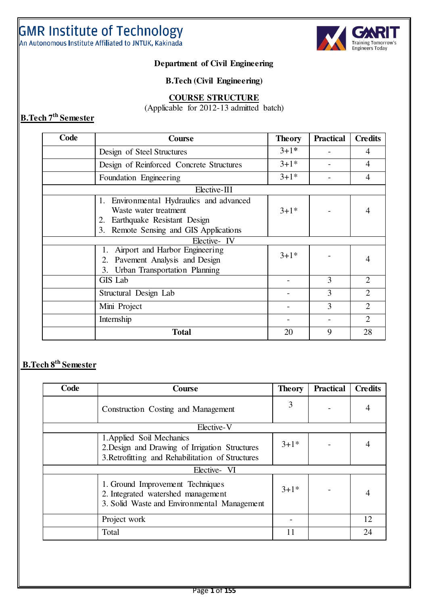**GMR Institute of Technology**<br>An Autonomous Institute Affiliated to JNTUK, Kakinada



## **Department of Civil Engineering**

## **B.Tech (Civil Engineering)**

## **COURSE STRUCTURE**

(Applicable for 2012-13 admitted batch)

## **B.Tech 7th Semester**

| Code | <b>Course</b>                                                                                                                                          | <b>Theory</b> | <b>Practical</b> | <b>Credits</b> |
|------|--------------------------------------------------------------------------------------------------------------------------------------------------------|---------------|------------------|----------------|
|      | Design of Steel Structures                                                                                                                             | $3 + 1*$      |                  | 4              |
|      | Design of Reinforced Concrete Structures                                                                                                               | $3 + 1*$      |                  | 4              |
|      | Foundation Engineering                                                                                                                                 | $3 + 1*$      |                  | 4              |
|      | Elective-III                                                                                                                                           |               |                  |                |
|      | Environmental Hydraulics and advanced<br>1.<br>Waste water treatment<br>Earthquake Resistant Design<br>2.<br>Remote Sensing and GIS Applications<br>3. | $3+1*$        |                  | 4              |
|      | Elective-IV                                                                                                                                            |               |                  |                |
|      | Airport and Harbor Engineering<br>2. Pavement Analysis and Design<br>Urban Transportation Planning<br>3.                                               | $3+1*$        |                  | 4              |
|      | <b>GIS Lab</b>                                                                                                                                         |               | 3                | $\overline{2}$ |
|      | Structural Design Lab                                                                                                                                  |               | 3                | $\overline{2}$ |
|      | Mini Project                                                                                                                                           |               | 3                | $\overline{2}$ |
|      | Internship                                                                                                                                             |               |                  | $\overline{2}$ |
|      | <b>Total</b>                                                                                                                                           | 20            | 9                | 28             |

## **B.Tech 8th Semester**

| Code         | <b>Course</b>                                                                                                                   | <b>Theory</b> | <b>Practical</b> | <b>Credits</b> |
|--------------|---------------------------------------------------------------------------------------------------------------------------------|---------------|------------------|----------------|
|              | Construction Costing and Management                                                                                             | 3             |                  |                |
| Elective-V   |                                                                                                                                 |               |                  |                |
|              | 1. Applied Soil Mechanics<br>2. Design and Drawing of Irrigation Structures<br>3. Retrofitting and Rehabilitation of Structures | $3+1*$        |                  |                |
| Elective- VI |                                                                                                                                 |               |                  |                |
|              | 1. Ground Improvement Techniques<br>2. Integrated watershed management<br>3. Solid Waste and Environmental Management           | $3+1*$        |                  |                |
|              | Project work                                                                                                                    |               |                  | 12             |
|              | Total                                                                                                                           | 11            |                  | 24             |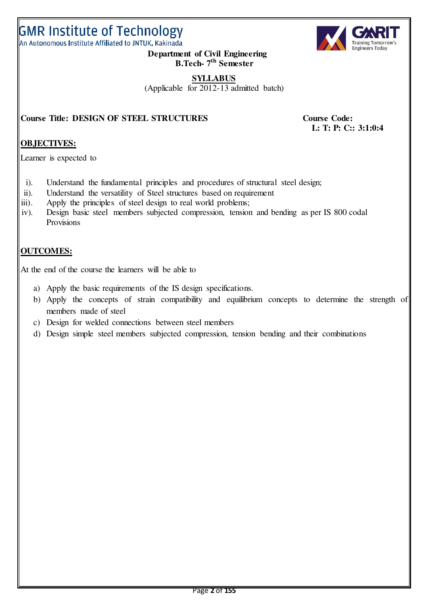**GMR Institute of Technology** 



An Autonomous Institute Affiliated to JNTUK, Kakinada

### **Department of Civil Engineering B.Tech- 7th Semester**

### **SYLLABUS**

(Applicable for 2012-13 admitted batch)

## **Course Title: DESIGN OF STEEL STRUCTURES** Course Code:

 **L: T: P: C:: 3:1:0:4** 

## **OBJECTIVES:**

Learner is expected to

- i). Understand the fundamental principles and procedures of structural steel design;
- ii). Understand the versatility of Steel structures based on requirement
- iii). Apply the principles of steel design to real world problems;
- iv). Design basic steel members subjected compression, tension and bending as per IS 800 codal Provisions

### **OUTCOMES:**

- a) Apply the basic requirements of the IS design specifications.
- b) Apply the concepts of strain compatibility and equilibrium concepts to determine the strength of members made of steel
- c) Design for welded connections between steel members
- d) Design simple steel members subjected compression, tension bending and their combinations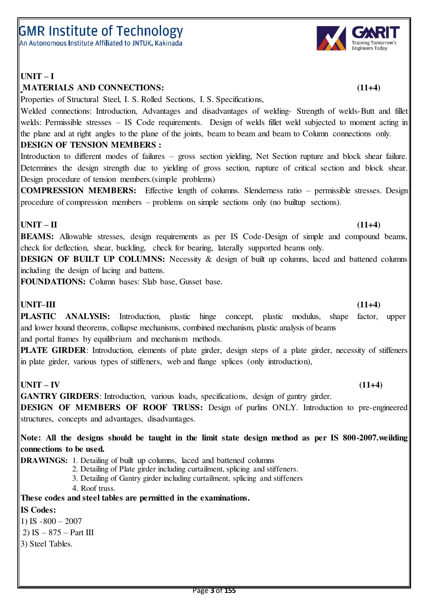

## $UNIT - I$

## **MATERIALS AND CONNECTIONS:** (11+4)

Properties of Structural Steel, I. S. Rolled Sections, I. S. Specifications,

Welded connections: Introduction, Advantages and disadvantages of welding- Strength of welds-Butt and fillet welds: Permissible stresses – IS Code requirements. Design of welds fillet weld subjected to moment acting in the plane and at right angles to the plane of the joints, beam to beam and beam to Column connections only.

## **DESIGN OF TENSION MEMBERS :**

Introduction to different modes of failures – gross section yielding, Net Section rupture and block shear failure. Determines the design strength due to yielding of gross section, rupture of critical section and block shear. Design procedure of tension members.(simple problems)

**COMPRESSION MEMBERS:** Effective length of columns. Slenderness ratio – permissible stresses. Design procedure of compression members – problems on simple sections only (no builtup sections).

## $\mathbf{UNIT} - \mathbf{II}$  (11+4)

**BEAMS:** Allowable stresses, design requirements as per IS Code-Design of simple and compound beams, check for deflection, shear, buckling, check for bearing, laterally supported beams only.

**DESIGN OF BUILT UP COLUMNS:** Necessity & design of built up columns, laced and battened columns including the design of lacing and battens.

**FOUNDATIONS:** Column bases: Slab base, Gusset base.

## **UNIT–III (11+4)**

**PLASTIC ANALYSIS:** Introduction, plastic hinge concept, plastic modulus, shape factor, upper and lower hound theorems, collapse mechanisms, combined mechanism, plastic analysis of beams

and portal frames by equilibrium and mechanism methods.

**PLATE GIRDER**: Introduction, elements of plate girder, design steps of a plate girder, necessity of stiffeners in plate girder, various types of stiffeners, web and flange splices (only introduction),

## **UNIT** – **IV**  $(11+4)$

**GANTRY GIRDERS**: Introduction, various loads, specifications, design of gantry girder.

**DESIGN OF MEMBERS OF ROOF TRUSS:** Design of purlins ONLY. Introduction to pre-engineered structures, concepts and advantages, disadvantages.

### **Note: All the designs should be taught in the limit state design method as per IS 800-2007.weilding connections to be used.**

**DRAWINGS:** 1. Detailing of built up columns, laced and battened columns

- 2. Detailing of Plate girder including curtailment, splicing and stiffeners.
- 3. Detailing of Gantry girder including curtailment, splicing and stiffeners
- 4. Roof truss.

**These codes and steel tables are permitted in the examinations.** 

## **IS Codes:**

1) IS -800 – 2007

2) IS  $-875$  – Part III

3) Steel Tables.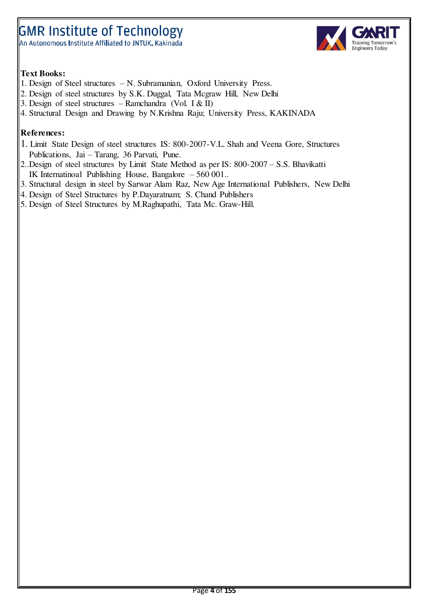# **GMR Institute of Technology**

An Autonomous Institute Affiliated to JNTUK, Kakinada



### **Text Books:**

- 1. Design of Steel structures N. Subramanian, Oxford University Press.
- 2. Design of steel structures by S.K. Duggal, Tata Mcgraw Hill, New Delhi
- 3. Design of steel structures Ramchandra (Vol. I & II)
- 4. Structural Design and Drawing by N.Krishna Raju; University Press, KAKINADA

#### **References:**

- 1. Limit State Design of steel structures IS: 800-2007-V.L. Shah and Veena Gore, Structures Publications, Jai – Tarang, 36 Parvati, Pune.
- 2..Design of steel structures by Limit State Method as per IS: 800-2007 S.S. Bhavikatti IK Internatinoal Publishing House, Bangalore – 560 001..
- 3. Structural design in steel by Sarwar Alam Raz, New Age International Publishers, New Delhi
- 4. Design of Steel Structures by P.Dayaratnam; S. Chand Publishers
- 5. Design of Steel Structures by M.Raghupathi, Tata Mc. Graw-Hill.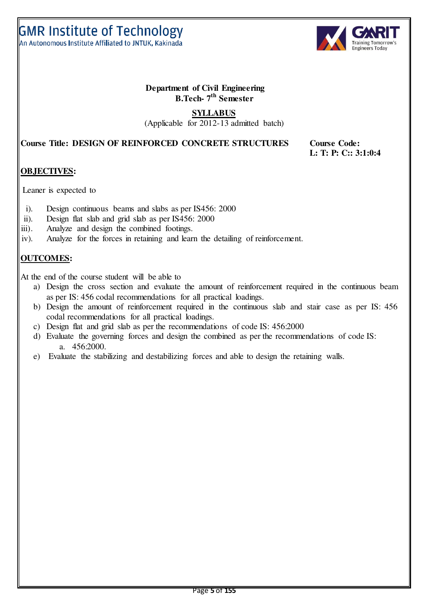

## **Department of Civil Engineering B.Tech- 7th Semester**

**SYLLABUS** (Applicable for 2012-13 admitted batch)

#### **Course Title: DESIGN OF REINFORCED CONCRETE STRUCTURES Course Code:**

 **L: T: P: C:: 3:1:0:4** 

## **OBJECTIVES:**

Leaner is expected to

- i). Design continuous beams and slabs as per IS456: 2000
- ii). Design flat slab and grid slab as per IS456: 2000
- iii). Analyze and design the combined footings.
- iv). Analyze for the forces in retaining and learn the detailing of reinforcement.

## **OUTCOMES:**

At the end of the course student will be able to

- a) Design the cross section and evaluate the amount of reinforcement required in the continuous beam as per IS: 456 codal recommendations for all practical loadings.
- b) Design the amount of reinforcement required in the continuous slab and stair case as per IS: 456 codal recommendations for all practical loadings.
- c) Design flat and grid slab as per the recommendations of code IS: 456:2000
- d) Evaluate the governing forces and design the combined as per the recommendations of code IS: a. 456:2000.
- e) Evaluate the stabilizing and destabilizing forces and able to design the retaining walls.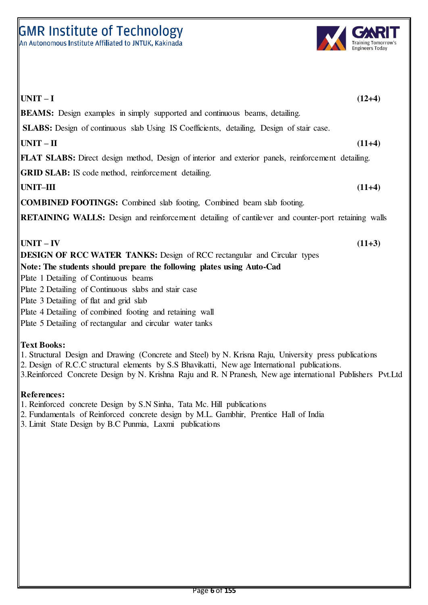

| $UNIT-I$                                                                                                     | $(12+4)$ |
|--------------------------------------------------------------------------------------------------------------|----------|
| <b>BEAMS:</b> Design examples in simply supported and continuous beams, detailing.                           |          |
| <b>SLABS:</b> Design of continuous slab Using IS Coefficients, detailing, Design of stair case.              |          |
| $UNIT-II$                                                                                                    | $(11+4)$ |
| <b>FLAT SLABS:</b> Direct design method, Design of interior and exterior panels, reinforcement detailing.    |          |
| <b>GRID SLAB:</b> IS code method, reinforcement detailing.                                                   |          |
| UNIT-III                                                                                                     | $(11+4)$ |
| COMBINED FOOTINGS: Combined slab footing, Combined beam slab footing.                                        |          |
| <b>RETAINING WALLS:</b> Design and reinforcement detailing of cantilever and counter-port retaining walls    |          |
|                                                                                                              |          |
| $ UNIT - IV$                                                                                                 | $(11+3)$ |
| <b>DESIGN OF RCC WATER TANKS:</b> Design of RCC rectangular and Circular types                               |          |
| Note: The students should prepare the following plates using Auto-Cad                                        |          |
| Plate 1 Detailing of Continuous beams                                                                        |          |
| Plate 2 Detailing of Continuous slabs and stair case                                                         |          |
| Plate 3 Detailing of flat and grid slab                                                                      |          |
| Plate 4 Detailing of combined footing and retaining wall                                                     |          |
| Plate 5 Detailing of rectangular and circular water tanks                                                    |          |
| <b>Text Books:</b>                                                                                           |          |
| 1. Structural Design and Drawing (Concrete and Steel) by N. Krisna Raju, University press publications       |          |
| $\vert$ 2. Design of R.C.C structural elements by S.S Bhavikatti, New age International publications.        |          |
| 3. Reinforced Concrete Design by N. Krishna Raju and R. N Pranesh, New age international Publishers Pvt. Ltd |          |

**References:** 

1. Reinforced concrete Design by S.N Sinha, Tata Mc. Hill publications

2. Fundamentals of Reinforced concrete design by M.L. Gambhir, Prentice Hall of India

3. Limit State Design by B.C Punmia, Laxmi publications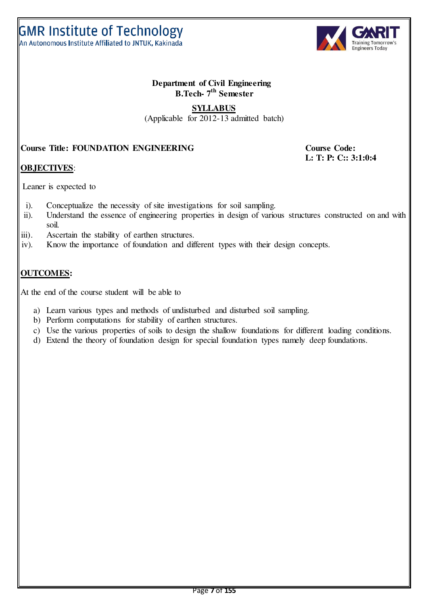

### **Department of Civil Engineering B.Tech- 7th Semester**

## **SYLLABUS**

(Applicable for 2012-13 admitted batch)

## **Course Title: FOUNDATION ENGINEERING Course Code:**

## **OBJECTIVES**:

Leaner is expected to

- i). Conceptualize the necessity of site investigations for soil sampling.
- ii). Understand the essence of engineering properties in design of various structures constructed on and with soil.
- iii). Ascertain the stability of earthen structures.
- iv). Know the importance of foundation and different types with their design concepts.

## **OUTCOMES:**

At the end of the course student will be able to

- a) Learn various types and methods of undisturbed and disturbed soil sampling.
- b) Perform computations for stability of earthen structures.
- c) Use the various properties of soils to design the shallow foundations for different loading conditions.
- d) Extend the theory of foundation design for special foundation types namely deep foundations.

**L: T: P: C:: 3:1:0:4**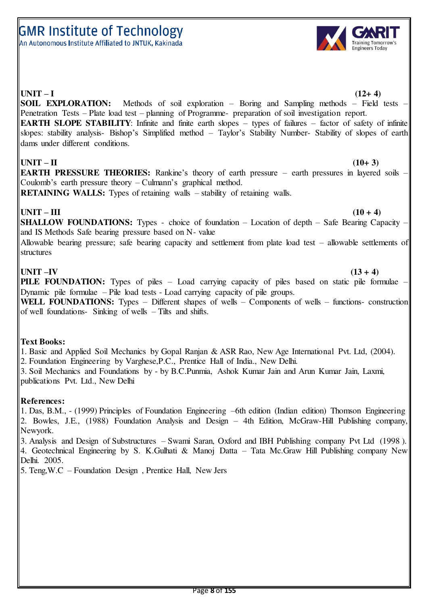

#### **UNIT** – **I** (12+ 4) **SOIL EXPLORATION:** Methods of soil exploration – Boring and Sampling methods – Field tests

Penetration Tests – Plate load test – planning of Programme- preparation of soil investigation report. **EARTH SLOPE STABILITY**: Infinite and finite earth slopes – types of failures – factor of safety of infinite slopes: stability analysis- Bishop's Simplified method – Taylor's Stability Number- Stability of slopes of earth dams under different conditions.

## **UNIT** – **II**  $(10+3)$

**EARTH PRESSURE THEORIES:** Rankine's theory of earth pressure – earth pressures in layered soils – Coulomb's earth pressure theory – Culmann's graphical method.

**RETAINING WALLS:** Types of retaining walls – stability of retaining walls.

### **UNIT** – **III**  $(10 + 4)$

**SHALLOW FOUNDATIONS:** Types - choice of foundation – Location of depth – Safe Bearing Capacity – and IS Methods Safe bearing pressure based on N- value

Allowable bearing pressure; safe bearing capacity and settlement from plate load test – allowable settlements of structures

## **UNIT –IV**  $(13 + 4)$

**PILE FOUNDATION:** Types of piles – Load carrying capacity of piles based on static pile formulae Dynamic pile formulae – Pile load tests - Load carrying capacity of pile groups.

WELL FOUNDATIONS: Types – Different shapes of wells – Components of wells – functions- construction of well foundations- Sinking of wells – Tilts and shifts.

## **Text Books:**

1. Basic and Applied Soil Mechanics by Gopal Ranjan & ASR Rao, New Age International Pvt. Ltd, (2004).

2. Foundation Engineering by Varghese,P.C., Prentice Hall of India., New Delhi.

3. Soil Mechanics and Foundations by - by B.C.Punmia, Ashok Kumar Jain and Arun Kumar Jain, Laxmi, publications Pvt. Ltd., New Delhi

## **References:**

1. Das, B.M., - (1999) Principles of Foundation Engineering –6th edition (Indian edition) Thomson Engineering 2. Bowles, J.E., (1988) Foundation Analysis and Design – 4th Edition, McGraw-Hill Publishing company, Newyork.

3. Analysis and Design of Substructures – Swami Saran, Oxford and IBH Publishing company Pvt Ltd (1998 ). 4. Geotechnical Engineering by S. K.Gulhati & Manoj Datta – Tata Mc.Graw Hill Publishing company New Delhi. 2005.

5. Teng,W.C – Foundation Design , Prentice Hall, New Jers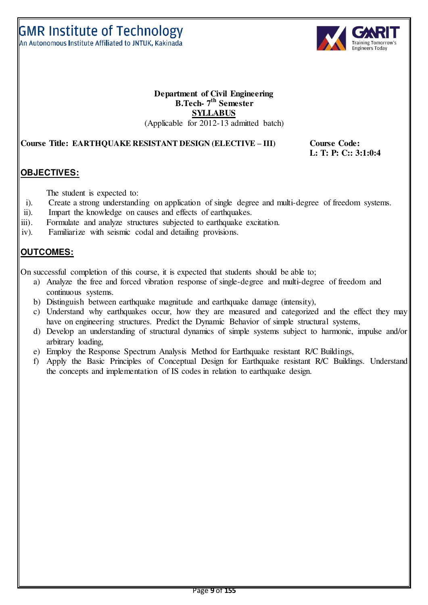

#### **Department of Civil Engineering B.Tech- 7th Semester SYLLABUS**  (Applicable for 2012-13 admitted batch)

#### **Course Title: EARTHQUAKE RESISTANT DESIGN (ELECTIVE – III) Course Code:**

 **L: T: P: C:: 3:1:0:4** 

## **OBJECTIVES:**

The student is expected to:

- i). Create a strong understanding on application of single degree and multi-degree of freedom systems.
- ii). Impart the knowledge on causes and effects of earthquakes.
- iii). Formulate and analyze structures subjected to earthquake excitation.<br>iv). Familiarize with seismic codal and detailing provisions.
- Familiarize with seismic codal and detailing provisions.

## **OUTCOMES:**

On successful completion of this course, it is expected that students should be able to;

- a) Analyze the free and forced vibration response of single-degree and multi-degree of freedom and continuous systems.
- b) Distinguish between earthquake magnitude and earthquake damage (intensity),
- c) Understand why earthquakes occur, how they are measured and categorized and the effect they may have on engineering structures. Predict the Dynamic Behavior of simple structural systems,
- d) Develop an understanding of structural dynamics of simple systems subject to harmonic, impulse and/or arbitrary loading,
- e) Employ the Response Spectrum Analysis Method for Earthquake resistant R/C Buildings,
- f) Apply the Basic Principles of Conceptual Design for Earthquake resistant R/C Buildings. Understand the concepts and implementation of IS codes in relation to earthquake design.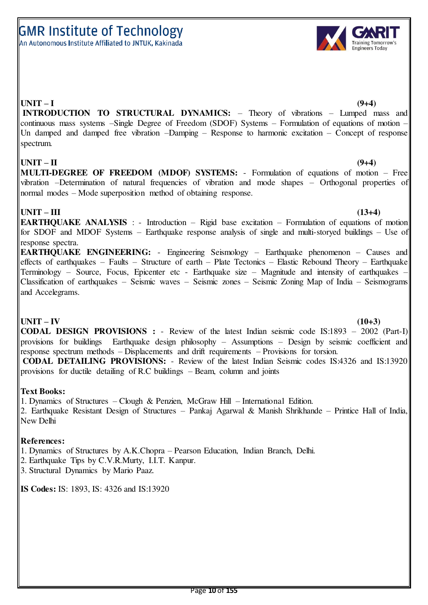

**UNIT – I (9+4) INTRODUCTION TO STRUCTURAL DYNAMICS:** – Theory of vibrations – Lumped mass and continuous mass systems –Single Degree of Freedom (SDOF) Systems – Formulation of equations of motion Un damped and damped free vibration –Damping – Response to harmonic excitation – Concept of response spectrum.

## **UNIT – II (9+4)**

**MULTI-DEGREE OF FREEDOM (MDOF) SYSTEMS:** - Formulation of equations of motion – Free vibration –Determination of natural frequencies of vibration and mode shapes – Orthogonal properties of normal modes – Mode superposition method of obtaining response.

## **UNIT – III (13+4)**

**EARTHQUAKE ANALYSIS** : - Introduction – Rigid base excitation – Formulation of equations of motion for SDOF and MDOF Systems – Earthquake response analysis of single and multi-storyed buildings – Use of response spectra.

**EARTHQUAKE ENGINEERING:** - Engineering Seismology – Earthquake phenomenon – Causes and effects of earthquakes – Faults – Structure of earth – Plate Tectonics – Elastic Rebound Theory – Earthquake Terminology – Source, Focus, Epicenter etc - Earthquake size – Magnitude and intensity of earthquakes – Classification of earthquakes – Seismic waves – Seismic zones – Seismic Zoning Map of India – Seismograms and Accelegrams.

**UNIT** – **IV**  $(10+3)$ **CODAL DESIGN PROVISIONS :** - Review of the latest Indian seismic code IS:1893 – 2002 (Part-I) provisions for buildings Earthquake design philosophy – Assumptions – Design by seismic coefficient and response spectrum methods – Displacements and drift requirements – Provisions for torsion.  **CODAL DETAILING PROVISIONS:** - Review of the latest Indian Seismic codes IS:4326 and IS:13920

provisions for ductile detailing of R.C buildings – Beam, column and joints

## **Text Books:**

1. Dynamics of Structures – Clough & Penzien, McGraw Hill – International Edition. 2. Earthquake Resistant Design of Structures – Pankaj Agarwal & Manish Shrikhande – Printice Hall of India, New Delhi

## **References:**

1. Dynamics of Structures by A.K.Chopra – Pearson Education, Indian Branch, Delhi.

2. Earthquake Tips by C.V.R.Murty, I.I.T. Kanpur.

3. Structural Dynamics by Mario Paaz.

**IS Codes:** IS: 1893, IS: 4326 and IS:13920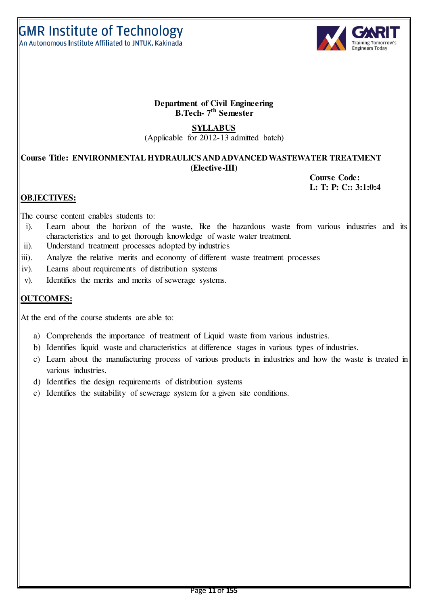

### **Department of Civil Engineering B.Tech- 7th Semester**

**SYLLABUS** 

(Applicable for 2012-13 admitted batch)

#### **Course Title: ENVIRONMENTAL HYDRAULICS AND ADVANCED WASTEWATER TREATMENT (Elective-III)**

 **Course Code: L: T: P: C:: 3:1:0:4** 

### **OBJECTIVES:**

The course content enables students to:

- i). Learn about the horizon of the waste, like the hazardous waste from various industries and its characteristics and to get thorough knowledge of waste water treatment.
- ii). Understand treatment processes adopted by industries
- iii). Analyze the relative merits and economy of different waste treatment processes
- iv). Learns about requirements of distribution systems
- v). Identifies the merits and merits of sewerage systems.

### **OUTCOMES:**

At the end of the course students are able to:

- a) Comprehends the importance of treatment of Liquid waste from various industries.
- b) Identifies liquid waste and characteristics at difference stages in various types of industries.
- c) Learn about the manufacturing process of various products in industries and how the waste is treated in various industries.
- d) Identifies the design requirements of distribution systems
- e) Identifies the suitability of sewerage system for a given site conditions.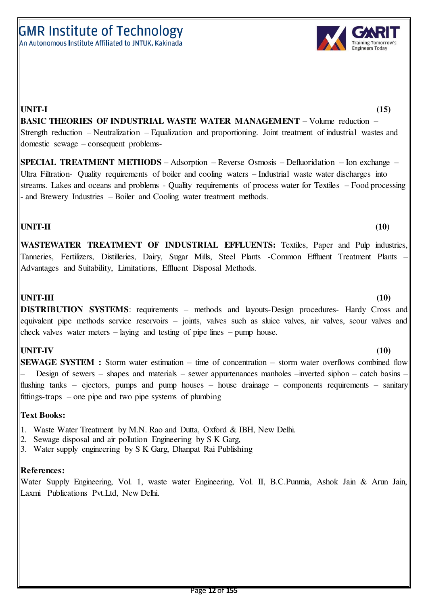

#### **UNIT-I (15)**

**BASIC THEORIES OF INDUSTRIAL WASTE WATER MANAGEMENT** – Volume reduction – Strength reduction – Neutralization – Equalization and proportioning. Joint treatment of industrial wastes and domestic sewage – consequent problems-

**SPECIAL TREATMENT METHODS** – Adsorption – Reverse Osmosis – Defluoridation – Ion exchange – Ultra Filtration- Quality requirements of boiler and cooling waters – Industrial waste water discharges into streams. Lakes and oceans and problems - Quality requirements of process water for Textiles – Food processing - and Brewery Industries – Boiler and Cooling water treatment methods.

## **UNIT-II (10)**

**WASTEWATER TREATMENT OF INDUSTRIAL EFFLUENTS:** Textiles, Paper and Pulp industries, Tanneries, Fertilizers, Distilleries, Dairy, Sugar Mills, Steel Plants -Common Effluent Treatment Plants – Advantages and Suitability, Limitations, Effluent Disposal Methods.

## **UNIT-III (10)**

**DISTRIBUTION SYSTEMS**: requirements – methods and layouts-Design procedures- Hardy Cross and equivalent pipe methods service reservoirs – joints, valves such as sluice valves, air valves, scour valves and check valves water meters – laying and testing of pipe lines – pump house.

## **UNIT-IV (10)**

**SEWAGE SYSTEM :** Storm water estimation – time of concentration – storm water overflows combined flow – Design of sewers – shapes and materials – sewer appurtenances manholes –inverted siphon – catch basins – flushing tanks – ejectors, pumps and pump houses – house drainage – components requirements – sanitary fittings-traps – one pipe and two pipe systems of plumbing

## **Text Books:**

- 1. Waste Water Treatment by M.N. Rao and Dutta, Oxford & IBH, New Delhi.
- 2. Sewage disposal and air pollution Engineering by S K Garg,
- 3. Water supply engineering by S K Garg, Dhanpat Rai Publishing

#### **References:**

Water Supply Engineering, Vol. 1, waste water Engineering, Vol. II, B.C.Punmia, Ashok Jain & Arun Jain, Laxmi Publications Pvt.Ltd, New Delhi.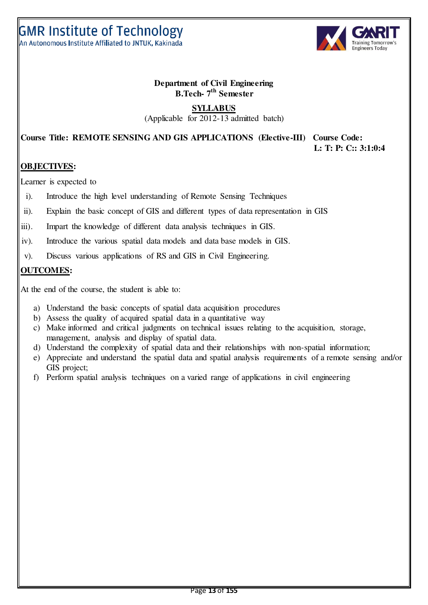

### **Department of Civil Engineering B.Tech- 7th Semester**

**SYLLABUS** 

(Applicable for 2012-13 admitted batch)

### **Course Title: REMOTE SENSING AND GIS APPLICATIONS (Elective-III) Course Code:**

 **L: T: P: C:: 3:1:0:4** 

## **OBJECTIVES:**

Learner is expected to

- i). Introduce the high level understanding of Remote Sensing Techniques
- ii). Explain the basic concept of GIS and different types of data representation in GIS
- iii). Impart the knowledge of different data analysis techniques in GIS.
- iv). Introduce the various spatial data models and data base models in GIS.
- v). Discuss various applications of RS and GIS in Civil Engineering.

## **OUTCOMES:**

At the end of the course, the student is able to:

- a) Understand the basic concepts of spatial data acquisition procedures
- b) Assess the quality of acquired spatial data in a quantitative way
- c) Make informed and critical judgments on technical issues relating to the acquisition, storage, management, analysis and display of spatial data.
- d) Understand the complexity of spatial data and their relationships with non-spatial information;
- e) Appreciate and understand the spatial data and spatial analysis requirements of a remote sensing and/or GIS project;
- f) Perform spatial analysis techniques on a varied range of applications in civil engineering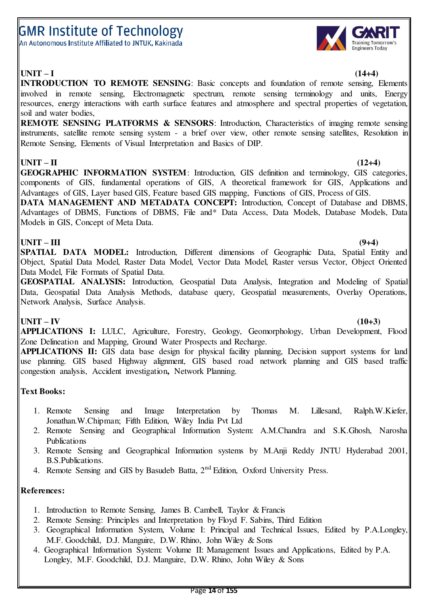

**UNIT – I (14+4) INTRODUCTION TO REMOTE SENSING**: Basic concepts and foundation of remote sensing, Elements involved in remote sensing, Electromagnetic spectrum, remote sensing terminology and units, Energy resources, energy interactions with earth surface features and atmosphere and spectral properties of vegetation,

soil and water bodies, **REMOTE SENSING PLATFORMS & SENSORS:** Introduction, Characteristics of imaging remote sensing instruments, satellite remote sensing system - a brief over view, other remote sensing satellites, Resolution in Remote Sensing, Elements of Visual Interpretation and Basics of DIP.

## **UNIT** – **II**  $(12+4)$

**GEOGRAPHIC INFORMATION SYSTEM**: Introduction, GIS definition and terminology, GIS categories, components of GIS, fundamental operations of GIS, A theoretical framework for GIS, Applications and Advantages of GIS, Layer based GIS, Feature based GIS mapping, Functions of GIS, Process of GIS.

**DATA MANAGEMENT AND METADATA CONCEPT:** Introduction, Concept of Database and DBMS, Advantages of DBMS, Functions of DBMS, File and\* Data Access, Data Models, Database Models, Data Models in GIS, Concept of Meta Data.

**UNIT – III (9+4) SPATIAL DATA MODEL:** Introduction, Different dimensions of Geographic Data, Spatial Entity and Object, Spatial Data Model, Raster Data Model, Vector Data Model, Raster versus Vector, Object Oriented Data Model, File Formats of Spatial Data.

**GEOSPATIAL ANALYSIS:** Introduction, Geospatial Data Analysis, Integration and Modeling of Spatial Data, Geospatial Data Analysis Methods, database query, Geospatial measurements, Overlay Operations, Network Analysis, Surface Analysis.

### **UNIT** – **IV**  $(10+3)$

**APPLICATIONS I:** LULC, Agriculture, Forestry, Geology, Geomorphology, Urban Development, Flood Zone Delineation and Mapping, Ground Water Prospects and Recharge.

**APPLICATIONS II:** GIS data base design for physical facility planning, Decision support systems for land use planning. GIS based Highway alignment, GIS based road network planning and GIS based traffic congestion analysis, Accident investigation**,** Network Planning.

## **Text Books:**

- 1. Remote Sensing and Image Interpretation by Thomas M. Lillesand, Ralph.W.Kiefer, Jonathan.W.Chipman; Fifth Edition, Wiley India Pvt Ltd
- 2. Remote Sensing and Geographical Information System: A.M.Chandra and S.K.Ghosh, Narosha Publications
- 3. Remote Sensing and Geographical Information systems by M.Anji Reddy JNTU Hyderabad 2001, B.S.Publications.
- 4. Remote Sensing and GIS by Basudeb Batta, 2<sup>nd</sup> Edition, Oxford University Press.

#### **References:**

- 1. Introduction to Remote Sensing, James B. Cambell, Taylor & Francis
- 2. Remote Sensing: Principles and Interpretation by Floyd F. Sabins, Third Edition
- 3. Geographical Information System, Volume I: Principal and Technical Issues, Edited by P.A.Longley, M.F. Goodchild, D.J. Manguire, D.W. Rhino, John Wiley & Sons
- 4. Geographical Information System: Volume II: Management Issues and Applications, Edited by P.A. Longley, M.F. Goodchild, D.J. Manguire, D.W. Rhino, John Wiley & Sons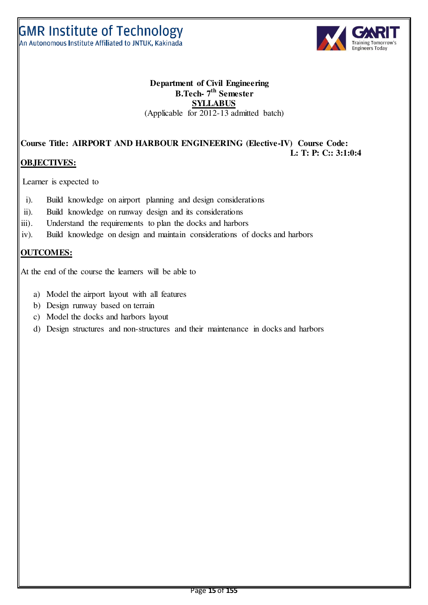

#### **Department of Civil Engineering B.Tech- 7th Semester SYLLABUS**  (Applicable for 2012-13 admitted batch)

#### **Course Title: AIRPORT AND HARBOUR ENGINEERING (Elective-IV) Course Code: L: T: P: C:: 3:1:0:4**

## **OBJECTIVES:**

Learner is expected to

- i). Build knowledge on airport planning and design considerations
- ii). Build knowledge on runway design and its considerations
- iii). Understand the requirements to plan the docks and harbors
- iv). Build knowledge on design and maintain considerations of docks and harbors

## **OUTCOMES:**

- a) Model the airport layout with all features
- b) Design runway based on terrain
- c) Model the docks and harbors layout
- d) Design structures and non-structures and their maintenance in docks and harbors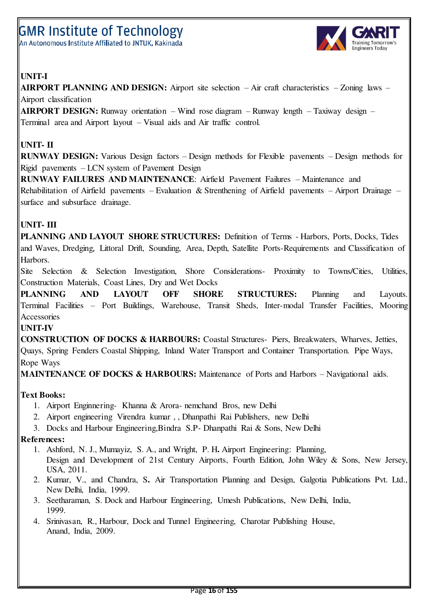

## **UNIT-I**

**AIRPORT PLANNING AND DESIGN:** Airport site selection – Air craft characteristics – Zoning laws – Airport classification

**AIRPORT DESIGN:** Runway orientation – Wind rose diagram – Runway length – Taxiway design – Terminal area and Airport layout – Visual aids and Air traffic control.

### **UNIT- II**

**RUNWAY DESIGN:** Various Design factors – Design methods for Flexible pavements – Design methods for Rigid pavements – LCN system of Pavement Design

**RUNWAY FAILURES AND MAINTENANCE**: Airfield Pavement Failures – Maintenance and Rehabilitation of Airfield pavements – Evaluation & Strenthening of Airfield pavements – Airport Drainage – surface and subsurface drainage.

## **UNIT- III**

**PLANNING AND LAYOUT SHORE STRUCTURES:** Definition of Terms - Harbors, Ports, Docks, Tides and Waves, Dredging, Littoral Drift, Sounding, Area, Depth, Satellite Ports-Requirements and Classification of Harbors.

Site Selection & Selection Investigation, Shore Considerations- Proximity to Towns/Cities, Utilities, Construction Materials, Coast Lines, Dry and Wet Docks

**PLANNING AND LAYOUT OFF SHORE STRUCTURES:** Planning and Layouts. Terminal Facilities – Port Buildings, Warehouse, Transit Sheds, Inter-modal Transfer Facilities, Mooring **Accessories** 

## **UNIT-IV**

**CONSTRUCTION OF DOCKS & HARBOURS:** Coastal Structures- Piers, Breakwaters, Wharves, Jetties, Quays, Spring Fenders Coastal Shipping, Inland Water Transport and Container Transportation. Pipe Ways, Rope Ways

**MAINTENANCE OF DOCKS & HARBOURS:** Maintenance of Ports and Harbors – Navigational aids.

## **Text Books:**

- 1. Airport Enginnering- Khanna & Arora- nemchand Bros, new Delhi
- 2. Airport engineering Virendra kumar , , Dhanpathi Rai Publishers, new Delhi
- 3. Docks and Harbour Engineering,Bindra S.P- Dhanpathi Rai & Sons, New Delhi

#### **References:**

- 1. Ashford, N. J., Mumayiz, S. A., and Wright, P. H**.** Airport Engineering: Planning, Design and Development of 21st Century Airports, Fourth Edition, John Wiley & Sons, New Jersey, USA, 2011.
- 2. Kumar, V., and Chandra, S**.** Air Transportation Planning and Design, Galgotia Publications Pvt. Ltd., New Delhi, India, 1999.
- 3. Seetharaman, S. Dock and Harbour Engineering, Umesh Publications, New Delhi, India, 1999.
- 4. Srinivasan, R., Harbour, Dock and Tunnel Engineering, Charotar Publishing House, Anand, India, 2009.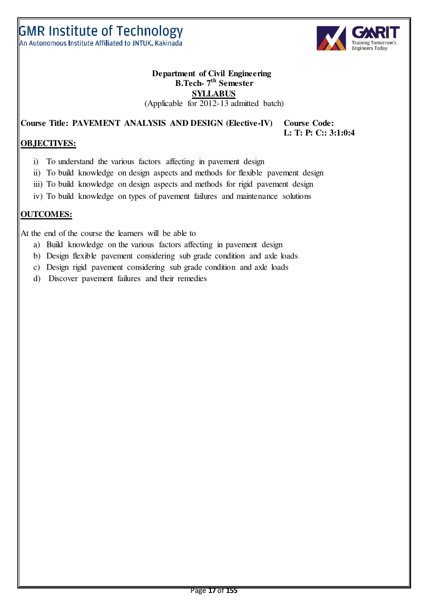

## **Department of Civil Engineering B.Tech- 7th Semester**

**SYLLABUS**  (Applicable for 2012-13 admitted batch)

**Course Title: PAVEMENT ANALYSIS AND DESIGN (Elective-IV) Course Code:** 

 **L: T: P: C:: 3:1:0:4** 

## **OBJECTIVES:**

- i) To understand the various factors affecting in pavement design
- ii) To build knowledge on design aspects and methods for flexible pavement design
- iii) To build knowledge on design aspects and methods for rigid pavement design
- iv) To build knowledge on types of pavement failures and maintenance solutions

## **OUTCOMES:**

- a) Build knowledge on the various factors affecting in pavement design
- b) Design flexible pavement considering sub grade condition and axle loads
- c) Design rigid pavement considering sub grade condition and axle loads
- d) Discover pavement failures and their remedies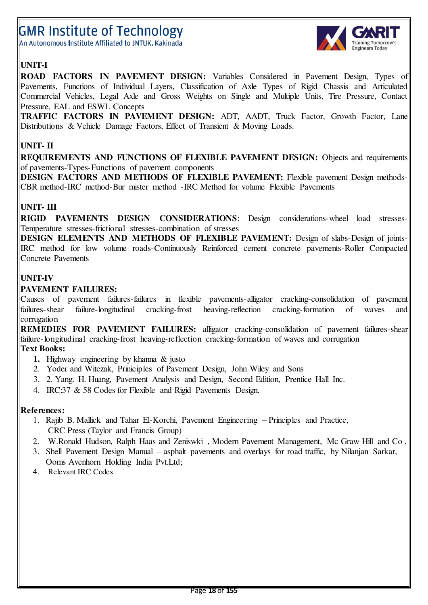

An Autonomous Institute Affiliated to JNTUK, Kakinada

## **UNIT-I**

**ROAD FACTORS IN PAVEMENT DESIGN:** Variables Considered in Pavement Design, Types of Pavements, Functions of Individual Layers, Classification of Axle Types of Rigid Chassis and Articulated Commercial Vehicles, Legal Axle and Gross Weights on Single and Multiple Units, Tire Pressure, Contact Pressure, EAL and ESWL Concepts

**TRAFFIC FACTORS IN PAVEMENT DESIGN:** ADT, AADT, Truck Factor, Growth Factor, Lane Distributions & Vehicle Damage Factors, Effect of Transient & Moving Loads.

## **UNIT- II**

**REQUIREMENTS AND FUNCTIONS OF FLEXIBLE PAVEMENT DESIGN:** Objects and requirements of pavements-Types-Functions of pavement components

**DESIGN FACTORS AND METHODS OF FLEXIBLE PAVEMENT:** Flexible pavement Design methods-CBR method-IRC method-Bur mister method -IRC Method for volume Flexible Pavements

## **UNIT- III**

**RIGID PAVEMENTS DESIGN CONSIDERATIONS**: Design considerations-wheel load stresses-Temperature stresses-frictional stresses-combination of stresses

**DESIGN ELEMENTS AND METHODS OF FLEXIBLE PAVEMENT:** Design of slabs-Design of joints-IRC method for low volume roads-Continuously Reinforced cement concrete pavements-Roller Compacted Concrete Pavements

## **UNIT-IV**

### **PAVEMENT FAILURES:**

Causes of pavement failures-failures in flexible pavements-alligator cracking-consolidation of pavement failures-shear failure-longitudinal cracking-frost heaving-reflection cracking-formation of waves and corrugation

**REMEDIES FOR PAVEMENT FAILURES:** alligator cracking-consolidation of pavement failures-shear failure-longitudinal cracking-frost heaving-reflection cracking-formation of waves and corrugation **Text Books:** 

- **1.** Highway engineering by khanna & justo
- 2. Yoder and Witczak, Priniciples of Pavement Design, John Wiley and Sons
- 3. 2. Yang. H. Huang, Pavement Analysis and Design, Second Edition, Prentice Hall Inc.
- 4. IRC:37 & 58 Codes for Flexible and Rigid Pavements Design.

#### **References:**

- 1. Rajib B. Mallick and Tahar El-Korchi, Pavement Engineering Principles and Practice, CRC Press (Taylor and Francis Group)
- 2. W.Ronald Hudson, Ralph Haas and Zeniswki , Modern Pavement Management, Mc Graw Hill and Co .
- 3. Shell Pavement Design Manual asphalt pavements and overlays for road traffic, by Nilanjan Sarkar, Ooms Avenhorn Holding India Pvt.Ltd;
- 4. Relevant IRC Codes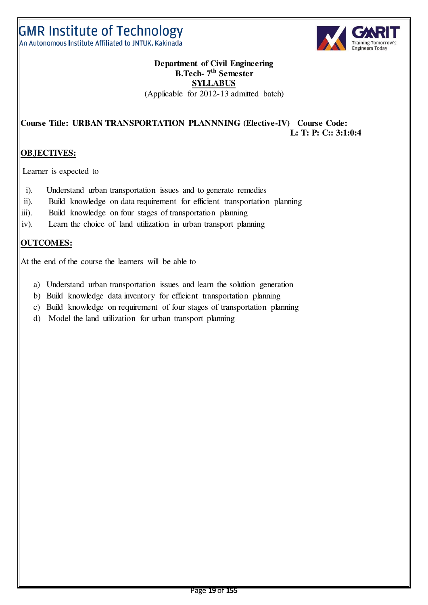

#### **Department of Civil Engineering B.Tech- 7th Semester SYLLABUS**

(Applicable for 2012-13 admitted batch)

### **Course Title: URBAN TRANSPORTATION PLANNNING (Elective-IV) Course Code: L: T: P: C:: 3:1:0:4**

## **OBJECTIVES:**

Learner is expected to

- i). Understand urban transportation issues and to generate remedies
- ii). Build knowledge on data requirement for efficient transportation planning
- iii). Build knowledge on four stages of transportation planning
- iv). Learn the choice of land utilization in urban transport planning

## **OUTCOMES:**

- a) Understand urban transportation issues and learn the solution generation
- b) Build knowledge data inventory for efficient transportation planning
- c) Build knowledge on requirement of four stages of transportation planning
- d) Model the land utilization for urban transport planning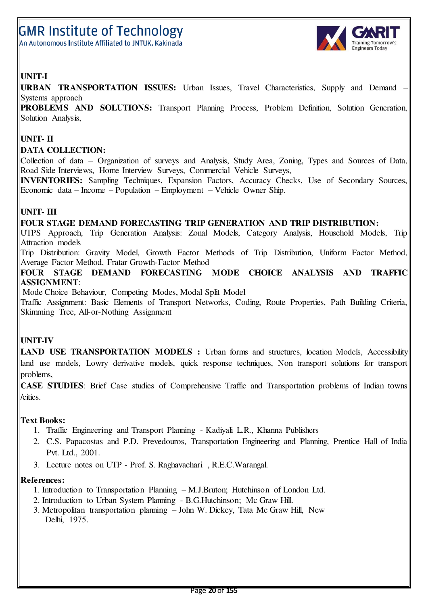

## **UNIT-I**

**URBAN TRANSPORTATION ISSUES:** Urban Issues, Travel Characteristics, Supply and Demand – Systems approach

**PROBLEMS AND SOLUTIONS:** Transport Planning Process, Problem Definition, Solution Generation, Solution Analysis,

### **UNIT- II**

#### **DATA COLLECTION:**

Collection of data – Organization of surveys and Analysis, Study Area, Zoning, Types and Sources of Data, Road Side Interviews, Home Interview Surveys, Commercial Vehicle Surveys,

**INVENTORIES:** Sampling Techniques, Expansion Factors, Accuracy Checks, Use of Secondary Sources, Economic data – Income – Population – Employment – Vehicle Owner Ship.

#### **UNIT- III**

#### **FOUR STAGE DEMAND FORECASTING TRIP GENERATION AND TRIP DISTRIBUTION:**

UTPS Approach, Trip Generation Analysis: Zonal Models, Category Analysis, Household Models, Trip Attraction models

Trip Distribution: Gravity Model, Growth Factor Methods of Trip Distribution, Uniform Factor Method, Average Factor Method, Fratar Growth-Factor Method

#### **FOUR STAGE DEMAND FORECASTING MODE CHOICE ANALYSIS AND TRAFFIC ASSIGNMENT**:

Mode Choice Behaviour, Competing Modes, Modal Split Model

Traffic Assignment: Basic Elements of Transport Networks, Coding, Route Properties, Path Building Criteria, Skimming Tree, All-or-Nothing Assignment

#### **UNIT-IV**

LAND USE TRANSPORTATION MODELS: Urban forms and structures, location Models, Accessibility land use models, Lowry derivative models, quick response techniques, Non transport solutions for transport problems,

**CASE STUDIES**: Brief Case studies of Comprehensive Traffic and Transportation problems of Indian towns /cities.

#### **Text Books:**

- 1. Traffic Engineering and Transport Planning Kadiyali L.R., Khanna Publishers
- 2. C.S. Papacostas and P.D. Prevedouros, Transportation Engineering and Planning, Prentice Hall of India Pvt. Ltd., 2001.
- 3. Lecture notes on UTP Prof. S. Raghavachari , R.E.C.Warangal.

#### **References:**

- 1. Introduction to Transportation Planning M.J.Bruton; Hutchinson of London Ltd.
- 2. Introduction to Urban System Planning B.G.Hutchinson; Mc Graw Hill.
- 3. Metropolitan transportation planning John W. Dickey, Tata Mc Graw Hill, New Delhi, 1975.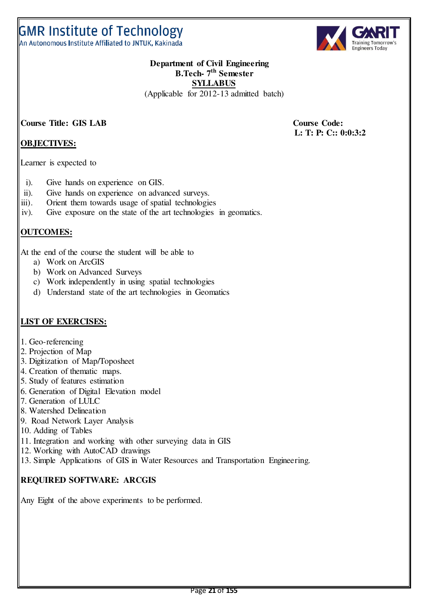

## **Department of Civil Engineering B.Tech- 7th Semester SYLLABUS**

(Applicable for 2012-13 admitted batch)

**Course Title: GIS LAB Course Code:** 

### **OBJECTIVES:**

Learner is expected to

- i). Give hands on experience on GIS.
- ii). Give hands on experience on advanced surveys.<br>iii). Orient them towards usage of spatial technologie
- Orient them towards usage of spatial technologies
- iv). Give exposure on the state of the art technologies in geomatics.

## **OUTCOMES:**

At the end of the course the student will be able to

- a) Work on ArcGIS
- b) Work on Advanced Surveys
- c) Work independently in using spatial technologies
- d) Understand state of the art technologies in Geomatics

#### **LIST OF EXERCISES:**

- 1. Geo-referencing
- 2. Projection of Map
- 3. Digitization of Map/Toposheet
- 4. Creation of thematic maps.
- 5. Study of features estimation
- 6. Generation of Digital Elevation model
- 7. Generation of LULC
- 8. Watershed Delineation
- 9. Road Network Layer Analysis
- 10. Adding of Tables
- 11. Integration and working with other surveying data in GIS
- 12. Working with AutoCAD drawings
- 13. Simple Applications of GIS in Water Resources and Transportation Engineering.

## **REQUIRED SOFTWARE: ARCGIS**

Any Eight of the above experiments to be performed.

 **L: T: P: C:: 0:0:3:2**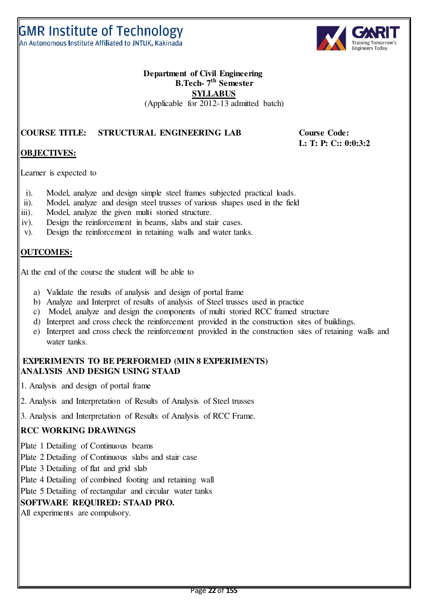

### **Department of Civil Engineering B.Tech- 7th Semester SYLLABUS**  (Applicable for 2012-13 admitted batch)

### **COURSE TITLE: STRUCTURAL ENGINEERING LAB Course Code:**

### **OBJECTIVES:**

 **L: T: P: C:: 0:0:3:2** 

Learner is expected to

- i). Model, analyze and design simple steel frames subjected practical loads.
- ii). Model, analyze and design steel trusses of various shapes used in the field
- iii). Model, analyze the given multi storied structure.
- iv). Design the reinforcement in beams, slabs and stair cases.
- v). Design the reinforcement in retaining walls and water tanks.

### **OUTCOMES:**

At the end of the course the student will be able to

- a) Validate the results of analysis and design of portal frame
- b) Analyze and Interpret of results of analysis of Steel trusses used in practice
- c) Model, analyze and design the components of multi storied RCC framed structure
- d) Interpret and cross check the reinforcement provided in the construction sites of buildings.
- e) Interpret and cross check the reinforcement provided in the construction sites of retaining walls and water tanks.

#### **EXPERIMENTS TO BE PERFORMED (MIN 8 EXPERIMENTS) ANALYSIS AND DESIGN USING STAAD**

1. Analysis and design of portal frame

- 2. Analysis and Interpretation of Results of Analysis of Steel trusses
- 3. Analysis and Interpretation of Results of Analysis of RCC Frame.

#### **RCC WORKING DRAWINGS**

Plate 1 Detailing of Continuous beams

Plate 2 Detailing of Continuous slabs and stair case

Plate 3 Detailing of flat and grid slab

Plate 4 Detailing of combined footing and retaining wall

Plate 5 Detailing of rectangular and circular water tanks

#### **SOFTWARE REQUIRED: STAAD PRO.**

All experiments are compulsory.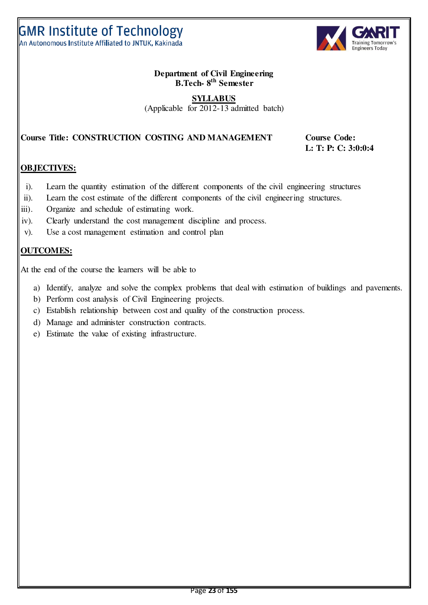

### **Department of Civil Engineering B.Tech- 8th Semester**

### **SYLLABUS**

(Applicable for 2012-13 admitted batch)

## **Course Title: CONSTRUCTION COSTING AND MANAGEMENT Course Code:**

**L: T: P: C: 3:0:0:4** 

## **OBJECTIVES:**

- i). Learn the quantity estimation of the different components of the civil engineering structures
- ii). Learn the cost estimate of the different components of the civil engineering structures.
- iii). Organize and schedule of estimating work.
- iv). Clearly understand the cost management discipline and process.
- v). Use a cost management estimation and control plan

#### **OUTCOMES:**

- a) Identify, analyze and solve the complex problems that deal with estimation of buildings and pavements.
- b) Perform cost analysis of Civil Engineering projects.
- c) Establish relationship between cost and quality of the construction process.
- d) Manage and administer construction contracts.
- e) Estimate the value of existing infrastructure.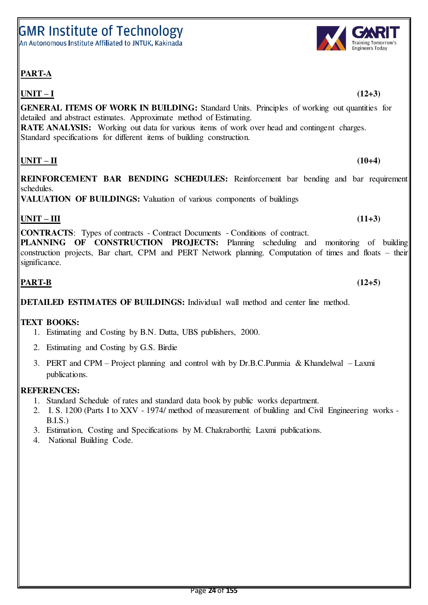## **PART-A**

## **UNIT – I (12+3)**

**GENERAL ITEMS OF WORK IN BUILDING:** Standard Units. Principles of working out quantities for detailed and abstract estimates. Approximate method of Estimating.

**RATE ANALYSIS:** Working out data for various items of work over head and contingent charges. Standard specifications for different items of building construction.

## $\mathbf{UNIT} - \mathbf{II}$  (10+4)

**REINFORCEMENT BAR BENDING SCHEDULES:** Reinforcement bar bending and bar requirement schedules.

**VALUATION OF BUILDINGS:** Valuation of various components of buildings

## $UNIT - III$  (11+3)

**CONTRACTS**: Types of contracts - Contract Documents - Conditions of contract.

PLANNING OF CONSTRUCTION PROJECTS: Planning scheduling and monitoring of building construction projects, Bar chart, CPM and PERT Network planning. Computation of times and floats – their significance.

## **PART-B (12+5)**

## **TEXT BOOKS:**

- 1. Estimating and Costing by B.N. Dutta, UBS publishers, 2000.
- 2. Estimating and Costing by G.S. Birdie
- 3. PERT and CPM Project planning and control with by Dr.B.C.Punmia & Khandelwal Laxmi publications.

#### **REFERENCES:**

- 1. Standard Schedule of rates and standard data book by public works department.
- 2. I. S. 1200 (Parts I to XXV 1974/ method of measurement of building and Civil [Engineering](http://www.globalshiksha.com/engineering/search/) works B.I.S.)
- 3. Estimation, Costing and Specifications by M. Chakraborthi; Laxmi publications.
- 4. National Building Code.



**DETAILED ESTIMATES OF BUILDINGS:** Individual wall method and center line method.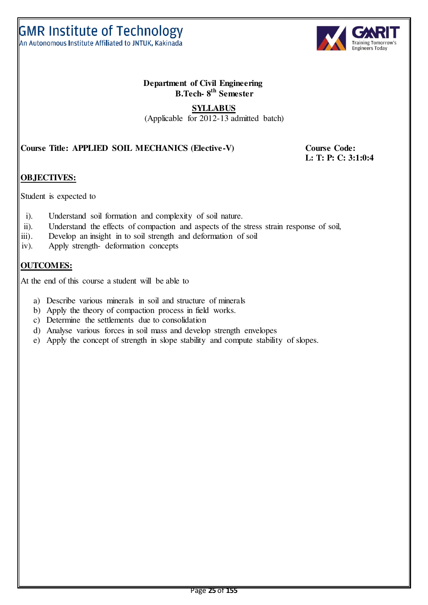

**L: T: P: C: 3:1:0:4** 

## **Department of Civil Engineering B.Tech- 8th Semester**

## **SYLLABUS**

(Applicable for 2012-13 admitted batch)

## **Course Title: APPLIED SOIL MECHANICS (Elective-V) Course Code:**

## **OBJECTIVES:**

Student is expected to

- i). Understand soil formation and complexity of soil nature.
- ii). Understand the effects of compaction and aspects of the stress strain response of soil, iii). Develop an insight in to soil strength and deformation of soil
- Develop an insight in to soil strength and deformation of soil
- iv). Apply strength- deformation concepts

## **OUTCOMES:**

At the end of this course a student will be able to

- a) Describe various minerals in soil and structure of minerals
- b) Apply the theory of compaction process in field works.
- c) Determine the settlements due to consolidation
- d) Analyse various forces in soil mass and develop strength envelopes
- e) Apply the concept of strength in slope stability and compute stability of slopes.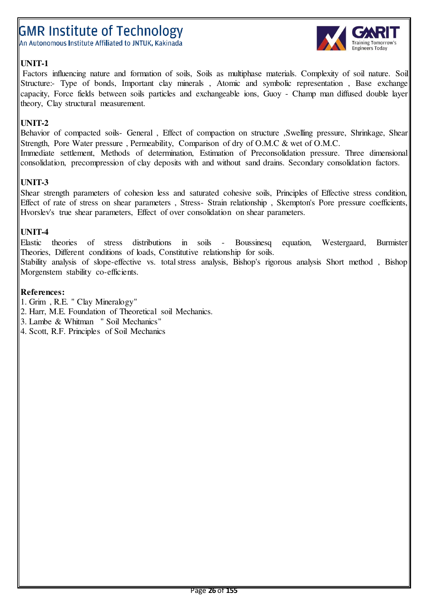# **GMR Institute of Technology**

An Autonomous Institute Affiliated to JNTUK, Kakinada



## **UNIT-1**

Factors influencing nature and formation of soils, Soils as multiphase materials. Complexity of soil nature. Soil Structure:- Type of bonds, Important clay minerals , Atomic and symbolic representation , Base exchange capacity, Force fields between soils particles and exchangeable ions, Guoy - Champ man diffused double layer theory, Clay structural measurement.

## **UNIT-2**

Behavior of compacted soils- General , Effect of compaction on structure ,Swelling pressure, Shrinkage, Shear Strength, Pore Water pressure, Permeability, Comparison of dry of O.M.C & wet of O.M.C. Immediate settlement, Methods of determination, Estimation of Preconsolidation pressure. Three dimensional consolidation, precompression of clay deposits with and without sand drains. Secondary consolidation factors.

## **UNIT-3**

Shear strength parameters of cohesion less and saturated cohesive soils, Principles of Effective stress condition, Effect of rate of stress on shear parameters , Stress- Strain relationship , Skempton's Pore pressure coefficients, Hvorslev's true shear parameters, Effect of over consolidation on shear parameters.

# **UNIT-4**

Elastic theories of stress distributions in soils - Boussinesq equation, Westergaard, Burmister Theories, Different conditions of loads, Constitutive relationship for soils. Stability analysis of slope-effective vs. total stress analysis, Bishop's rigorous analysis Short method , Bishop Morgenstem stability co-efficients.

#### **References:**

- 1. Grim , R.E. " Clay Mineralogy"
- 2. Harr, M.E. Foundation of Theoretical soil Mechanics.
- 3. Lambe & Whitman " Soil Mechanics"
- 4. Scott, R.F. Principles of Soil Mechanics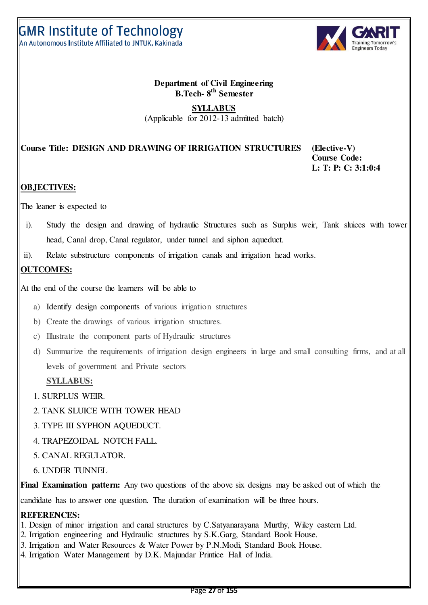

### **Department of Civil Engineering B.Tech- 8th Semester**

**SYLLABUS**  (Applicable for 2012-13 admitted batch)

### **Course Title: DESIGN AND DRAWING OF IRRIGATION STRUCTURES (Elective-V)**

 **Course Code: L: T: P: C: 3:1:0:4** 

## **OBJECTIVES:**

The leaner is expected to

- i). Study the design and drawing of hydraulic Structures such as Surplus weir, Tank sluices with tower head, Canal drop, Canal regulator, under tunnel and siphon aqueduct.
- ii). Relate substructure components of irrigation canals and irrigation head works.

### **OUTCOMES:**

At the end of the course the learners will be able to

- a) Identify design components of various irrigation structures
- b) Create the drawings of various irrigation structures.
- c) Illustrate the component parts of Hydraulic structures
- d) Summarize the requirements of irrigation design engineers in large and small consulting firms, and at all levels of government and Private sectors

**SYLLABUS:** 

- 1. SURPLUS WEIR.
- 2. TANK SLUICE WITH TOWER HEAD
- 3. TYPE III SYPHON AQUEDUCT.
- 4. TRAPEZOIDAL NOTCH FALL.
- 5. CANAL REGULATOR.
- 6. UNDER TUNNEL

**Final Examination pattern:** Any two questions of the above six designs may be asked out of which the

candidate has to answer one question. The duration of examination will be three hours.

#### **REFERENCES:**

- 1. Design of minor irrigation and canal structures by C.Satyanarayana Murthy, Wiley eastern Ltd.
- 2. Irrigation engineering and Hydraulic structures by S.K.Garg, Standard Book House.
- 3. Irrigation and Water Resources & Water Power by P.N.Modi, Standard Book House.
- 4. Irrigation Water Management by D.K. Majundar Printice Hall of India.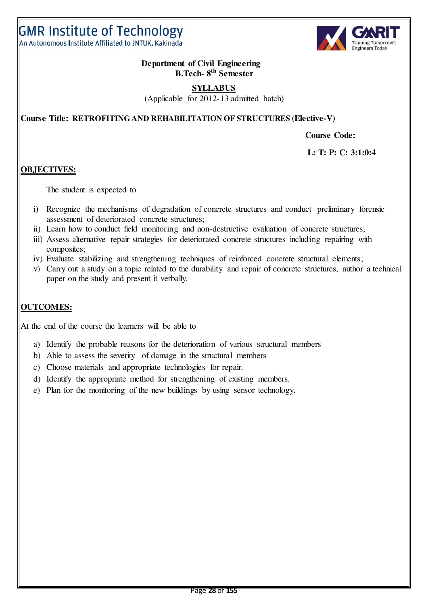

## **Department of Civil Engineering B.Tech- 8th Semester**

**SYLLABUS** 

(Applicable for 2012-13 admitted batch)

**Course Title: RETROFITING AND REHABILITATION OF STRUCTURES (Elective-V)** 

**Course Code:** 

 **L: T: P: C: 3:1:0:4** 

## **OBJECTIVES:**

The student is expected to

- i) Recognize the mechanisms of degradation of concrete structures and conduct preliminary forensic assessment of deteriorated concrete structures;
- ii) Learn how to conduct field monitoring and non-destructive evaluation of concrete structures;
- iii) Assess alternative repair strategies for deteriorated concrete structures including repairing with composites;
- iv) Evaluate stabilizing and strengthening techniques of reinforced concrete structural elements;
- v) Carry out a study on a topic related to the durability and repair of concrete structures, author a technical paper on the study and present it verbally.

### **OUTCOMES:**

- a) Identify the probable reasons for the deterioration of various structural members
- b) Able to assess the severity of damage in the structural members
- c) Choose materials and appropriate technologies for repair.
- d) Identify the appropriate method for strengthening of existing members.
- e) Plan for the monitoring of the new buildings by using sensor technology.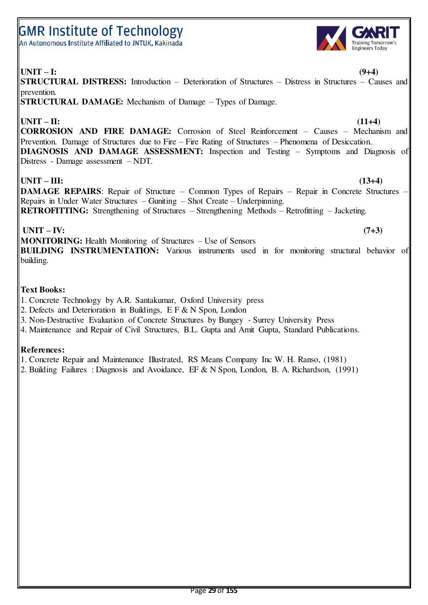An Autonomous Institute Affiliated to JNTUK, Kakinada

**UNIT – I: (9+4) STRUCTURAL DISTRESS:** Introduction – Deterioration of Structures – Distress in Structures – Causes and prevention.

**STRUCTURAL DAMAGE:** Mechanism of Damage – Types of Damage.

**UNIT – II:**  $(11+4)$ **CORROSION AND FIRE DAMAGE:** Corrosion of Steel Reinforcement – Causes – Mechanism and Prevention. Damage of Structures due to Fire – Fire Rating of Structures – Phenomena of Desiccation. **DIAGNOSIS AND DAMAGE ASSESSMENT:** Inspection and Testing – Symptoms and Diagnosis of Distress - Damage assessment – NDT.

**UNIT – III: (13+4) DAMAGE REPAIRS:** Repair of Structure – Common Types of Repairs – Repair in Concrete Structures Repairs in Under Water Structures – Guniting – Shot Create – Underpinning. **RETROFITTING:** Strengthening of Structures – Strengthening Methods – Retrofitting – Jacketing.

 **UNIT – IV: (7+3) MONITORING:** Health Monitoring of Structures – Use of Sensors **BUILDING INSTRUMENTATION:** Various instruments used in for monitoring structural behavior of building.

#### **Text Books:**

- 1. Concrete Technology by A.R. Santakumar, Oxford University press
- 2. Defects and Deterioration in Buildings,  $E F \& N$  Spon, London
- 3. Non-Destructive Evaluation of Concrete Structures by Bungey Surrey University Press
- 4. Maintenance and Repair of Civil Structures, B.L. Gupta and Amit Gupta, Standard Publications.

#### **References:**

- 1. Concrete Repair and Maintenance Illustrated, RS Means Company Inc W. H. Ranso, (1981)
- 2. Building Failures : Diagnosis and Avoidance, EF & N Spon, London, B. A. Richardson, (1991)

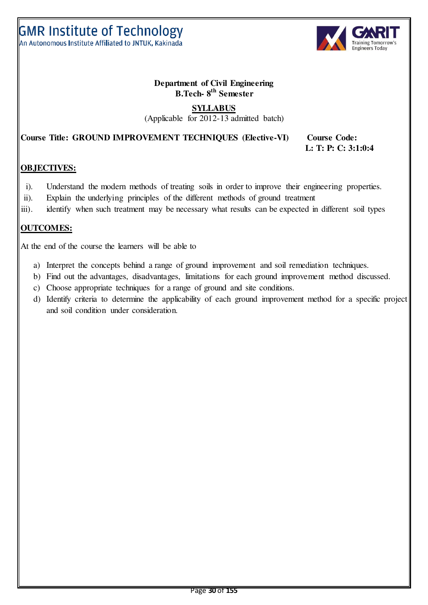

### **Department of Civil Engineering B.Tech- 8th Semester**

### **SYLLABUS**

(Applicable for 2012-13 admitted batch)

### **Course Title: GROUND IMPROVEMENT TECHNIQUES (Elective-VI) Course Code:**

**L: T: P: C: 3:1:0:4**

## **OBJECTIVES:**

- i). Understand the modern methods of treating soils in order to improve their engineering properties.
- ii). Explain the underlying principles of the different methods of ground treatment
- iii). identify when such treatment may be necessary what results can be expected in different soil types

### **OUTCOMES:**

- a) Interpret the concepts behind a range of ground improvement and soil remediation techniques.
- b) Find out the advantages, disadvantages, limitations for each ground improvement method discussed.
- c) Choose appropriate techniques for a range of ground and site conditions.
- d) Identify criteria to determine the applicability of each ground improvement method for a specific project and soil condition under consideration.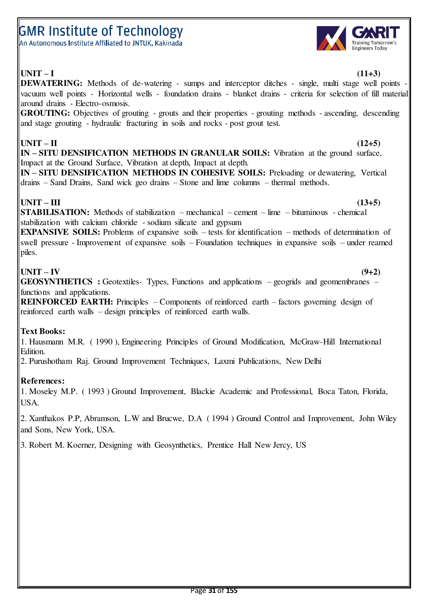An Autonomous Institute Affiliated to JNTUK, Kakinada



## **UNIT – I (11+3)**

**DEWATERING:** Methods of de-watering - sumps and interceptor ditches - single, multi stage well points vacuum well points - Horizontal wells - foundation drains - blanket drains - criteria for selection of fill material around drains - Electro-osmosis.

**GROUTING:** Objectives of grouting - grouts and their properties - grouting methods - ascending, descending and stage grouting - hydraulic fracturing in soils and rocks - post grout test.

**UNIT** – **II** (12+5) **IN – SITU DENSIFICATION METHODS IN GRANULAR SOILS:** Vibration at the ground surface, Impact at the Ground Surface, Vibration at depth, Impact at depth.

**IN – SITU DENSIFICATION METHODS IN COHESIVE SOILS:** Preloading or dewatering, Vertical drains – Sand Drains, Sand wick geo drains – Stone and lime columns – thermal methods.

## **UNIT – III (13+5)**

**STABILISATION:** Methods of stabilization – mechanical – cement – lime – bituminous - chemical stabilization with calcium chloride - sodium silicate and gypsum

**EXPANSIVE SOILS:** Problems of expansive soils – tests for identification – methods of determination of swell pressure - Improvement of expansive soils – Foundation techniques in expansive soils – under reamed piles.

## **UNIT – IV (9+2)**

**GEOSYNTHETICS** : Geotextiles- Types, Functions and applications – geogrids and geomembranes – functions and applications.

**REINFORCED EARTH:** Principles – Components of reinforced earth – factors governing design of reinforced earth walls – design principles of reinforced earth walls.

#### **Text Books:**

1. Hausmann M.R. ( 1990 ), Engineering Principles of Ground Modification, McGraw-Hill International Edition.

2. Purushotham Raj. Ground Improvement Techniques, Laxmi Publications, New Delhi

#### **References:**

1. Moseley M.P. ( 1993 ) Ground Improvement, Blackie Academic and Professional, Boca Taton, Florida, USA.

2. Xanthakos P.P, Abramson, L.W and Brucwe, D.A ( 1994 ) Ground Control and Improvement, John Wiley and Sons, New York, USA.

3. Robert M. Koerner, Designing with Geosynthetics, Prentice Hall New Jercy, US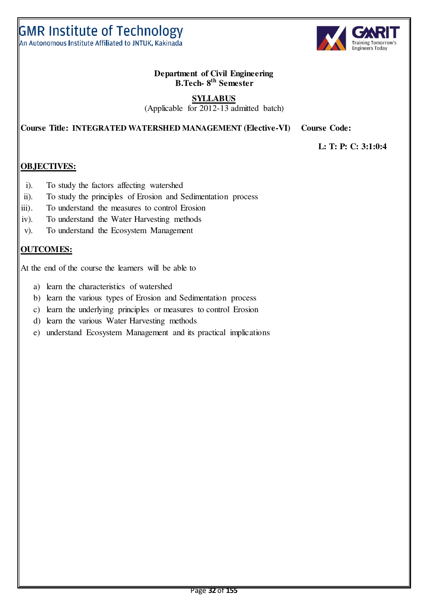

#### **Department of Civil Engineering B.Tech- 8th Semester**

## **SYLLABUS**

(Applicable for 2012-13 admitted batch)

**Course Title: INTEGRATED WATERSHED MANAGEMENT (Elective-VI) Course Code:** 

 **L: T: P: C: 3:1:0:4**

## **OBJECTIVES:**

- i). To study the factors affecting watershed
- ii). To study the principles of Erosion and Sedimentation process
- iii). To understand the measures to control Erosion
- iv). To understand the Water Harvesting methods
- v). To understand the Ecosystem Management

### **OUTCOMES:**

- a) learn the characteristics of watershed
- b) learn the various types of Erosion and Sedimentation process
- c) learn the underlying principles or measures to control Erosion
- d) learn the various Water Harvesting methods
- e) understand Ecosystem Management and its practical implications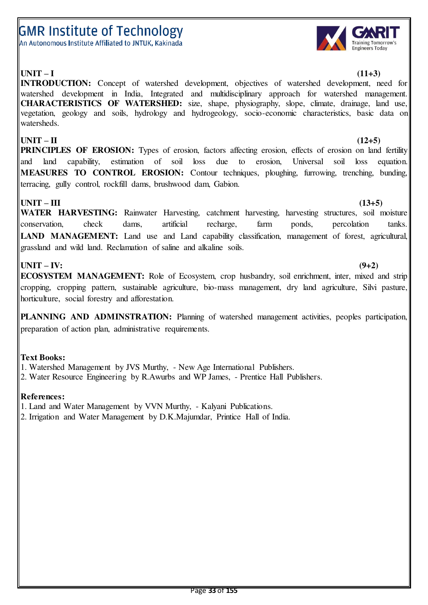**UNIT – I (11+3) INTRODUCTION:** Concept of watershed development, objectives of watershed development, need for watershed development in India, Integrated and multidisciplinary approach for watershed management. **CHARACTERISTICS OF WATERSHED:** size, shape, physiography, slope, climate, drainage, land use, vegetation, geology and soils, hydrology and hydrogeology, socio-economic characteristics, basic data on watersheds.

## **UNIT** – **II** (12+5)

**PRINCIPLES OF EROSION:** Types of erosion, factors affecting erosion, effects of erosion on land fertility and land capability, estimation of soil loss due to erosion, Universal soil loss equation. **MEASURES TO CONTROL EROSION:** Contour techniques, ploughing, furrowing, trenching, bunding, terracing, gully control, rockfill dams, brushwood dam, Gabion.

**UNIT – III (13+5) WATER HARVESTING:** Rainwater Harvesting, catchment harvesting, harvesting structures, soil moisture conservation, check dams, artificial recharge, farm ponds, percolation tanks. **LAND MANAGEMENT:** Land use and Land capability classification, management of forest, agricultural, grassland and wild land. Reclamation of saline and alkaline soils.

## **UNIT – IV: (9+2)**

**ECOSYSTEM MANAGEMENT:** Role of Ecosystem, crop husbandry, soil enrichment, inter, mixed and strip cropping, cropping pattern, sustainable agriculture, bio-mass management, dry land agriculture, Silvi pasture, horticulture, social forestry and afforestation.

**PLANNING AND ADMINSTRATION:** Planning of watershed management activities, peoples participation, preparation of action plan, administrative requirements.

## **Text Books:**

1. Watershed Management by JVS Murthy, - New Age International Publishers.

2. Water Resource Engineering by R.Awurbs and WP James, - Prentice Hall Publishers.

#### **References:**

1. Land and Water Management by VVN Murthy, - Kalyani Publications.

2. Irrigation and Water Management by D.K.Majumdar, Printice Hall of India.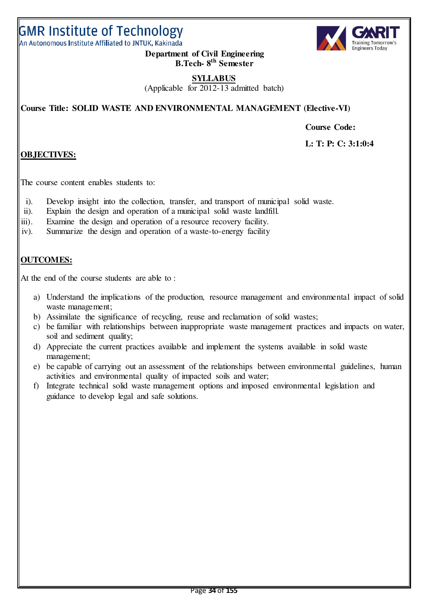**GMR Institute of Technology** 



An Autonomous Institute Affiliated to JNTUK, Kakinada

 **Department of Civil Engineering B.Tech- 8th Semester** 

**SYLLABUS** 

(Applicable for 2012-13 admitted batch)

**Course Title: SOLID WASTE AND ENVIRONMENTAL MANAGEMENT (Elective-VI)** 

 **Course Code:** 

**L: T: P: C: 3:1:0:4**

## **OBJECTIVES:**

The course content enables students to:

- i). Develop insight into the collection, transfer, and transport of municipal solid waste.
- ii). Explain the design and operation of a municipal solid waste landfill.
- iii). Examine the design and operation of a resource recovery facility.
- iv). Summarize the design and operation of a waste-to-energy facility

## **OUTCOMES:**

At the end of the course students are able to :

- a) Understand the implications of the production, resource management and environmental impact of solid waste management;
- b) Assimilate the significance of recycling, reuse and reclamation of solid wastes;
- c) be familiar with relationships between inappropriate waste management practices and impacts on water, soil and sediment quality;
- d) Appreciate the current practices available and implement the systems available in solid waste management;
- e) be capable of carrying out an assessment of the relationships between environmental guidelines, human activities and environmental quality of impacted soils and water;
- f) Integrate technical solid waste management options and imposed environmental legislation and guidance to develop legal and safe solutions.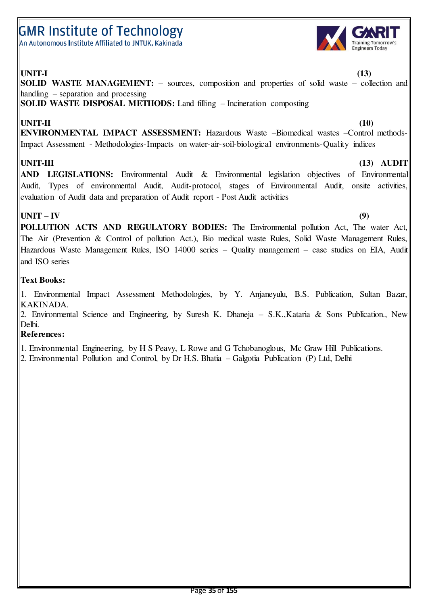An Autonomous Institute Affiliated to JNTUK, Kakinada



**UNIT-I (13) SOLID WASTE MANAGEMENT:** – sources, composition and properties of solid waste – collection and handling – separation and processing

**SOLID WASTE DISPOSAL METHODS:** Land filling – Incineration composting

**UNIT-II (10) ENVIRONMENTAL IMPACT ASSESSMENT:** Hazardous Waste –Biomedical wastes –Control methods-Impact Assessment - Methodologies-Impacts on water-air-soil-biological environments-Quality indices

### **UNIT-III (13) AUDIT**

**AND LEGISLATIONS:** Environmental Audit & Environmental legislation objectives of Environmental Audit, Types of environmental Audit, Audit-protocol, stages of Environmental Audit, onsite activities, evaluation of Audit data and preparation of Audit report - Post Audit activities

## **UNIT – IV (9)**

**POLLUTION ACTS AND REGULATORY BODIES:** The Environmental pollution Act, The water Act, The Air (Prevention & Control of pollution Act.), Bio medical waste Rules, Solid Waste Management Rules, Hazardous Waste Management Rules, ISO 14000 series – Quality management – case studies on EIA, Audit and ISO series

## **Text Books:**

1. Environmental Impact Assessment Methodologies, by Y. Anjaneyulu, B.S. Publication, Sultan Bazar, KAKINADA.

2. Environmental Science and Engineering, by Suresh K. Dhaneja – S.K.,Kataria & Sons Publication., New Delhi.

## **References:**

1. Environmental Engineering, by H S Peavy, L Rowe and G Tchobanoglous, Mc Graw Hill Publications.

2. Environmental Pollution and Control, by Dr H.S. Bhatia – Galgotia Publication (P) Ltd, Delhi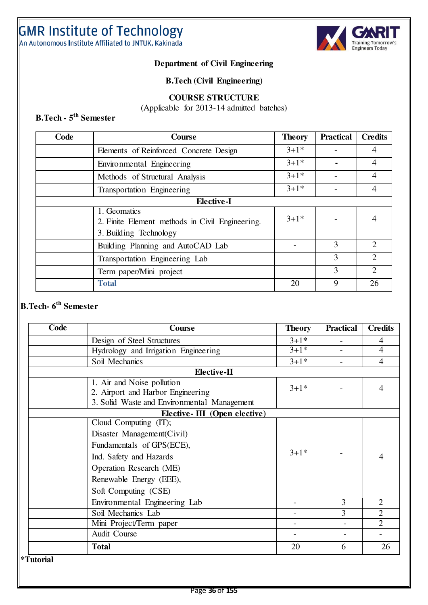

## **Department of Civil Engineering**

## **B.Tech (Civil Engineering)**

#### **COURSE STRUCTURE**

(Applicable for 2013-14 admitted batches)

## **B.Tech - 5th Semester**

| Code | <b>Course</b>                                                                             | <b>Theory</b> | <b>Practical</b> | <b>Credits</b>              |
|------|-------------------------------------------------------------------------------------------|---------------|------------------|-----------------------------|
|      | Elements of Reinforced Concrete Design                                                    | $3+1*$        |                  |                             |
|      | Environmental Engineering                                                                 | $3 + 1*$      |                  | 4                           |
|      | Methods of Structural Analysis                                                            | $3 + 1*$      |                  | $\overline{4}$              |
|      | Transportation Engineering                                                                | $3 + 1*$      |                  |                             |
|      | <b>Elective-I</b>                                                                         |               |                  |                             |
|      | 1. Geomatics<br>2. Finite Element methods in Civil Engineering.<br>3. Building Technology | $3 + 1*$      |                  |                             |
|      | Building Planning and AutoCAD Lab                                                         |               | 3                | $\mathcal{D}_{\mathcal{L}}$ |
|      | Transportation Engineering Lab                                                            |               | 3                | $\overline{2}$              |
|      | Term paper/Mini project                                                                   |               | 3                | $\overline{2}$              |
|      | <b>Total</b>                                                                              | 20            | 9                | 26                          |

## **B.Tech- 6th Semester**

| Code               | <b>Course</b>                               | <b>Theory</b> | <b>Practical</b> | <b>Credits</b> |
|--------------------|---------------------------------------------|---------------|------------------|----------------|
|                    | Design of Steel Structures                  | $3+1*$        |                  | 4              |
|                    | Hydrology and Irrigation Engineering        | $3+1*$        |                  | $\overline{4}$ |
|                    | Soil Mechanics                              | $3+1*$        |                  | 4              |
|                    | <b>Elective-II</b>                          |               |                  |                |
|                    | 1. Air and Noise pollution                  | $3 + 1*$      |                  | 4              |
|                    | 2. Airport and Harbor Engineering           |               |                  |                |
|                    | 3. Solid Waste and Environmental Management |               |                  |                |
|                    | Elective-III (Open elective)                |               |                  |                |
|                    | Cloud Computing (IT);                       |               |                  | 4              |
|                    | Disaster Management (Civil)                 |               |                  |                |
|                    | Fundamentals of GPS(ECE),                   | $3 + 1*$      |                  |                |
|                    | Ind. Safety and Hazards                     |               |                  |                |
|                    | <b>Operation Research (ME)</b>              |               |                  |                |
|                    | Renewable Energy (EEE),                     |               |                  |                |
|                    | Soft Computing (CSE)                        |               |                  |                |
|                    | Environmental Engineering Lab               |               | 3                | $\overline{2}$ |
|                    | Soil Mechanics Lab                          |               | 3                | $\overline{2}$ |
|                    | Mini Project/Term paper                     |               |                  | $\overline{2}$ |
|                    | <b>Audit Course</b>                         |               |                  |                |
|                    | <b>Total</b>                                | 20            | 6                | 26             |
| $T_{\text{total}}$ |                                             |               |                  |                |

**\*Tutorial**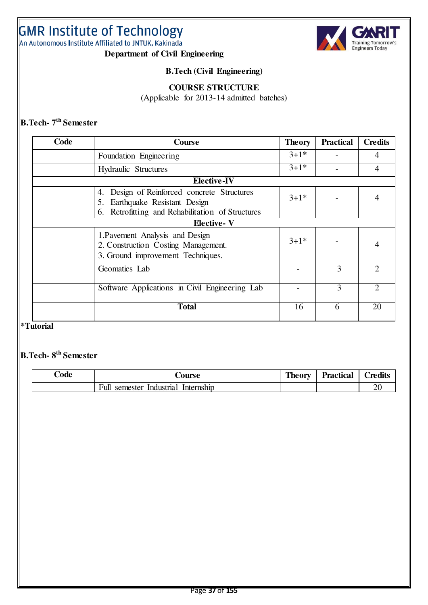**GMR Institute of Technology**<br>An Autonomous Institute Affiliated to JNTUK, Kakinada



# **Department of Civil Engineering**

# **B.Tech (Civil Engineering)**

#### **COURSE STRUCTURE**

(Applicable for 2013-14 admitted batches)

# **B.Tech- 7th Semester**

| Code | <b>Course</b>                                                                                                                              | <b>Theory</b> | <b>Practical</b> | <b>Credits</b> |
|------|--------------------------------------------------------------------------------------------------------------------------------------------|---------------|------------------|----------------|
|      | Foundation Engineering                                                                                                                     | $3 + 1*$      |                  | 4              |
|      | Hydraulic Structures                                                                                                                       | $3+1*$        |                  | 4              |
|      | <b>Elective-IV</b>                                                                                                                         |               |                  |                |
|      | Design of Reinforced concrete Structures<br>4.<br>Earthquake Resistant Design<br>5.<br>Retrofitting and Rehabilitation of Structures<br>6. | $3 + 1*$      |                  |                |
|      | <b>Elective-V</b>                                                                                                                          |               |                  |                |
|      | 1. Pavement Analysis and Design<br>2. Construction Costing Management.<br>3. Ground improvement Techniques.                                | $3 + 1*$      |                  |                |
|      | Geomatics Lab                                                                                                                              |               | 3                |                |
|      | Software Applications in Civil Engineering Lab                                                                                             |               | 3                |                |
|      | <b>Total</b>                                                                                                                               | 16            | 6                | 20             |

**\*Tutorial** 

# **B.Tech- 8th Semester**

| <b>Sode</b> | ourse                                        | $\mathbf{r}$<br><b>Theory</b> | Practical | `re dits |
|-------------|----------------------------------------------|-------------------------------|-----------|----------|
|             | Full<br>Internship<br>Industria.<br>semester |                               |           | ∼        |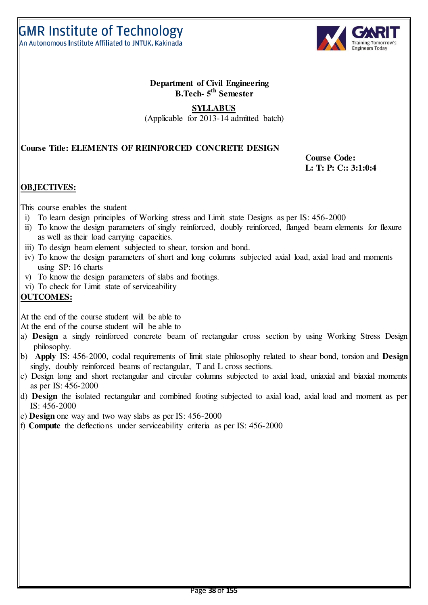

#### **Department of Civil Engineering B.Tech- 5th Semester**

#### **SYLLABUS**

(Applicable for 2013-14 admitted batch)

### **Course Title: ELEMENTS OF REINFORCED CONCRETE DESIGN**

 **Course Code: L: T: P: C:: 3:1:0:4** 

### **OBJECTIVES:**

This course enables the student

- i) To learn design principles of Working stress and Limit state Designs as per IS: 456-2000
- ii) To know the design parameters of singly reinforced, doubly reinforced, flanged beam elements for flexure as well as their load carrying capacities.
- iii) To design beam element subjected to shear, torsion and bond.
- iv) To know the design parameters of short and long columns subjected axial load, axial load and moments using SP: 16 charts
- v) To know the design parameters of slabs and footings.
- vi) To check for Limit state of serviceability

### **OUTCOMES:**

At the end of the course student will be able to

At the end of the course student will be able to

- a) **Design** a singly reinforced concrete beam of rectangular cross section by using Working Stress Design philosophy.
- b) **Apply** IS: 456-2000, codal requirements of limit state philosophy related to shear bond, torsion and **Design**  singly, doubly reinforced beams of rectangular, T and L cross sections.
- c) Design long and short rectangular and circular columns subjected to axial load, uniaxial and biaxial moments as per IS: 456-2000
- d) **Design** the isolated rectangular and combined footing subjected to axial load, axial load and moment as per IS: 456-2000
- e) **Design** one way and two way slabs as per IS: 456-2000
- f) **Compute** the deflections under serviceability criteria as per IS: 456-2000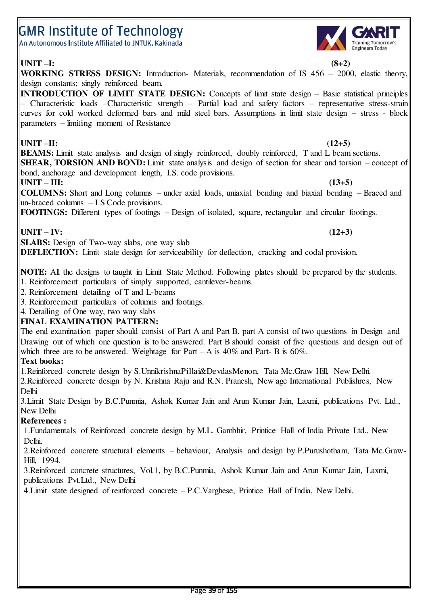#### Page **39** of **155**

# **GMR Institute of Technology**

An Autonomous Institute Affiliated to JNTUK, Kakinada

## **UNIT –I: (8+2)**

**WORKING STRESS DESIGN:** Introduction- Materials, recommendation of IS 456 – 2000, elastic theory, design constants; singly reinforced beam.

**INTRODUCTION OF LIMIT STATE DESIGN:** Concepts of limit state design – Basic statistical principles – Characteristic loads –Characteristic strength – Partial load and safety factors – representative stress-strain curves for cold worked deformed bars and mild steel bars. Assumptions in limit state design – stress - block parameters – limiting moment of Resistance

### **UNIT –II: (12+5)**

**BEAMS:** Limit state analysis and design of singly reinforced, doubly reinforced, T and L beam sections.

**SHEAR, TORSION AND BOND:** Limit state analysis and design of section for shear and torsion – concept of bond, anchorage and development length, I.S. code provisions.

**UNIT – III: (13+5)**

**COLUMNS:** Short and Long columns – under axial loads, uniaxial bending and biaxial bending – Braced and un-braced columns – I S Code provisions.

**FOOTINGS:** Different types of footings – Design of isolated, square, rectangular and circular footings.

**UNIT –IV:**  $(12+3)$ 

**SLABS:** Design of Two-way slabs, one way slab

**DEFLECTION:** Limit state design for serviceability for deflection, cracking and codal provision.

**NOTE:** All the designs to taught in Limit State Method. Following plates should be prepared by the students. 1. Reinforcement particulars of simply supported, cantilever-beams.

2. Reinforcement detailing of T and L-beams

3. Reinforcement particulars of columns and footings.

4. Detailing of One way, two way slabs

#### **FINAL EXAMINATION PATTERN:**

The end examination paper should consist of Part A and Part B. part A consist of two questions in Design and Drawing out of which one question is to be answered. Part B should consist of five questions and design out of which three are to be answered. Weightage for Part – A is  $40\%$  and Part- B is  $60\%$ .

**Text books:** 

1.Reinforced concrete design by S.UnnikrishnaPillai&DevdasMenon, Tata Mc.Graw Hill, New Delhi.

2.Reinforced concrete design by N. Krishna Raju and R.N. Pranesh, New age International Publishres, New Delhi

3.Limit State Design by B.C.Punmia, Ashok Kumar Jain and Arun Kumar Jain, Laxmi, publications Pvt. Ltd., New Delhi

#### **References :**

1.Fundamentals of Reinforced concrete design by M.L. Gambhir, Printice Hall of India Private Ltd., New Delhi.

2.Reinforced concrete structural elements – behaviour, Analysis and design by P.Purushotham, Tata Mc.Graw-Hill, 1994.

3.Reinforced concrete structures, Vol.1, by B.C.Punmia, Ashok Kumar Jain and Arun Kumar Jain, Laxmi, publications Pvt.Ltd., New Delhi

4.Limit state designed of reinforced concrete – P.C.Varghese, Printice Hall of India, New Delhi.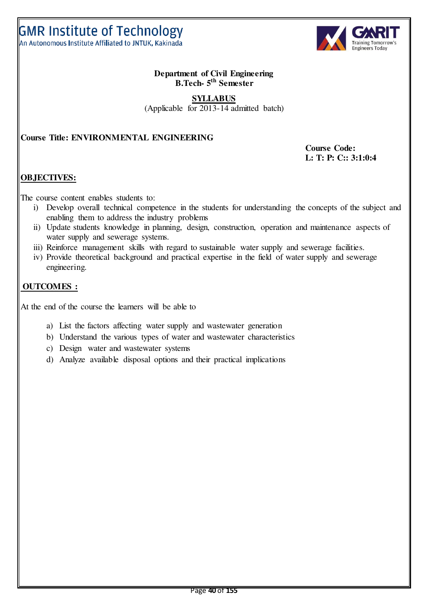

#### **Department of Civil Engineering B.Tech- 5th Semester**

#### **SYLLABUS**

(Applicable for 2013-14 admitted batch)

#### **Course Title: ENVIRONMENTAL ENGINEERING**

 **Course Code: L: T: P: C:: 3:1:0:4** 

### **OBJECTIVES:**

The course content enables students to:

- i) Develop overall technical competence in the students for understanding the concepts of the subject and enabling them to address the industry problems
- ii) Update students knowledge in planning, design, construction, operation and maintenance aspects of water supply and sewerage systems.
- iii) Reinforce management skills with regard to sustainable water supply and sewerage facilities.
- iv) Provide theoretical background and practical expertise in the field of water supply and sewerage engineering.

#### **OUTCOMES :**

At the end of the course the learners will be able to

- a) List the factors affecting water supply and wastewater generation
- b) Understand the various types of water and wastewater characteristics
- c) Design water and wastewater systems
- d) Analyze available disposal options and their practical implications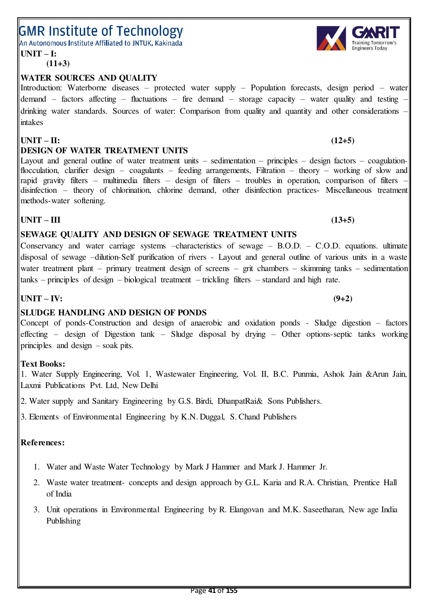An Autonomous Institute Affiliated to JNTUK, Kakinada

**DESIGN OF WATER TREATMENT UNITS** 

### $UNIT - I:$

intakes

#### **(11+3)**

#### **WATER SOURCES AND QUALITY**

#### disinfection – theory of chlorination, chlorine demand, other disinfection practices- Miscellaneous treatment methods-water softening.

### **UNIT – III (13+5) SEWAGE QUALITY AND DESIGN OF SEWAGE TREATMENT UNITS**

Conservancy and water carriage systems –characteristics of sewage – B.O.D. – C.O.D. equations. ultimate disposal of sewage –dilution-Self purification of rivers - Layout and general outline of various units in a waste water treatment plant – primary treatment design of screens – grit chambers – skimming tanks – sedimentation tanks – principles of design – biological treatment – trickling filters – standard and high rate.

Introduction: Waterborne diseases – protected water supply – Population forecasts, design period – water demand – factors affecting – fluctuations – fire demand – storage capacity – water quality and testing – drinking water standards. Sources of water: Comparison from quality and quantity and other considerations –

Layout and general outline of water treatment units – sedimentation – principles – design factors – coagulationflocculation, clarifier design – coagulants – feeding arrangements, Filtration – theory – working of slow and rapid gravity filters – multimedia filters – design of filters – troubles in operation, comparison of filters –

# **UNIT – IV: (9+2)**

#### **SLUDGE HANDLING AND DESIGN OF PONDS**

Concept of ponds-Construction and design of anaerobic and oxidation ponds - Sludge digestion – factors effecting – design of Digestion tank – Sludge disposal by drying – Other options-septic tanks working principles and design – soak pits.

### **Text Books:**

1. Water Supply Engineering, Vol. 1, Wastewater Engineering, Vol. II, B.C. Punmia, Ashok Jain &Arun Jain, Laxmi Publications Pvt. Ltd, New Delhi

2. Water supply and Sanitary Engineering by G.S. Birdi, DhanpatRai& Sons Publishers.

3. Elements of Environmental Engineering by K.N. Duggal, S. Chand Publishers

### **References:**

- 1. Water and Waste Water Technology by Mark J Hammer and Mark J. Hammer Jr.
- 2. Waste water treatment- concepts and design approach by G.L. Karia and R.A. Christian, Prentice Hall of India
- 3. Unit operations in Environmental Engineering by R. Elangovan and M.K. Saseetharan, New age India Publishing

**UNIT – II: (12+5)**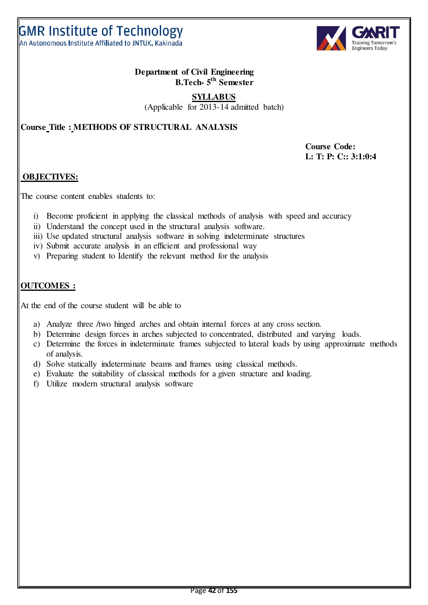

#### **Department of Civil Engineering B.Tech- 5th Semester**

**SYLLABUS**  (Applicable for 2013-14 admitted batch)

# **Course Title : METHODS OF STRUCTURAL ANALYSIS**

 **Course Code: L: T: P: C:: 3:1:0:4** 

### **OBJECTIVES:**

The course content enables students to:

- i) Become proficient in applying the classical methods of analysis with speed and accuracy
- ii) Understand the concept used in the structural analysis software.
- iii) Use updated structural analysis software in solving indeterminate structures
- iv) Submit accurate analysis in an efficient and professional way
- v) Preparing student to Identify the relevant method for the analysis

### **OUTCOMES :**

At the end of the course student will be able to

- a) Analyze three /two hinged arches and obtain internal forces at any cross section.
- b) Determine design forces in arches subjected to concentrated, distributed and varying loads.
- c) Determine the forces in indeterminate frames subjected to lateral loads by using approximate methods of analysis.
- d) Solve statically indeterminate beams and frames using classical methods.
- e) Evaluate the suitability of classical methods for a given structure and loading.
- f) Utilize modern structural analysis software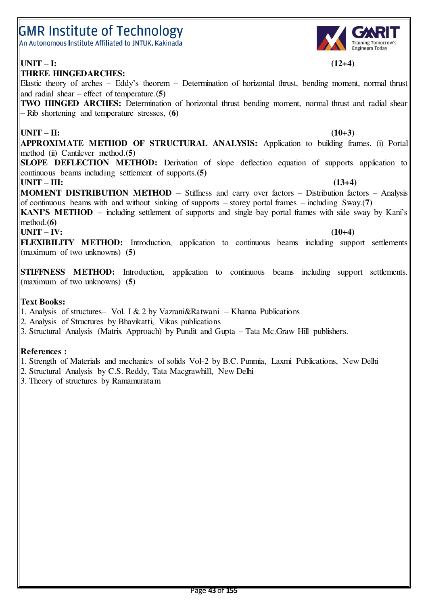An Autonomous Institute Affiliated to JNTUK, Kakinada

#### **THREE HINGEDARCHES:**

Elastic theory of arches – Eddy's theorem – Determination of horizontal thrust, bending moment, normal thrust and radial shear – effect of temperature.**(5)**

**TWO HINGED ARCHES:** Determination of horizontal thrust bending moment, normal thrust and radial shear – Rib shortening and temperature stresses, **(6)**

### **UNIT – II:**  $(10+3)$

**APPROXIMATE METHOD OF STRUCTURAL ANALYSIS:** Application to building frames. (i) Portal method (ii) Cantilever method.**(5)**

**SLOPE DEFLECTION METHOD:** Derivation of slope deflection equation of supports application to continuous beams including settlement of supports.**(5)**

**UNIT – III: (13+4)** 

**MOMENT DISTRIBUTION METHOD** – Stiffness and carry over factors – Distribution factors – Analysis of continuous beams with and without sinking of supports – storey portal frames – including Sway.(**7)**

**KANI'S METHOD** – including settlement of supports and single bay portal frames with side sway by Kani's

method. $(6)$ <br>UNIT – IV: **UNIT – IV: (10+4)** 

**FLEXIBILITY METHOD:** Introduction, application to continuous beams including support settlements (maximum of two unknowns) **(5)** 

**STIFFNESS METHOD:** Introduction, application to continuous beams including support settlements. (maximum of two unknowns) **(5)** 

#### **Text Books:**

1. Analysis of structures– Vol. I & 2 by Vazrani&Ratwani – Khanna Publications

2. Analysis of Structures by Bhavikatti, Vikas publications

3. Structural Analysis (Matrix Approach) by Pundit and Gupta – Tata Mc.Graw Hill publishers.

### **References :**

1. Strength of Materials and mechanics of solids Vol-2 by B.C. Punmia, Laxmi Publications, New Delhi

2. Structural Analysis by C.S. Reddy, Tata Macgrawhill, New Delhi

3. Theory of structures by Ramamuratam

**UNIT – I: (12+4)** 

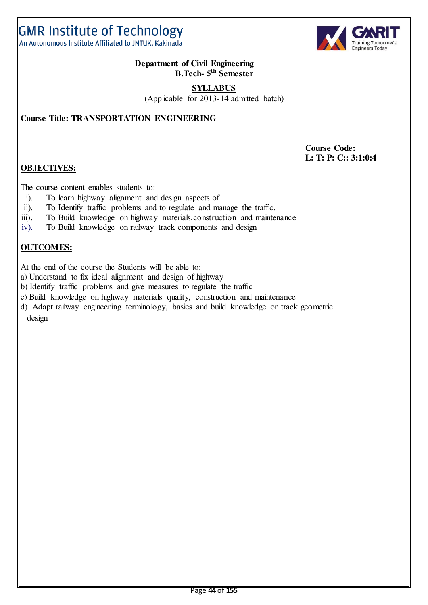

#### **Department of Civil Engineering B.Tech- 5th Semester**

**SYLLABUS**  (Applicable for 2013-14 admitted batch)

#### **Course Title: TRANSPORTATION ENGINEERING**

 **Course Code: L: T: P: C:: 3:1:0:4** 

### **OBJECTIVES:**

The course content enables students to:

- i). To learn highway alignment and design aspects of
- ii). To Identify traffic problems and to regulate and manage the traffic.
- iii). To Build knowledge on highway materials, construction and maintenance iv). To Build knowledge on railway track components and design
- To Build knowledge on railway track components and design

#### **OUTCOMES:**

At the end of the course the Students will be able to:

- a) Understand to fix ideal alignment and design of highway
- b) Identify traffic problems and give measures to regulate the traffic
- $\vert$ c) Build knowledge on highway materials quality, construction and maintenance
- d) Adapt railway engineering terminology, basics and build knowledge on track geometric

design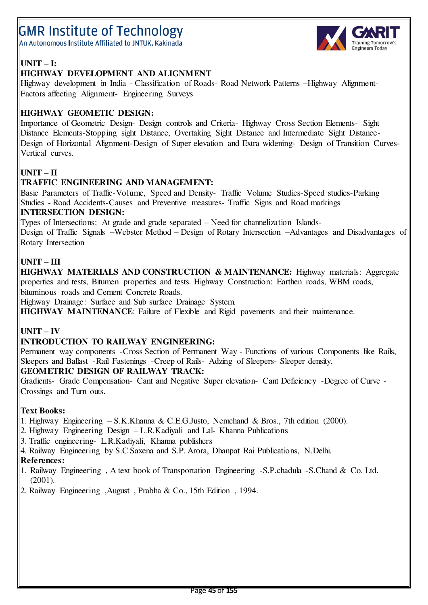An Autonomous Institute Affiliated to JNTUK, Kakinada



# $\mathbf{I}$  **UNIT**  $-$  **I:**

## **HIGHWAY DEVELOPMENT AND ALIGNMENT**

Highway development in India - Classification of Roads- Road Network Patterns –Highway Alignment-Factors affecting Alignment- Engineering Surveys

### **HIGHWAY GEOMETIC DESIGN:**

Importance of Geometric Design- Design controls and Criteria- Highway Cross Section Elements- Sight Distance Elements-Stopping sight Distance, Overtaking Sight Distance and Intermediate Sight Distance-Design of Horizontal Alignment-Design of Super elevation and Extra widening- Design of Transition Curves-Vertical curves.

# **UNIT – II**

### **TRAFFIC ENGINEERING AND MANAGEMENT:**

Basic Parameters of Traffic-Volume, Speed and Density- Traffic Volume Studies-Speed studies-Parking Studies - Road Accidents-Causes and Preventive measures- Traffic Signs and Road markings **INTERSECTION DESIGN:** 

Types of Intersections: At grade and grade separated – Need for channelization Islands-

Design of Traffic Signals –Webster Method – Design of Rotary Intersection –Advantages and Disadvantages of Rotary Intersection

### **UNIT – III**

**HIGHWAY MATERIALS AND CONSTRUCTION & MAINTENANCE:** Highway materials: Aggregate properties and tests, Bitumen properties and tests. Highway Construction: Earthen roads, WBM roads, bituminous roads and Cement Concrete Roads.

Highway Drainage: Surface and Sub surface Drainage System.

**HIGHWAY MAINTENANCE:** Failure of Flexible and Rigid pavements and their maintenance.

### **UNIT – IV**

#### **INTRODUCTION TO RAILWAY ENGINEERING:**

Permanent way components -Cross Section of Permanent Way - Functions of various Components like Rails, Sleepers and Ballast -Rail Fastenings -Creep of Rails- Adzing of Sleepers- Sleeper density.

#### **GEOMETRIC DESIGN OF RAILWAY TRACK:**

Gradients- Grade Compensation- Cant and Negative Super elevation- Cant Deficiency -Degree of Curve - Crossings and Turn outs.

#### **Text Books:**

- 1. Highway Engineering S.K.Khanna & C.E.G.Justo, Nemchand & Bros., 7th edition (2000).
- 2. Highway Engineering Design L.R.Kadiyali and Lal- Khanna Publications

3. Traffic engineering- L.R.Kadiyali, Khanna publishers

4. Railway Engineering by S.C Saxena and S.P. Arora, Dhanpat Rai Publications, N.Delhi.

### **References:**

- 1. Railway Engineering , A text book of Transportation Engineering -S.P.chadula -S.Chand & Co. Ltd. (2001).
- 2. Railway Engineering ,August , Prabha & Co., 15th Edition , 1994.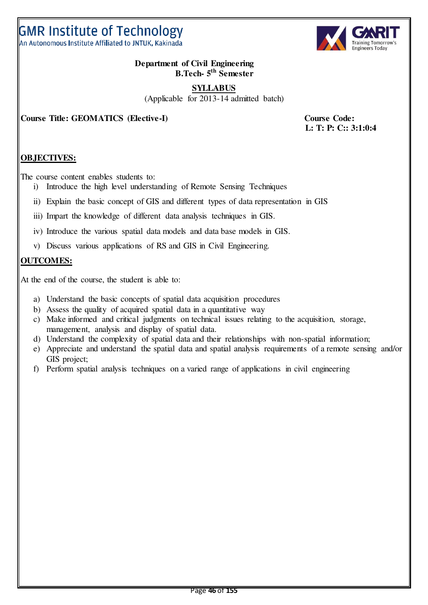

#### **Department of Civil Engineering B.Tech- 5th Semester**

**SYLLABUS** 

(Applicable for 2013-14 admitted batch)

Course Title: GEOMATICS (Elective-I) Course Code:

**L: T: P: C:: 3:1:0:4** 

### **OBJECTIVES:**

The course content enables students to:

- i) Introduce the high level understanding of Remote Sensing Techniques
- ii) Explain the basic concept of GIS and different types of data representation in GIS
- iii) Impart the knowledge of different data analysis techniques in GIS.
- iv) Introduce the various spatial data models and data base models in GIS.
- v) Discuss various applications of RS and GIS in Civil Engineering.

#### **OUTCOMES:**

At the end of the course, the student is able to:

- a) Understand the basic concepts of spatial data acquisition procedures
- b) Assess the quality of acquired spatial data in a quantitative way
- c) Make informed and critical judgments on technical issues relating to the acquisition, storage, management, analysis and display of spatial data.
- d) Understand the complexity of spatial data and their relationships with non-spatial information;
- e) Appreciate and understand the spatial data and spatial analysis requirements of a remote sensing and/or GIS project;
- f) Perform spatial analysis techniques on a varied range of applications in civil engineering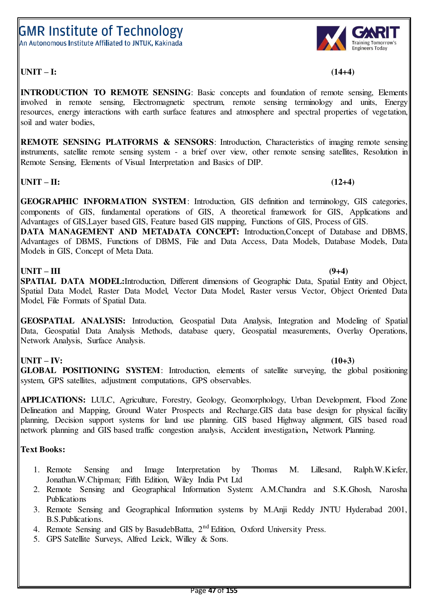

# **UNIT – I: (14+4)**

**INTRODUCTION TO REMOTE SENSING**: Basic concepts and foundation of remote sensing, Elements involved in remote sensing, Electromagnetic spectrum, remote sensing terminology and units, Energy resources, energy interactions with earth surface features and atmosphere and spectral properties of vegetation, soil and water bodies,

**REMOTE SENSING PLATFORMS & SENSORS:** Introduction, Characteristics of imaging remote sensing instruments, satellite remote sensing system - a brief over view, other remote sensing satellites, Resolution in Remote Sensing, Elements of Visual Interpretation and Basics of DIP.

**UNIT – II: (12+4)** 

**GEOGRAPHIC INFORMATION SYSTEM**: Introduction, GIS definition and terminology, GIS categories, components of GIS, fundamental operations of GIS, A theoretical framework for GIS, Applications and Advantages of GIS,Layer based GIS, Feature based GIS mapping, Functions of GIS, Process of GIS.

**DATA MANAGEMENT AND METADATA CONCEPT:** Introduction,Concept of Database and DBMS, Advantages of DBMS, Functions of DBMS, File and Data Access, Data Models, Database Models, Data Models in GIS, Concept of Meta Data.

### **UNIT – III (9+4)**

**SPATIAL DATA MODEL:**Introduction, Different dimensions of Geographic Data, Spatial Entity and Object, Spatial Data Model, Raster Data Model, Vector Data Model, Raster versus Vector, Object Oriented Data Model, File Formats of Spatial Data.

**GEOSPATIAL ANALYSIS:** Introduction, Geospatial Data Analysis, Integration and Modeling of Spatial Data, Geospatial Data Analysis Methods, database query, Geospatial measurements, Overlay Operations, Network Analysis, Surface Analysis.

### $|UNIT - IV:$  (10+3)

**GLOBAL POSITIONING SYSTEM**: Introduction, elements of satellite surveying, the global positioning system, GPS satellites, adjustment computations, GPS observables.

**APPLICATIONS:** LULC, Agriculture, Forestry, Geology, Geomorphology, Urban Development, Flood Zone Delineation and Mapping, Ground Water Prospects and Recharge.GIS data base design for physical facility planning, Decision support systems for land use planning. GIS based Highway alignment, GIS based road network planning and GIS based traffic congestion analysis, Accident investigation**,** Network Planning.

### **Text Books:**

- 1. Remote Sensing and Image Interpretation by Thomas M. Lillesand, Ralph.W.Kiefer, Jonathan.W.Chipman; Fifth Edition, Wiley India Pvt Ltd
- 2. Remote Sensing and Geographical Information System: A.M.Chandra and S.K.Ghosh, Narosha Publications
- 3. Remote Sensing and Geographical Information systems by M.Anji Reddy JNTU Hyderabad 2001, B.S.Publications.
- 4. Remote Sensing and GIS by BasudebBatta, 2<sup>nd</sup> Edition, Oxford University Press.
- 5. GPS Satellite Surveys, Alfred Leick, Willey & Sons.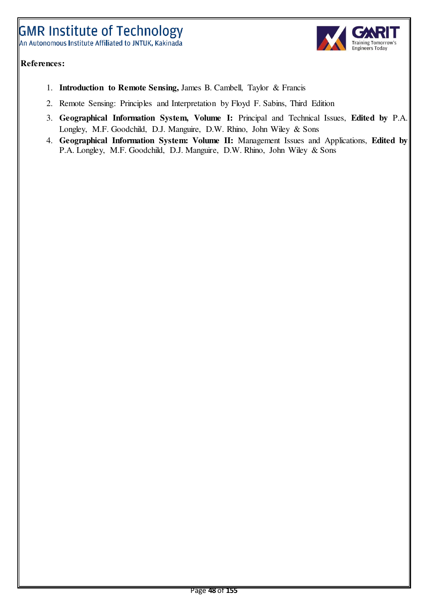

#### **References:**

- 1. **Introduction to Remote Sensing,** James B. Cambell, Taylor & Francis
- 2. Remote Sensing: Principles and Interpretation by Floyd F. Sabins, Third Edition
- 3. **Geographical Information System, Volume I:** Principal and Technical Issues, **Edited by** P.A. Longley, M.F. Goodchild, D.J. Manguire, D.W. Rhino, John Wiley & Sons
- 4. **Geographical Information System: Volume II:** Management Issues and Applications, **Edited by**  P.A. Longley, M.F. Goodchild, D.J. Manguire, D.W. Rhino, John Wiley & Sons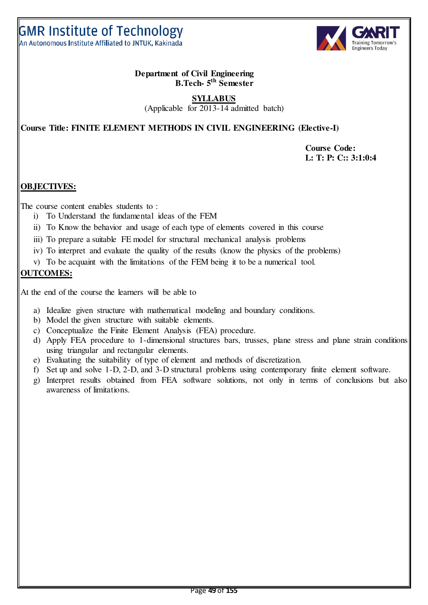

#### **Department of Civil Engineering B.Tech- 5th Semester**

# **SYLLABUS**

(Applicable for 2013-14 admitted batch)

**Course Title: FINITE ELEMENT METHODS IN CIVIL ENGINEERING (Elective-I)**

 **Course Code: L: T: P: C:: 3:1:0:4** 

#### **OBJECTIVES:**

The course content enables students to :

- i) To Understand the fundamental ideas of the FEM
- ii) To Know the behavior and usage of each type of elements covered in this course
- iii) To prepare a suitable FE model for structural mechanical analysis problems
- iv) To interpret and evaluate the quality of the results (know the physics of the problems)
- v) To be acquaint with the limitations of the FEM being it to be a numerical tool.

#### **OUTCOMES:**

At the end of the course the learners will be able to

- a) Idealize given structure with mathematical modeling and boundary conditions.
- b) Model the given structure with suitable elements.
- c) Conceptualize the Finite Element Analysis (FEA) procedure.
- d) Apply FEA procedure to 1-dimensional structures bars, trusses, plane stress and plane strain conditions using triangular and rectangular elements.
- e) Evaluating the suitability of type of element and methods of discretization.
- f) Set up and solve 1-D, 2-D, and 3-D structural problems using contemporary finite element software.
- g) Interpret results obtained from FEA software solutions, not only in terms of conclusions but also awareness of limitations.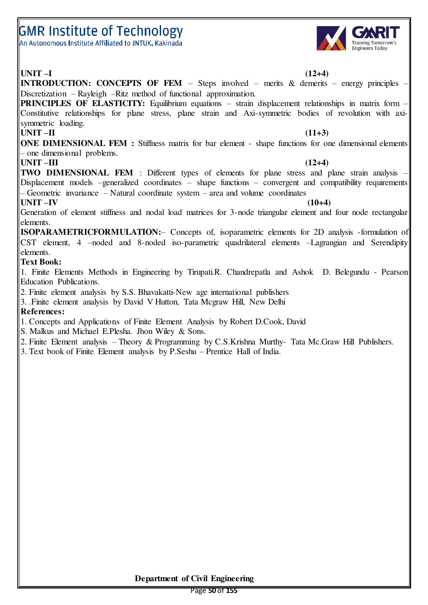An Autonomous Institute Affiliated to JNTUK, Kakinada

**UNIT –I (12+4) INTRODUCTION: CONCEPTS OF FEM** – Steps involved – merits & demerits – energy principles Discretization – Rayleigh –Ritz method of functional approximation.

**PRINCIPLES OF ELASTICITY:** Equilibrium equations – strain displacement relationships in matrix form Constitutive relationships for plane stress, plane strain and Axi-symmetric bodies of revolution with axisymmetric loading.<br>UNIT-II

#### **UNIT –II (11+3)**

**ONE DIMENSIONAL FEM :** Stiffness matrix for bar element - shape functions for one dimensional elements – one dimensional problems.

### **UNIT –III (12+4)**

**TWO DIMENSIONAL FEM** : Different types of elements for plane stress and plane strain analysis – Displacement models –generalized coordinates – shape functions – convergent and compatibility requirements – Geometric invariance – Natural coordinate system – area and volume coordinates **UNIT** – IV

**UNIT –IV (10+4)** 

Generation of element stiffness and nodal load matrices for 3-node triangular element and four node rectangular elements.

**ISOPARAMETRICFORMULATION:**– Concepts of, isoparametric elements for 2D analysis -formulation of CST element, 4 –noded and 8-noded iso-parametric quadrilateral elements –Lagrangian and Serendipity elements.

#### **Text Book:**

1. Finite Elements Methods in Engineering by Tirupati.R. Chandrepatla and Ashok D. Belegundu - Pearson Education Publications.

2. Finite element analysis by S.S. Bhavakatti-New age international publishers

3. .Finite element analysis by David V Hutton, Tata Mcgraw Hill, New Delhi

#### **References:**

1. Concepts and Applications of Finite Element Analysis by Robert D.Cook, David

S. Malkus and Michael E.Plesha. Jhon Wiley & Sons.

2. Finite Element analysis – Theory & Programming by C.S.Krishna Murthy- Tata Mc.Graw Hill Publishers.

3. Text book of Finite Element analysis by P.Seshu – Prentice Hall of India.

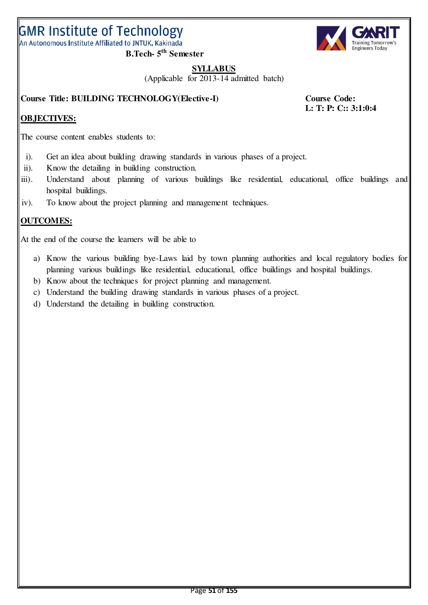An Autonomous Institute Affiliated to JNTUK, Kakinada



# **B.Tech- 5th Semester**

#### **SYLLABUS**

(Applicable for 2013-14 admitted batch)

## **Course Title: BUILDING TECHNOLOGY(Elective-I) Course Code:**

**L: T: P: C:: 3:1:0:4** 

# **OBJECTIVES:**

The course content enables students to:

- i). Get an idea about building drawing standards in various phases of a project.
- ii). Know the detailing in building construction.
- iii). Understand about planning of various buildings like residential, educational, office buildings and hospital buildings.
- iv). To know about the project planning and management techniques.

# **OUTCOMES:**

At the end of the course the learners will be able to

- a) Know the various building bye-Laws laid by town planning authorities and local regulatory bodies for planning various buildings like residential, educational, office buildings and hospital buildings.
- b) Know about the techniques for project planning and management.
- c) Understand the building drawing standards in various phases of a project.
- d) Understand the detailing in building construction.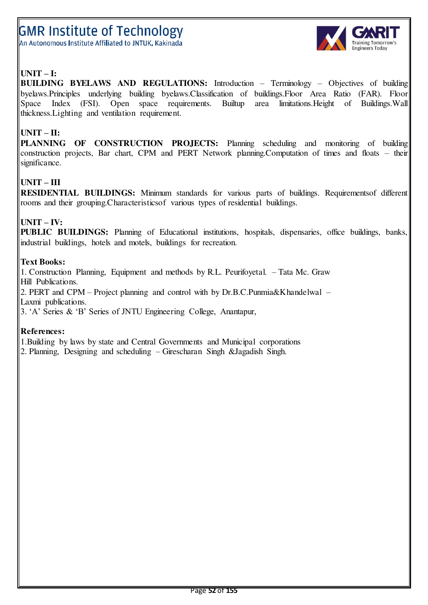

### $|$ **UNIT**  $-$ **I:**

**BUILDING BYELAWS AND REGULATIONS:** Introduction – Terminology – Objectives of building byelaws.Principles underlying building byelaws.Classification of buildings.Floor Area Ratio (FAR). Floor Space Index (FSI). Open space requirements. Builtup area limitations.Height of Buildings.Wall Space Index (FSI). Open space requirements. Builtup thickness.Lighting and ventilation requirement.

#### **UNIT – II:**

**PLANNING OF CONSTRUCTION PROJECTS:** Planning scheduling and monitoring of building construction projects, Bar chart, CPM and PERT Network planning.Computation of times and floats – their significance.

#### **UNIT – III**

**RESIDENTIAL BUILDINGS:** Minimum standards for various parts of buildings. Requirementsof different rooms and their grouping.Characteristicsof various types of residential buildings.

#### **UNIT – IV:**

**PUBLIC BUILDINGS:** Planning of Educational institutions, hospitals, dispensaries, office buildings, banks, industrial buildings, hotels and motels, buildings for recreation.

#### **Text Books:**

1. Construction Planning, Equipment and methods by R.L. Peurifoyetal. – Tata Mc. Graw Hill Publications.

2. PERT and CPM – Project planning and control with by Dr.B.C.Punmia&Khandelwal – Laxmi publications.

3. 'A' Series & 'B' Series of JNTU Engineering College, Anantapur,

#### **References:**

1.Building by laws by state and Central Governments and Municipal corporations 2. Planning, Designing and scheduling – Girescharan Singh &Jagadish Singh.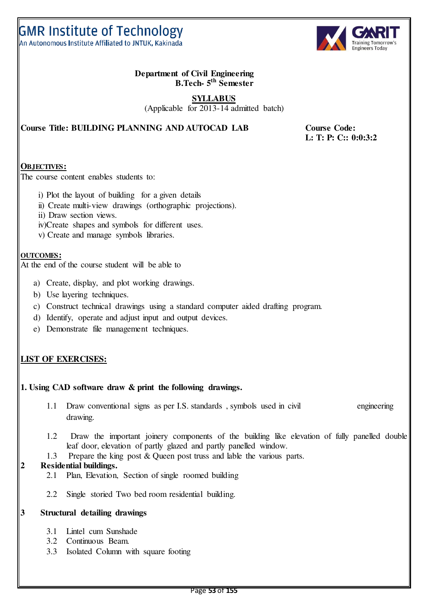

#### **Department of Civil Engineering B.Tech- 5th Semester**

**SYLLABUS** 

(Applicable for 2013-14 admitted batch)

#### **Course Title: BUILDING PLANNING AND AUTOCAD LAB Course Code:**

 **L: T: P: C:: 0:0:3:2** 

#### **OBJECTIVES:**

The course content enables students to:

- i) Plot the layout of building for a given details
- ii) Create multi-view drawings (orthographic projections).
- ii) Draw section views.
- iv)Create shapes and symbols for different uses.
- v) Create and manage symbols libraries.

#### **OUTCOMES:**

At the end of the course student will be able to

- a) Create, display, and plot working drawings.
- b) Use layering techniques.
- c) Construct technical drawings using a standard computer aided drafting program.
- d) Identify, operate and adjust input and output devices.
- e) Demonstrate file management techniques.

### **LIST OF EXERCISES:**

#### **1. Using CAD software draw & print the following drawings.**

- 1.1 Draw conventional signs as per I.S. standards , symbols used in civil engineering drawing.
- 1.2 Draw the important joinery components of the building like elevation of fully panelled double leaf door, elevation of partly glazed and partly panelled window.
- 1.3 Prepare the king post & Queen post truss and lable the various parts.

#### **2 Residential buildings.**

- 2.1 Plan, Elevation, Section of single roomed building
- 2.2 Single storied Two bed room residential building.

#### **3 Structural detailing drawings**

- 3.1 Lintel cum Sunshade
- 3.2 Continuous Beam.
- 3.3 Isolated Column with square footing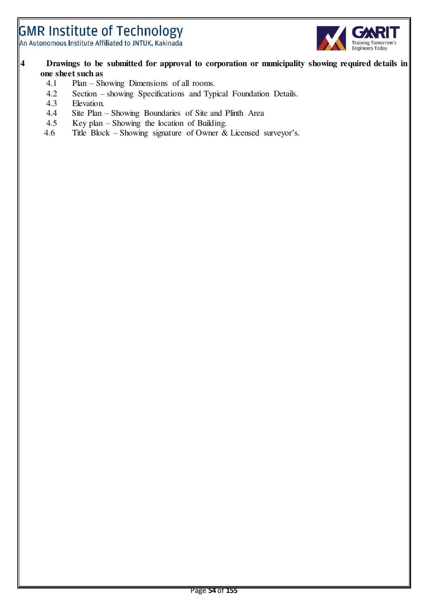# **GMR Institute of Technology**<br>An Autonomous Institute Affiliated to JNTUK, Kakinada



# **4 Drawings to be submitted for approval to corporation or municipality showing required details in one sheet such as**<br>4.1 **Plan** – Sh

- Plan Showing Dimensions of all rooms.
- 4.2 Section showing Specifications and Typical Foundation Details.
- 4.3 Elevation.
- 4.4 Site Plan Showing Boundaries of Site and Plinth Area
- 4.5 Key plan Showing the location of Building.<br>4.6 Title Block Showing signature of Owner &
- Title Block Showing signature of Owner & Licensed surveyor's.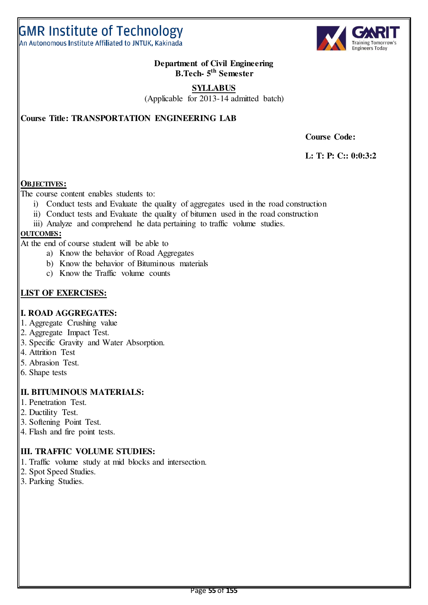

#### An Autonomous Institute Affiliated to JNTUK, Kakinada

#### **Department of Civil Engineering B.Tech- 5th Semester**

**SYLLABUS** 

(Applicable for 2013-14 admitted batch)

#### **Course Title: TRANSPORTATION ENGINEERING LAB**

 **Course Code:** 

**L: T: P: C:: 0:0:3:2** 

#### **OBJECTIVES:**

The course content enables students to:

- i) Conduct tests and Evaluate the quality of aggregates used in the road construction
- ii) Conduct tests and Evaluate the quality of bitumen used in the road construction
- iii) Analyze and comprehend he data pertaining to traffic volume studies.

#### **OUTCOMES:**

At the end of course student will be able to

- a) Know the behavior of Road Aggregates
- b) Know the behavior of Bituminous materials
- c) Know the Traffic volume counts

#### **LIST OF EXERCISES:**

#### **I. ROAD AGGREGATES:**

- 1. Aggregate Crushing value
- 2. Aggregate Impact Test.
- 3. Specific Gravity and Water Absorption.
- 4. Attrition Test
- 5. Abrasion Test.
- 6. Shape tests

#### **II. BITUMINOUS MATERIALS:**

- 1. Penetration Test.
- 2. Ductility Test.
- 3. Softening Point Test.
- 4. Flash and fire point tests.

#### **III. TRAFFIC VOLUME STUDIES:**

- 1. Traffic volume study at mid blocks and intersection.
- 2. Spot Speed Studies.
- 3. Parking Studies.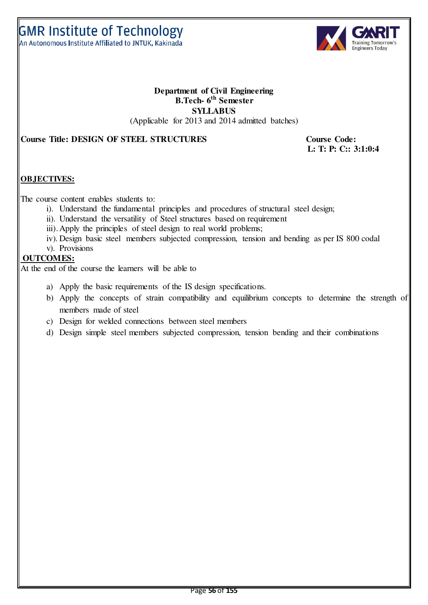

#### **Department of Civil Engineering B.Tech- 6th Semester SYLLABUS**

(Applicable for 2013 and 2014 admitted batches)

#### **Course Title: DESIGN OF STEEL STRUCTURES COURSE Course Code:**

 **L: T: P: C:: 3:1:0:4** 

#### **OBJECTIVES:**

The course content enables students to:

- i). Understand the fundamental principles and procedures of structural steel design;
- ii). Understand the versatility of Steel structures based on requirement
- iii).Apply the principles of steel design to real world problems;
- iv). Design basic steel members subjected compression, tension and bending as per IS 800 codal
- v). Provisions

#### **OUTCOMES:**

At the end of the course the learners will be able to

- a) Apply the basic requirements of the IS design specifications.
- b) Apply the concepts of strain compatibility and equilibrium concepts to determine the strength of members made of steel
- c) Design for welded connections between steel members
- d) Design simple steel members subjected compression, tension bending and their combinations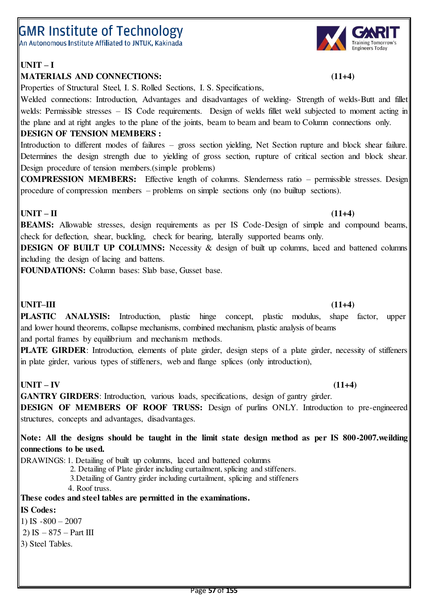# $\mathbf{I}$  **UNIT**  $-$ **I**

# **MATERIALS AND CONNECTIONS: (11+4)**

Properties of Structural Steel, I. S. Rolled Sections, I. S. Specifications,

Welded connections: Introduction, Advantages and disadvantages of welding- Strength of welds-Butt and fillet welds: Permissible stresses – IS Code requirements. Design of welds fillet weld subjected to moment acting in the plane and at right angles to the plane of the joints, beam to beam and beam to Column connections only.

# **DESIGN OF TENSION MEMBERS :**

Introduction to different modes of failures – gross section yielding, Net Section rupture and block shear failure. Determines the design strength due to yielding of gross section, rupture of critical section and block shear. Design procedure of tension members.(simple problems)

**COMPRESSION MEMBERS:** Effective length of columns. Slenderness ratio – permissible stresses. Design procedure of compression members – problems on simple sections only (no builtup sections).

# $UNIT - II$  (11+4)

**BEAMS:** Allowable stresses, design requirements as per IS Code-Design of simple and compound beams, check for deflection, shear, buckling, check for bearing, laterally supported beams only.

**DESIGN OF BUILT UP COLUMNS:** Necessity & design of built up columns, laced and battened columns including the design of lacing and battens.

**FOUNDATIONS:** Column bases: Slab base, Gusset base.

# **UNIT–III (11+4)**

**PLASTIC ANALYSIS:** Introduction, plastic hinge concept, plastic modulus, shape factor, upper and lower hound theorems, collapse mechanisms, combined mechanism, plastic analysis of beams and portal frames by equilibrium and mechanism methods.

**PLATE GIRDER**: Introduction, elements of plate girder, design steps of a plate girder, necessity of stiffeners in plate girder, various types of stiffeners, web and flange splices (only introduction),

# **UNIT – IV**  $(11+4)$

**GANTRY GIRDERS**: Introduction, various loads, specifications, design of gantry girder. **DESIGN OF MEMBERS OF ROOF TRUSS:** Design of purlins ONLY. Introduction to pre-engineered structures, concepts and advantages, disadvantages.

### **Note: All the designs should be taught in the limit state design method as per IS 800-2007.weilding connections to be used.**

DRAWINGS: 1. Detailing of built up columns, laced and battened columns

2. Detailing of Plate girder including curtailment, splicing and stiffeners.

3.Detailing of Gantry girder including curtailment, splicing and stiffeners

4. Roof truss.

**These codes and steel tables are permitted in the examinations.** 

### **IS Codes:**

1) IS  $-800 - 2007$ 

2) IS  $-875$  – Part III

3) Steel Tables.



#### Page **57** of **155**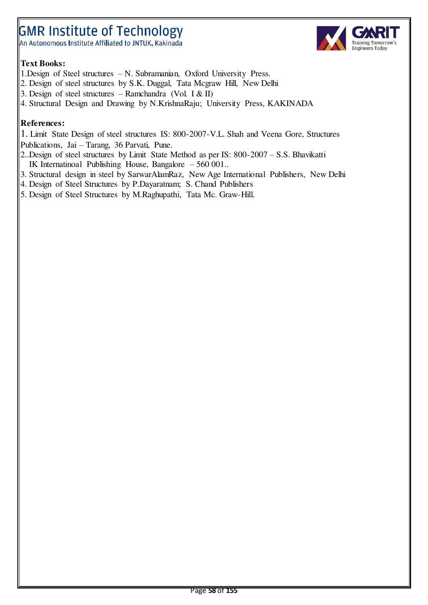An Autonomous Institute Affiliated to JNTUK, Kakinada



### **Text Books:**

- 1.Design of Steel structures N. Subramanian, Oxford University Press.
- 2. Design of steel structures by S.K. Duggal, Tata Mcgraw Hill, New Delhi
- 3. Design of steel structures Ramchandra (Vol. I  $\&$  II)
- 4. Structural Design and Drawing by N.KrishnaRaju; University Press, KAKINADA

#### **References:**

1. Limit State Design of steel structures IS: 800-2007-V.L. Shah and Veena Gore, Structures Publications, Jai – Tarang, 36 Parvati, Pune.

- 2..Design of steel structures by Limit State Method as per IS: 800-2007 S.S. Bhavikatti IK Internatinoal Publishing House, Bangalore – 560 001..
- 3. Structural design in steel by SarwarAlamRaz, New Age International Publishers, New Delhi
- 4. Design of Steel Structures by P.Dayaratnam; S. Chand Publishers
- 5. Design of Steel Structures by M.Raghupathi, Tata Mc. Graw-Hill.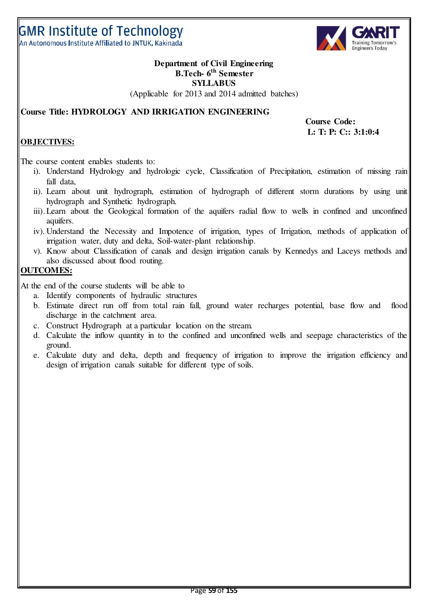

#### **Department of Civil Engineering B.Tech- 6th Semester SYLLABUS**

(Applicable for 2013 and 2014 admitted batches)

### **Course Title: HYDROLOGY AND IRRIGATION ENGINEERING**

 **Course Code: L: T: P: C:: 3:1:0:4** 

#### **OBJECTIVES:**

The course content enables students to:

- i). Understand Hydrology and hydrologic cycle, Classification of Precipitation, estimation of missing rain fall data,
- ii). Learn about unit hydrograph, estimation of hydrograph of different storm durations by using unit hydrograph and Synthetic hydrograph.
- iii).Learn about the Geological formation of the aquifers radial flow to wells in confined and unconfined aquifers.
- iv). Understand the Necessity and Impotence of irrigation, types of Irrigation, methods of application of irrigation water, duty and delta, Soil-water-plant relationship.
- v). Know about Classification of canals and design irrigation canals by Kennedys and Laceys methods and also discussed about flood routing.

### **OUTCOMES:**

At the end of the course students will be able to

- a. Identify components of hydraulic structures
- b. Estimate direct run off from total rain fall, ground water recharges potential, base flow and flood discharge in the catchment area.
- c. Construct Hydrograph at a particular location on the stream.
- d. Calculate the inflow quantity in to the confined and unconfined wells and seepage characteristics of the ground.
- e. Calculate duty and delta, depth and frequency of irrigation to improve the irrigation efficiency and design of irrigation canals suitable for different type of soils.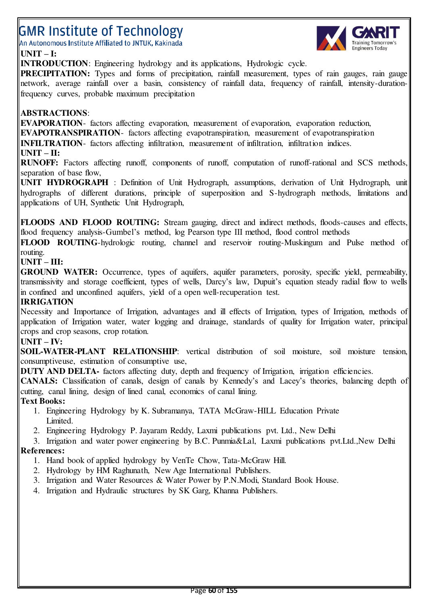An Autonomous Institute Affiliated to JNTUK, Kakinada



### $\mathbf{U}\mathbf{N}\mathbf{I}\mathbf{T} - \mathbf{I}$ :

**INTRODUCTION**: Engineering hydrology and its applications, Hydrologic cycle.

**PRECIPITATION:** Types and forms of precipitation, rainfall measurement, types of rain gauges, rain gauge network, average rainfall over a basin, consistency of rainfall data, frequency of rainfall, intensity-durationfrequency curves, probable maximum precipitation

### **ABSTRACTIONS**:

**EVAPORATION**- factors affecting evaporation, measurement of evaporation, evaporation reduction,

**EVAPOTRANSPIRATION**- factors affecting evapotranspiration, measurement of evapotranspiration

**INFILTRATION**- factors affecting infiltration, measurement of infiltration, infiltration indices.

### **UNIT – II:**

**RUNOFF:** Factors affecting runoff, components of runoff, computation of runoff-rational and SCS methods, separation of base flow.

**UNIT HYDROGRAPH** : Definition of Unit Hydrograph, assumptions, derivation of Unit Hydrograph, unit hydrographs of different durations, principle of superposition and S-hydrograph methods, limitations and applications of UH, Synthetic Unit Hydrograph,

**FLOODS AND FLOOD ROUTING:** Stream gauging, direct and indirect methods, floods-causes and effects, flood frequency analysis-Gumbel's method, log Pearson type III method, flood control methods

**FLOOD ROUTING**-hydrologic routing, channel and reservoir routing-Muskingum and Pulse method of routing.

### **UNIT – III:**

**GROUND WATER:** Occurrence, types of aquifers, aquifer parameters, porosity, specific yield, permeability, transmissivity and storage coefficient, types of wells, Darcy's law, Dupuit's equation steady radial flow to wells in confined and unconfined aquifers, yield of a open well-recuperation test.

#### **IRRIGATION**

Necessity and Importance of Irrigation, advantages and ill effects of Irrigation, types of Irrigation, methods of application of Irrigation water, water logging and drainage, standards of quality for Irrigation water, principal crops and crop seasons, crop rotation.

### $|$ **UNIT**  $-$ **IV:**

**SOIL-WATER-PLANT RELATIONSHIP**: vertical distribution of soil moisture, soil moisture tension, consumptiveuse, estimation of consumptive use,

**DUTY AND DELTA-** factors affecting duty, depth and frequency of Irrigation, irrigation efficiencies.

**CANALS:** Classification of canals, design of canals by Kennedy's and Lacey's theories, balancing depth of cutting, canal lining, design of lined canal, economics of canal lining.

#### **Text Books:**

- 1. Engineering Hydrology by K. Subramanya, TATA McGraw-HILL Education Private Limited.
- 2. Engineering Hydrology P. Jayaram Reddy, Laxmi publications pvt. Ltd., New Delhi

3. Irrigation and water power engineering by B.C. Punmia&Lal, Laxmi publications pvt.Ltd.,New Delhi **References:** 

- 1. Hand book of applied hydrology by VenTe Chow, Tata-McGraw Hill.
- 2. Hydrology by HM Raghunath, New Age International Publishers.
- 3. Irrigation and Water Resources & Water Power by P.N.Modi, Standard Book House.
- 4. Irrigation and Hydraulic structures by SK Garg, Khanna Publishers.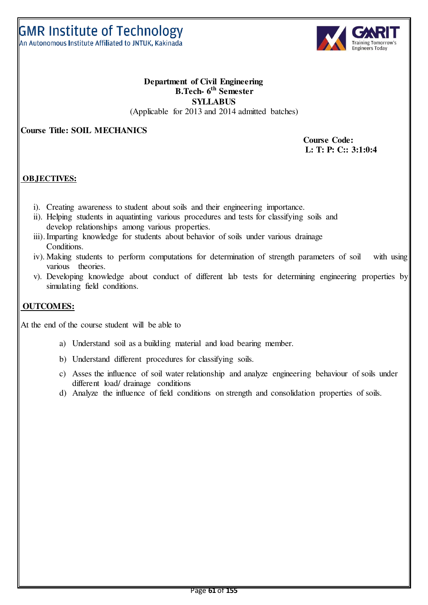

### **Department of Civil Engineering B.Tech- 6th Semester SYLLABUS**

(Applicable for 2013 and 2014 admitted batches)

#### **Course Title: SOIL MECHANICS**

 **Course Code: L: T: P: C:: 3:1:0:4** 

#### **OBJECTIVES:**

- i). Creating awareness to student about soils and their engineering importance.
- ii). Helping students in aquatinting various procedures and tests for classifying soils and develop relationships among various properties.
- iii).Imparting knowledge for students about behavior of soils under various drainage Conditions.
- iv). Making students to perform computations for determination of strength parameters of soil with using various theories.
- v). Developing knowledge about conduct of different lab tests for determining engineering properties by simulating field conditions.

#### **OUTCOMES:**

At the end of the course student will be able to

- a) Understand soil as a building material and load bearing member.
- b) Understand different procedures for classifying soils.
- c) Asses the influence of soil water relationship and analyze engineering behaviour of soils under different load/ drainage conditions
- d) Analyze the influence of field conditions on strength and consolidation properties of soils.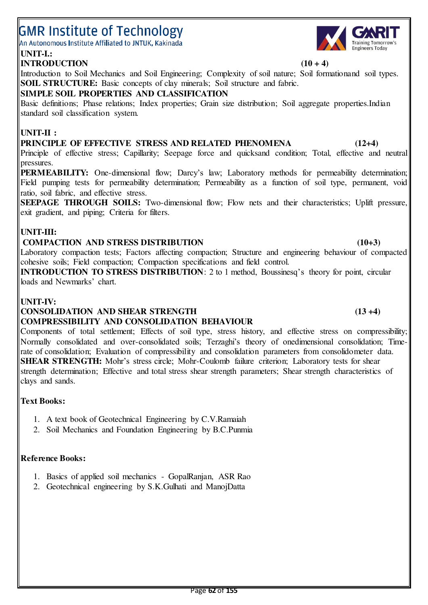An Autonomous Institute Affiliated to JNTUK, Kakinada

#### **UNIT-I.:**

#### **INTRODUCTION (10 + 4)**

### Introduction to Soil Mechanics and Soil Engineering; Complexity of soil nature; Soil formationand soil types. **SOIL STRUCTURE:** Basic concepts of clay minerals; Soil structure and fabric.

#### **SIMPLE SOIL PROPERTIES AND CLASSIFICATION**

Basic definitions; Phase relations; Index properties; Grain size distribution; Soil aggregate properties.Indian standard soil classification system.

#### **UNIT-II :**

#### **PRINCIPLE OF EFFECTIVE STRESS AND RELATED PHENOMENA (12+4)**

Principle of effective stress; Capillarity; Seepage force and quicksand condition; Total, effective and neutral pressures.

**PERMEABILITY:** One-dimensional flow; Darcy's law; Laboratory methods for permeability determination; Field pumping tests for permeability determination; Permeability as a function of soil type, permanent, void ratio, soil fabric, and effective stress.

**SEEPAGE THROUGH SOILS:** Two-dimensional flow; Flow nets and their characteristics; Uplift pressure, exit gradient, and piping; Criteria for filters.

#### **UNIT-III:**

#### **COMPACTION AND STRESS DISTRIBUTION (10+3)**

Laboratory compaction tests; Factors affecting compaction; Structure and engineering behaviour of compacted cohesive soils; Field compaction; Compaction specifications and field control.

**INTRODUCTION TO STRESS DISTRIBUTION**: 2 to 1 method, Boussinesq's theory for point, circular loads and Newmarks' chart.

#### **UNIT-IV:**

#### **CONSOLIDATION AND SHEAR STRENGTH (13 +4)**

#### **COMPRESSIBILITY AND CONSOLIDATION BEHAVIOUR**

Components of total settlement; Effects of soil type, stress history, and effective stress on compressibility; Normally consolidated and over-consolidated soils; Terzaghi's theory of onedimensional consolidation; Timerate of consolidation; Evaluation of compressibility and consolidation parameters from consolidometer data. **SHEAR STRENGTH:** Mohr's stress circle; Mohr-Coulomb failure criterion; Laboratory tests for shear strength determination; Effective and total stress shear strength parameters; Shear strength characteristics of clays and sands.

### **Text Books:**

- 1. A text book of Geotechnical Engineering by C.V.Ramaiah
- 2. Soil Mechanics and Foundation Engineering by B.C.Punmia

#### **Reference Books:**

- 1. Basics of applied soil mechanics GopalRanjan, ASR Rao
- 2. Geotechnical engineering by S.K.Gulhati and ManojDatta

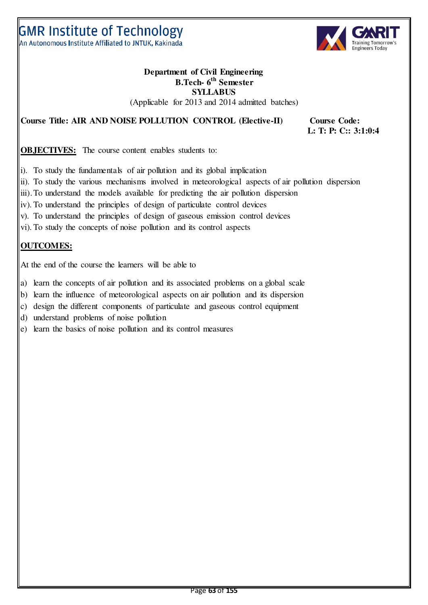

#### **Department of Civil Engineering B.Tech- 6th Semester**

**SYLLABUS** 

(Applicable for 2013 and 2014 admitted batches)

**Course Title: AIR AND NOISE POLLUTION CONTROL (Elective-II) Course Code:** 

 **L: T: P: C:: 3:1:0:4** 

**OBJECTIVES:** The course content enables students to:

- i). To study the fundamentals of air pollution and its global implication
- ii). To study the various mechanisms involved in meteorological aspects of air pollution dispersion
- iii).To understand the models available for predicting the air pollution dispersion
- iv). To understand the principles of design of particulate control devices
- v). To understand the principles of design of gaseous emission control devices
- vi). To study the concepts of noise pollution and its control aspects

# **OUTCOMES:**

At the end of the course the learners will be able to

- a) learn the concepts of air pollution and its associated problems on a global scale
- b) learn the influence of meteorological aspects on air pollution and its dispersion
- c) design the different components of particulate and gaseous control equipment
- d) understand problems of noise pollution
- e) learn the basics of noise pollution and its control measures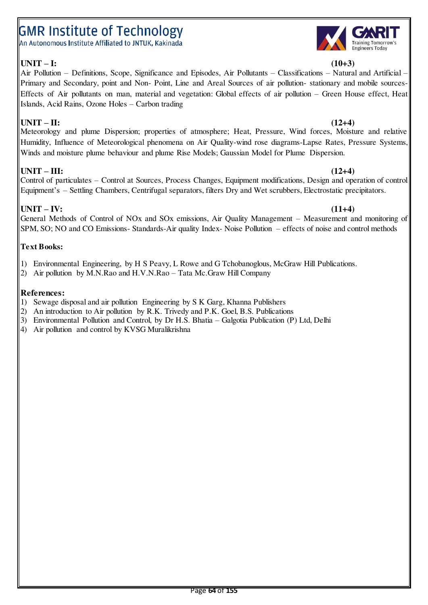An Autonomous Institute Affiliated to JNTUK, Kakinada

**UNIT – I: (10+3)** Air Pollution – Definitions, Scope, Significance and Episodes, Air Pollutants – Classifications – Natural and Artificial – Primary and Secondary, point and Non- Point, Line and Areal Sources of air pollution- stationary and mobile sources-Effects of Air pollutants on man, material and vegetation: Global effects of air pollution – Green House effect, Heat Islands, Acid Rains, Ozone Holes – Carbon trading

**UNIT – II: (12+4)** Meteorology and plume Dispersion; properties of atmosphere; Heat, Pressure, Wind forces, Moisture and relative Humidity, Influence of Meteorological phenomena on Air Quality-wind rose diagrams-Lapse Rates, Pressure Systems, Winds and moisture plume behaviour and plume Rise Models; Gaussian Model for Plume Dispersion.

**UNIT – III: (12+4)** Control of particulates – Control at Sources, Process Changes, Equipment modifications, Design and operation of control Equipment's – Settling Chambers, Centrifugal separators, filters Dry and Wet scrubbers, Electrostatic precipitators.

**UNIT – IV: (11+4)** General Methods of Control of NOx and SOx emissions, Air Quality Management – Measurement and monitoring of SPM, SO; NO and CO Emissions- Standards-Air quality Index- Noise Pollution – effects of noise and control methods

#### **Text Books:**

- 1) Environmental Engineering, by H S Peavy, L Rowe and G Tchobanoglous, McGraw Hill Publications.
- 2) Air pollution by M.N.Rao and H.V.N.Rao Tata Mc.Graw Hill Company

#### **References:**

- 1) Sewage disposal and air pollution Engineering by S K Garg, Khanna Publishers
- 2) An introduction to Air pollution by R.K. Trivedy and P.K. Goel, B.S. Publications
- 3) Environmental Pollution and Control, by Dr H.S. Bhatia Galgotia Publication (P) Ltd, Delhi
- 4) Air pollution and control by KVSG Muralikrishna

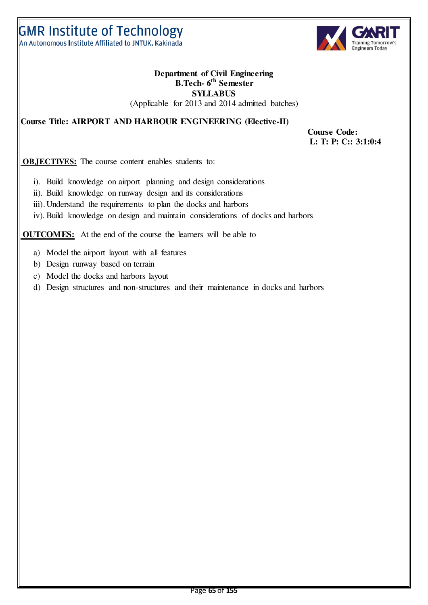**GMR Institute of Technology** An Autonomous Institute Affiliated to JNTUK, Kakinada



# **Department of Civil Engineering**

**B.Tech- 6th Semester SYLLABUS** 

(Applicable for 2013 and 2014 admitted batches)

**Course Title: AIRPORT AND HARBOUR ENGINEERING (Elective-II)** 

 **Course Code: L: T: P: C:: 3:1:0:4** 

**OBJECTIVES:** The course content enables students to:

- i). Build knowledge on airport planning and design considerations
- ii). Build knowledge on runway design and its considerations
- iii).Understand the requirements to plan the docks and harbors
- iv). Build knowledge on design and maintain considerations of docks and harbors

 **OUTCOMES:** At the end of the course the learners will be able to

- a) Model the airport layout with all features
- b) Design runway based on terrain
- c) Model the docks and harbors layout
- d) Design structures and non-structures and their maintenance in docks and harbors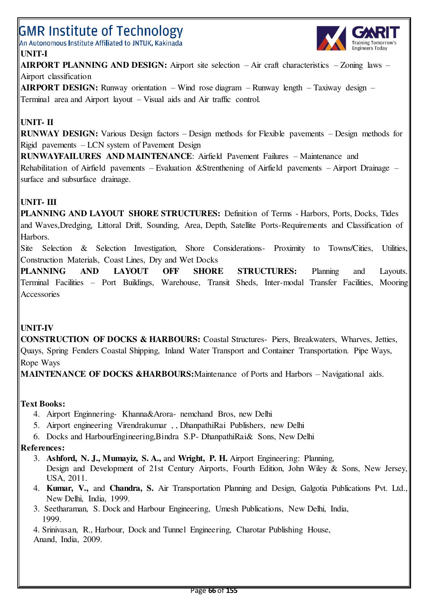An Autonomous Institute Affiliated to JNTUK, Kakinada

# **UNIT-I**



**AIRPORT PLANNING AND DESIGN:** Airport site selection – Air craft characteristics – Zoning laws – Airport classification

**AIRPORT DESIGN:** Runway orientation – Wind rose diagram – Runway length – Taxiway design – Terminal area and Airport layout – Visual aids and Air traffic control.

# **UNIT- II**

**RUNWAY DESIGN:** Various Design factors – Design methods for Flexible pavements – Design methods for Rigid pavements – LCN system of Pavement Design

**RUNWAYFAILURES AND MAINTENANCE**: Airfield Pavement Failures – Maintenance and Rehabilitation of Airfield pavements – Evaluation &Strenthening of Airfield pavements – Airport Drainage – surface and subsurface drainage.

# **UNIT- III**

**PLANNING AND LAYOUT SHORE STRUCTURES:** Definition of Terms - Harbors, Ports, Docks, Tides and Waves,Dredging, Littoral Drift, Sounding, Area, Depth, Satellite Ports-Requirements and Classification of Harbors.

Site Selection & Selection Investigation, Shore Considerations- Proximity to Towns/Cities, Utilities, Construction Materials, Coast Lines, Dry and Wet Docks

**PLANNING AND LAYOUT OFF SHORE STRUCTURES:** Planning and Layouts. Terminal Facilities – Port Buildings, Warehouse, Transit Sheds, Inter-modal Transfer Facilities, Mooring **Accessories** 

# **UNIT-IV**

**CONSTRUCTION OF DOCKS & HARBOURS:** Coastal Structures- Piers, Breakwaters, Wharves, Jetties, Quays, Spring Fenders Coastal Shipping, Inland Water Transport and Container Transportation. Pipe Ways, Rope Ways

**MAINTENANCE OF DOCKS &HARBOURS:**Maintenance of Ports and Harbors – Navigational aids.

### **Text Books:**

- 4. Airport Enginnering- Khanna&Arora- nemchand Bros, new Delhi
- 5. Airport engineering Virendrakumar , , DhanpathiRai Publishers, new Delhi
- 6. Docks and HarbourEngineering,Bindra S.P- DhanpathiRai& Sons, New Delhi

### **References:**

- 3. **Ashford, N. J., Mumayiz, S. A.,** and **Wright, P. H.** Airport Engineering: Planning, Design and Development of 21st Century Airports, Fourth Edition, John Wiley & Sons, New Jersey, USA, 2011.
- 4. **Kumar, V.,** and **Chandra, S.** Air Transportation Planning and Design, Galgotia Publications Pvt. Ltd., New Delhi, India, 1999.
- 3. Seetharaman, S. Dock and Harbour Engineering, Umesh Publications, New Delhi, India, 1999.

4. Srinivasan, R., Harbour, Dock and Tunnel Engineering, Charotar Publishing House, Anand, India, 2009.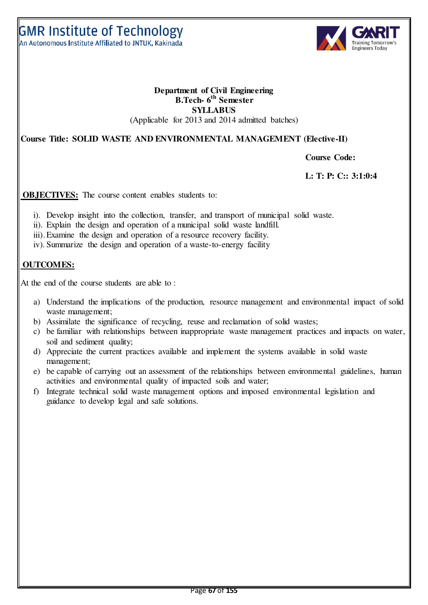

### **Department of Civil Engineering B.Tech- 6th Semester SYLLABUS**

(Applicable for 2013 and 2014 admitted batches)

#### **Course Title: SOLID WASTE AND ENVIRONMENTAL MANAGEMENT (Elective-II)**

#### **Course Code:**

 **L: T: P: C:: 3:1:0:4** 

 **OBJECTIVES:** The course content enables students to:

- i). Develop insight into the collection, transfer, and transport of municipal solid waste.
- ii). Explain the design and operation of a municipal solid waste landfill.
- iii).Examine the design and operation of a resource recovery facility.
- iv). Summarize the design and operation of a waste-to-energy facility

### **OUTCOMES:**

At the end of the course students are able to :

- a) Understand the implications of the production, resource management and environmental impact of solid waste management;
- b) Assimilate the significance of recycling, reuse and reclamation of solid wastes;
- c) be familiar with relationships between inappropriate waste management practices and impacts on water, soil and sediment quality;
- d) Appreciate the current practices available and implement the systems available in solid waste management;
- e) be capable of carrying out an assessment of the relationships between environmental guidelines, human activities and environmental quality of impacted soils and water;
- f) Integrate technical solid waste management options and imposed environmental legislation and guidance to develop legal and safe solutions.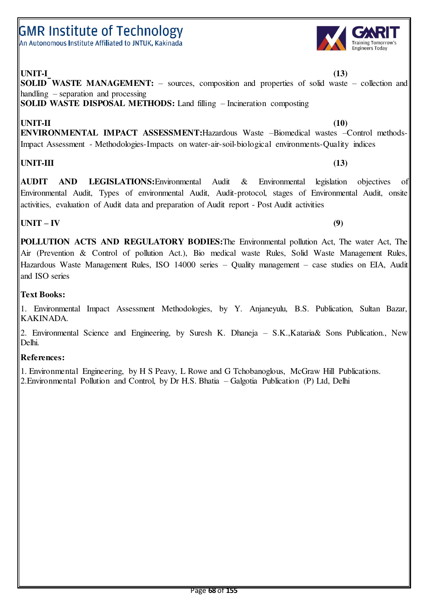An Autonomous Institute Affiliated to JNTUK, Kakinada

**UNIT-I** (13) **SOLID WASTE MANAGEMENT:** – sources, composition and properties of solid waste – collection and handling – separation and processing

**SOLID WASTE DISPOSAL METHODS:** Land filling – Incineration composting

**UNIT-II (10) ENVIRONMENTAL IMPACT ASSESSMENT:**Hazardous Waste –Biomedical wastes –Control methods-Impact Assessment - Methodologies-Impacts on water-air-soil-biological environments-Quality indices

# **UNIT-III (13)**

**AUDIT AND LEGISLATIONS:**Environmental Audit & Environmental legislation objectives of Environmental Audit, Types of environmental Audit, Audit-protocol, stages of Environmental Audit, onsite activities, evaluation of Audit data and preparation of Audit report - Post Audit activities

# **UNIT – IV (9)**

**POLLUTION ACTS AND REGULATORY BODIES:**The Environmental pollution Act, The water Act, The Air (Prevention & Control of pollution Act.), Bio medical waste Rules, Solid Waste Management Rules, Hazardous Waste Management Rules, ISO 14000 series – Quality management – case studies on EIA, Audit and ISO series

# **Text Books:**

1. Environmental Impact Assessment Methodologies, by Y. Anjaneyulu, B.S. Publication, Sultan Bazar, KAKINADA.

2. Environmental Science and Engineering, by Suresh K. Dhaneja – S.K.,Kataria& Sons Publication., New Delhi.

# **References:**

1. Environmental Engineering, by H S Peavy, L Rowe and G Tchobanoglous, McGraw Hill Publications.

2.Environmental Pollution and Control, by Dr H.S. Bhatia – Galgotia Publication (P) Ltd, Delhi



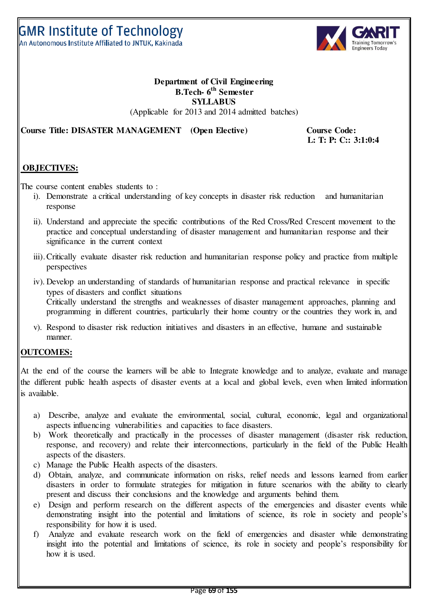

#### **Department of Civil Engineering B.Tech- 6th Semester SYLLABUS**

(Applicable for 2013 and 2014 admitted batches)

**Course Title: DISASTER MANAGEMENT** (Open Elective) Course Code:

 **L: T: P: C:: 3:1:0:4** 

### **OBJECTIVES:**

The course content enables students to :

- i). Demonstrate a critical understanding of key concepts in disaster risk reduction and humanitarian response
- ii). Understand and appreciate the specific contributions of the Red Cross/Red Crescent movement to the practice and conceptual understanding of disaster management and humanitarian response and their significance in the current context
- iii).Critically evaluate disaster risk reduction and humanitarian response policy and practice from multiple perspectives
- iv). Develop an understanding of standards of humanitarian response and practical relevance in specific types of disasters and conflict situations Critically understand the strengths and weaknesses of disaster management approaches, planning and programming in different countries, particularly their home country or the countries they work in, and
- v). Respond to disaster risk reduction initiatives and disasters in an effective, humane and sustainable manner.

#### **OUTCOMES:**

At the end of the course the learners will be able to Integrate knowledge and to analyze, evaluate and manage the different public health aspects of disaster events at a local and global levels, even when limited information is available.

- a) Describe, analyze and evaluate the environmental, social, cultural, economic, legal and organizational aspects influencing vulnerabilities and capacities to face disasters.
- b) Work theoretically and practically in the processes of disaster management (disaster risk reduction, response, and recovery) and relate their interconnections, particularly in the field of the Public Health aspects of the disasters.
- c) Manage the Public Health aspects of the disasters.
- d) Obtain, analyze, and communicate information on risks, relief needs and lessons learned from earlier disasters in order to formulate strategies for mitigation in future scenarios with the ability to clearly present and discuss their conclusions and the knowledge and arguments behind them.
- e) Design and perform research on the different aspects of the emergencies and disaster events while demonstrating insight into the potential and limitations of science, its role in society and people's responsibility for how it is used.
- f) Analyze and evaluate research work on the field of emergencies and disaster while demonstrating insight into the potential and limitations of science, its role in society and people's responsibility for how it is used.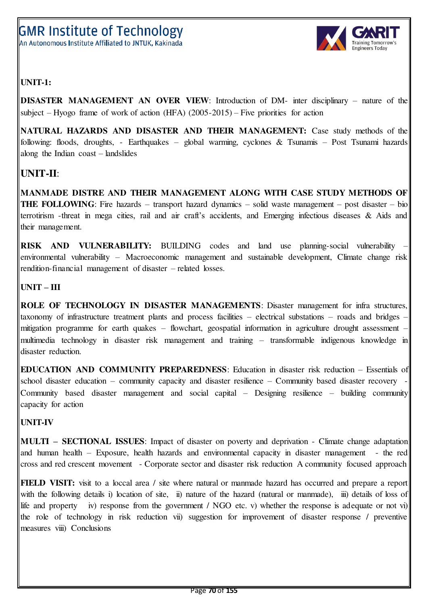

## **UNIT-1:**

**DISASTER MANAGEMENT AN OVER VIEW**: Introduction of DM- inter disciplinary – nature of the subject – Hyogo frame of work of action (HFA) (2005-2015) – Five priorities for action

**NATURAL HAZARDS AND DISASTER AND THEIR MANAGEMENT:** Case study methods of the following: floods, droughts, - Earthquakes – global warming, cyclones & Tsunamis – Post Tsunami hazards along the Indian coast – landslides

# **UNIT-II**:

**MANMADE DISTRE AND THEIR MANAGEMENT ALONG WITH CASE STUDY METHODS OF THE FOLLOWING**: Fire hazards – transport hazard dynamics – solid waste management – post disaster – bio terrotirism -threat in mega cities, rail and air craft's accidents, and Emerging infectious diseases & Aids and their management.

**RISK AND VULNERABILITY:** BUILDING codes and land use planning-social vulnerability – environmental vulnerability – Macroeconomic management and sustainable development, Climate change risk rendition-financial management of disaster – related losses.

#### **UNIT – III**

**ROLE OF TECHNOLOGY IN DISASTER MANAGEMENTS**: Disaster management for infra structures, taxonomy of infrastructure treatment plants and process facilities – electrical substations – roads and bridges – mitigation programme for earth quakes – flowchart, geospatial information in agriculture drought assessment – multimedia technology in disaster risk management and training – transformable indigenous knowledge in disaster reduction.

**EDUCATION AND COMMUNITY PREPAREDNESS**: Education in disaster risk reduction – Essentials of school disaster education – community capacity and disaster resilience – Community based disaster recovery Community based disaster management and social capital – Designing resilience – building community capacity for action

### **UNIT-IV**

**MULTI – SECTIONAL ISSUES**: Impact of disaster on poverty and deprivation - Climate change adaptation and human health – Exposure, health hazards and environmental capacity in disaster management - the red cross and red crescent movement - Corporate sector and disaster risk reduction A community focused approach

**FIELD VISIT:** visit to a loccal area / site where natural or manmade hazard has occurred and prepare a report with the following details i) location of site, ii) nature of the hazard (natural or manmade), iii) details of loss of life and property iv) response from the government / NGO etc. v) whether the response is adequate or not vi) the role of technology in risk reduction vii) suggestion for improvement of disaster response / preventive measures viii) Conclusions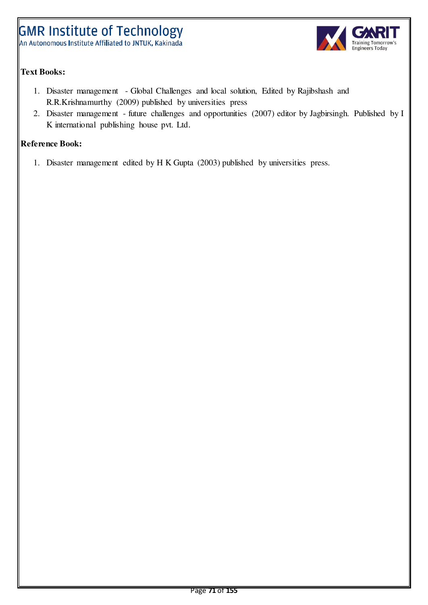

# **Text Books:**

- 1. Disaster management Global Challenges and local solution, Edited by Rajibshash and R.R.Krishnamurthy (2009) published by universities press
- 2. Disaster management future challenges and opportunities (2007) editor by Jagbirsingh. Published by I K international publishing house pvt. Ltd.

#### **Reference Book:**

1. Disaster management edited by H K Gupta (2003) published by universities press.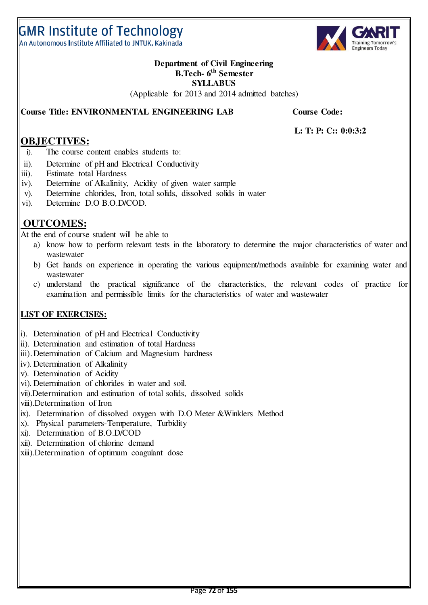

# **Department of Civil Engineering B.Tech- 6th Semester**

**SYLLABUS** 

(Applicable for 2013 and 2014 admitted batches)

**Course Title: ENVIRONMENTAL ENGINEERING LAB Course Code:** 

 **L: T: P: C:: 0:0:3:2** 

# **OBJECTIVES:**

- i). The course content enables students to:
- ii). Determine of pH and Electrical Conductivity<br>iii). Estimate total Hardness
- Estimate total Hardness
- iv). Determine of Alkalinity, Acidity of given water sample
- v). Determine chlorides, Iron, total solids, dissolved solids in water vi). Determine D.O B.O.D/COD.
- Determine D.O B.O.D/COD.

# **OUTCOMES:**

At the end of course student will be able to

- a) know how to perform relevant tests in the laboratory to determine the major characteristics of water and wastewater
- b) Get hands on experience in operating the various equipment/methods available for examining water and wastewater
- c) understand the practical significance of the characteristics, the relevant codes of practice for examination and permissible limits for the characteristics of water and wastewater

# **LIST OF EXERCISES:**

- i). Determination of pH and Electrical Conductivity
- ii). Determination and estimation of total Hardness
- liii). Determination of Calcium and Magnesium hardness
- iv). Determination of Alkalinity
- v). Determination of Acidity
- vi). Determination of chlorides in water and soil.
- vii).Determination and estimation of total solids, dissolved solids
- viii).Determination of Iron
- ix). Determination of dissolved oxygen with D.O Meter &Winklers Method
- x). Physical parameters-Temperature, Turbidity
- xi). Determination of B.O.D/COD
- xii). Determination of chlorine demand
- xiii).Determination of optimum coagulant dose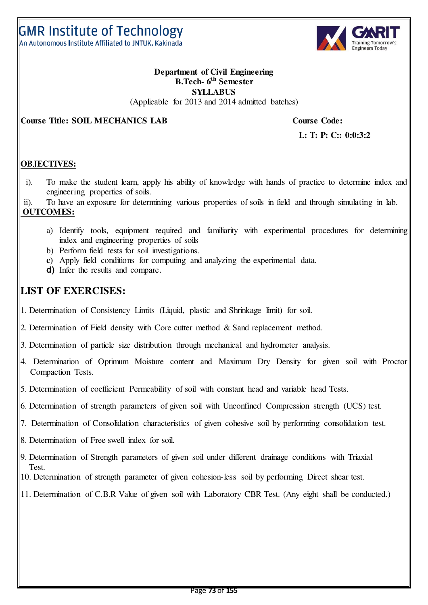

# **Department of Civil Engineering B.Tech- 6th Semester**

**SYLLABUS** 

(Applicable for 2013 and 2014 admitted batches)

# **Course Title: SOIL MECHANICS LAB Course Code:**

 **L: T: P: C:: 0:0:3:2** 

# **OBJECTIVES:**

i). To make the student learn, apply his ability of knowledge with hands of practice to determine index and engineering properties of soils.

ii). To have an exposure for determining various properties of soils in field and through simulating in lab.  **OUTCOMES:** 

- a) Identify tools, equipment required and familiarity with experimental procedures for determining index and engineering properties of soils
- b) Perform field tests for soil investigations.
- **c)** Apply field conditions for computing and analyzing the experimental data.
- **d)** Infer the results and compare.

# **LIST OF EXERCISES:**

- 1. Determination of Consistency Limits (Liquid, plastic and Shrinkage limit) for soil.
- 2. Determination of Field density with Core cutter method & Sand replacement method.
- 3. Determination of particle size distribution through mechanical and hydrometer analysis.
- 4. Determination of Optimum Moisture content and Maximum Dry Density for given soil with Proctor Compaction Tests.
- 5. Determination of coefficient Permeability of soil with constant head and variable head Tests.
- 6. Determination of strength parameters of given soil with Unconfined Compression strength (UCS) test.
- 7. Determination of Consolidation characteristics of given cohesive soil by performing consolidation test.
- 8. Determination of Free swell index for soil.
- 9. Determination of Strength parameters of given soil under different drainage conditions with Triaxial Test.
- 10. Determination of strength parameter of given cohesion-less soil by performing Direct shear test.
- 11. Determination of C.B.R Value of given soil with Laboratory CBR Test. (Any eight shall be conducted.)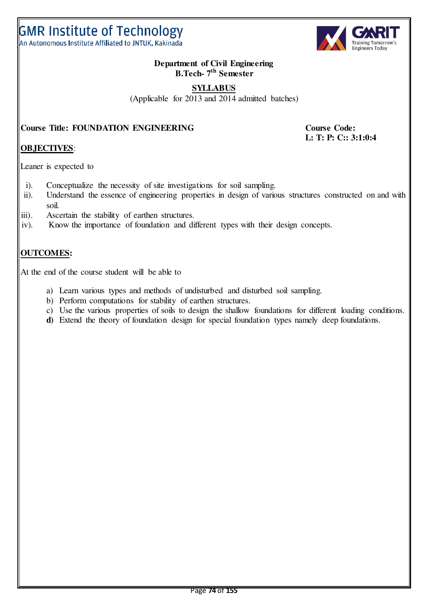

**L: T: P: C:: 3:1:0:4** 

# **Department of Civil Engineering B.Tech- 7th Semester**

# **SYLLABUS**

(Applicable for  $2013$  and  $2014$  admitted batches)

# **Course Title: FOUNDATION ENGINEERING COURSE CODE:** Course Code:

**OBJECTIVES**:

Leaner is expected to

- i). Conceptualize the necessity of site investigations for soil sampling.
- ii). Understand the essence of engineering properties in design of various structures constructed on and with soil.
- iii). Ascertain the stability of earthen structures.
- iv). Know the importance of foundation and different types with their design concepts.

# **OUTCOMES:**

At the end of the course student will be able to

- a) Learn various types and methods of undisturbed and disturbed soil sampling.
- b) Perform computations for stability of earthen structures.
- c) Use the various properties of soils to design the shallow foundations for different loading conditions.
- **d)** Extend the theory of foundation design for special foundation types namely deep foundations.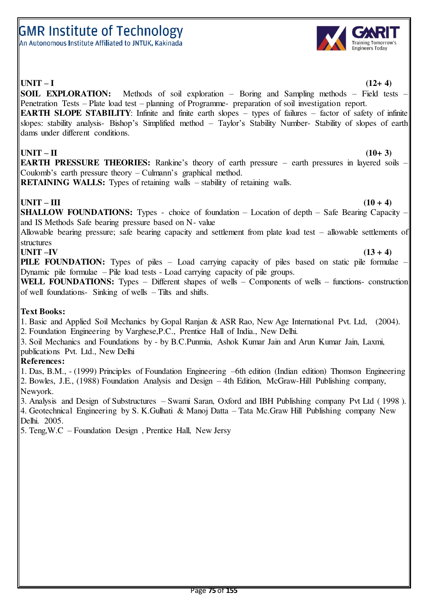

# **UNIT**  $-1$  (12+ 4)

**SOIL EXPLORATION:** Methods of soil exploration – Boring and Sampling methods – Field tests – Penetration Tests – Plate load test – planning of Programme- preparation of soil investigation report. **EARTH SLOPE STABILITY**: Infinite and finite earth slopes – types of failures – factor of safety of infinite slopes: stability analysis- Bishop's Simplified method – Taylor's Stability Number- Stability of slopes of earth dams under different conditions.

# **UNIT** – **II**  $(10+3)$

**EARTH PRESSURE THEORIES:** Rankine's theory of earth pressure – earth pressures in layered soils -Coulomb's earth pressure theory – Culmann's graphical method.

**RETAINING WALLS:** Types of retaining walls – stability of retaining walls.

# **UNIT** – **III**  $(10 + 4)$

**SHALLOW FOUNDATIONS:** Types - choice of foundation – Location of depth – Safe Bearing Capacity and IS Methods Safe bearing pressure based on N- value

Allowable bearing pressure; safe bearing capacity and settlement from plate load test – allowable settlements of structures<br>UNIT-IV

# **UNIT –IV**  $(13 + 4)$

**PILE FOUNDATION:** Types of piles – Load carrying capacity of piles based on static pile formulae Dynamic pile formulae – Pile load tests - Load carrying capacity of pile groups.

**WELL FOUNDATIONS:** Types – Different shapes of wells – Components of wells – functions- construction of well foundations- Sinking of wells – Tilts and shifts.

# **Text Books:**

1. Basic and Applied Soil Mechanics by Gopal Ranjan & ASR Rao, New Age International Pvt. Ltd, (2004). 2. Foundation Engineering by Varghese,P.C., Prentice Hall of India., New Delhi.

3. Soil Mechanics and Foundations by - by B.C.Punmia, Ashok Kumar Jain and Arun Kumar Jain, Laxmi, publications Pvt. Ltd., New Delhi

# **References:**

1. Das, B.M., - (1999) Principles of Foundation Engineering –6th edition (Indian edition) Thomson Engineering 2. Bowles, J.E., (1988) Foundation Analysis and Design – 4th Edition, McGraw-Hill Publishing company, Newyork.

3. Analysis and Design of Substructures – Swami Saran, Oxford and IBH Publishing company Pvt Ltd ( 1998 ). 4. Geotechnical Engineering by S. K.Gulhati & Manoj Datta – Tata Mc.Graw Hill Publishing company New Delhi. 2005.

5. Teng,W.C – Foundation Design , Prentice Hall, New Jersy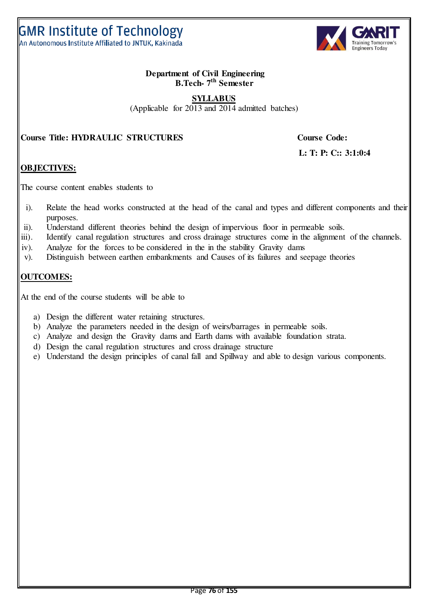

## **Department of Civil Engineering B.Tech- 7th Semester**

#### **SYLLABUS**

(Applicable for  $2013$  and  $2014$  admitted batches)

# **Course Title: HYDRAULIC STRUCTURES** Course Code:

 **L: T: P: C:: 3:1:0:4** 

# **OBJECTIVES:**

The course content enables students to

- i). Relate the head works constructed at the head of the canal and types and different components and their purposes.
- ii). Understand different theories behind the design of impervious floor in permeable soils.
- iii). Identify canal regulation structures and cross drainage structures come in the alignment of the channels.
- iv). Analyze for the forces to be considered in the in the stability Gravity dams
- v). Distinguish between earthen embankments and Causes of its failures and seepage theories

# **OUTCOMES:**

At the end of the course students will be able to

- a) Design the different water retaining structures.
- b) Analyze the parameters needed in the design of weirs/barrages in permeable soils.
- c) Analyze and design the Gravity dams and Earth dams with available foundation strata.
- d) Design the canal regulation structures and cross drainage structure
- e) Understand the design principles of canal fall and Spillway and able to design various components.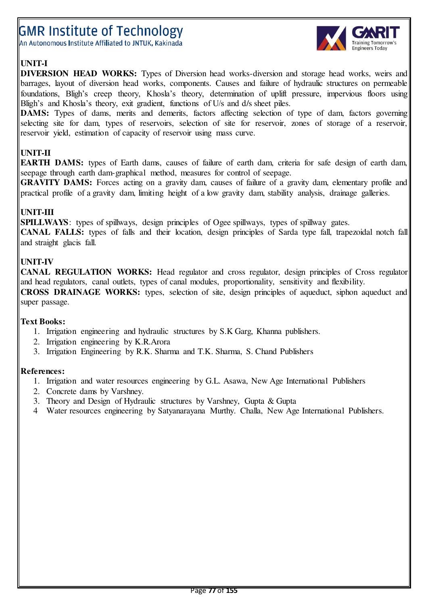# **GMR Institute of Technology**

An Autonomous Institute Affiliated to JNTUK, Kakinada



# **UNIT-I**

**DIVERSION HEAD WORKS:** Types of Diversion head works-diversion and storage head works, weirs and barrages, layout of diversion head works, components. Causes and failure of hydraulic structures on permeable foundations, Bligh's creep theory, Khosla's theory, determination of uplift pressure, impervious floors using Bligh's and Khosla's theory, exit gradient, functions of U/s and d/s sheet piles.

**DAMS:** Types of dams, merits and demerits, factors affecting selection of type of dam, factors governing selecting site for dam, types of reservoirs, selection of site for reservoir, zones of storage of a reservoir, reservoir yield, estimation of capacity of reservoir using mass curve.

# **UNIT-II**

**EARTH DAMS:** types of Earth dams, causes of failure of earth dam, criteria for safe design of earth dam, seepage through earth dam-graphical method, measures for control of seepage.

**GRAVITY DAMS:** Forces acting on a gravity dam, causes of failure of a gravity dam, elementary profile and practical profile of a gravity dam, limiting height of a low gravity dam, stability analysis, drainage galleries.

# **UNIT-III**

**SPILLWAYS**: types of spillways, design principles of Ogee spillways, types of spillway gates.

**CANAL FALLS:** types of falls and their location, design principles of Sarda type fall, trapezoidal notch fall and straight glacis fall.

# **UNIT-IV**

**CANAL REGULATION WORKS:** Head regulator and cross regulator, design principles of Cross regulator and head regulators, canal outlets, types of canal modules, proportionality, sensitivity and flexibility.

**CROSS DRAINAGE WORKS:** types, selection of site, design principles of aqueduct, siphon aqueduct and super passage.

## **Text Books:**

- 1. Irrigation engineering and hydraulic structures by S.K Garg, Khanna publishers.
- 2. Irrigation engineering by K.R.Arora
- 3. Irrigation Engineering by R.K. Sharma and T.K. Sharma, S. Chand Publishers

## **References:**

- 1. Irrigation and water resources engineering by G.L. Asawa, New Age International Publishers
- 2. Concrete dams by Varshney.
- 3. Theory and Design of Hydraulic structures by Varshney, Gupta & Gupta
- 4 Water resources engineering by Satyanarayana Murthy. Challa, New Age International Publishers.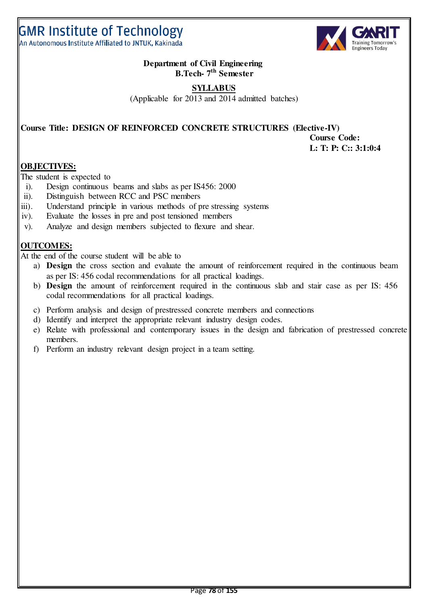

#### **Department of Civil Engineering B.Tech- 7th Semester**

# **SYLLABUS**

(Applicable for 2013 and 2014 admitted batches)

# **Course Title: DESIGN OF REINFORCED CONCRETE STRUCTURES (Elective-IV)**

 **Course Code: L: T: P: C:: 3:1:0:4** 

# **OBJECTIVES:**

The student is expected to

- i). Design continuous beams and slabs as per IS456: 2000
- ii). Distinguish between RCC and PSC members
- iii). Understand principle in various methods of pre stressing systems
- iv). Evaluate the losses in pre and post tensioned members
- v). Analyze and design members subjected to flexure and shear.

# **OUTCOMES:**

At the end of the course student will be able to

- a) **Design** the cross section and evaluate the amount of reinforcement required in the continuous beam as per IS: 456 codal recommendations for all practical loadings.
- b) **Design** the amount of reinforcement required in the continuous slab and stair case as per IS: 456 codal recommendations for all practical loadings.
- c) Perform analysis and design of prestressed concrete members and connections
- d) Identify and interpret the appropriate relevant industry design codes.
- e) Relate with professional and contemporary issues in the design and fabrication of prestressed concrete members.
- f) Perform an industry relevant design project in a team setting.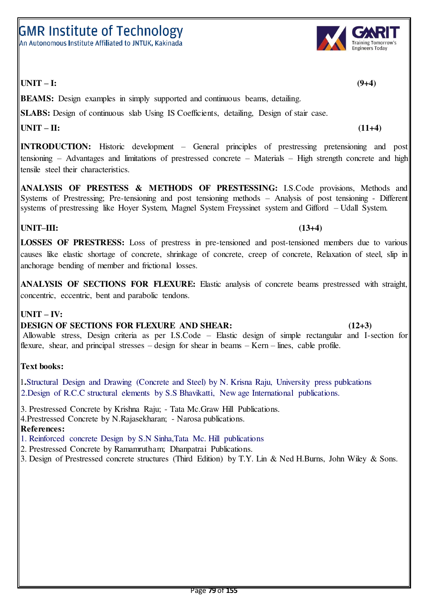

**BEAMS:** Design examples in simply supported and continuous beams, detailing.

**SLABS:** Design of continuous slab Using IS Coefficients, detailing, Design of stair case.

**UNIT – II:**  $(11+4)$ 

**INTRODUCTION:** Historic development – General principles of prestressing pretensioning and post tensioning – Advantages and limitations of prestressed concrete – Materials – High strength concrete and high tensile steel their characteristics.

**ANALYSIS OF PRESTESS & METHODS OF PRESTESSING:** I.S.Code provisions, Methods and Systems of Prestressing; Pre-tensioning and post tensioning methods – Analysis of post tensioning - Different systems of prestressing like Hoyer System, Magnel System Freyssinet system and Gifford – Udall System.

# **UNIT–III: (13+4)**

**LOSSES OF PRESTRESS:** Loss of prestress in pre-tensioned and post-tensioned members due to various causes like elastic shortage of concrete, shrinkage of concrete, creep of concrete, Relaxation of steel, slip in anchorage bending of member and frictional losses.

**ANALYSIS OF SECTIONS FOR FLEXURE:** Elastic analysis of concrete beams prestressed with straight, concentric, eccentric, bent and parabolic tendons.

# $\mathbf{I}$ **INIT** – **IV**:

## **DESIGN OF SECTIONS FOR FLEXURE AND SHEAR: (12+3)**

 Allowable stress, Design criteria as per I.S.Code – Elastic design of simple rectangular and I-section for flexure, shear, and principal stresses – design for shear in beams – Kern – lines, cable profile.

# **Text books:**

1**.**Structural Design and Drawing (Concrete and Steel) by N. Krisna Raju, University press publcations 2.Design of R.C.C structural elements by S.S Bhavikatti, New age International publications.

3. Prestressed Concrete by Krishna Raju; - Tata Mc.Graw Hill Publications.

4.Prestressed Concrete by N.Rajasekharan; - Narosa publications.

## **References:**

1. Reinforced concrete Design by S.N Sinha,Tata Mc. Hill publications

2. Prestressed Concrete by Ramamrutham; Dhanpatrai Publications.

3. Design of Prestressed concrete structures (Third Edition) by T.Y. Lin & Ned H.Burns, John Wiley & Sons.



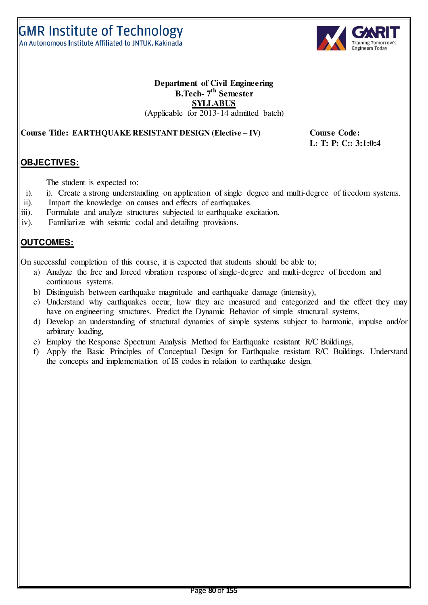

#### **Department of Civil Engineering B.Tech- 7th Semester SYLLABUS**  (Applicable for 2013-14 admitted batch)

**Course Title: EARTHQUAKE RESISTANT DESIGN (Elective – IV) Course Code:** 

 **L: T: P: C:: 3:1:0:4** 

# **OBJECTIVES:**

The student is expected to:

- i). i). Create a strong understanding on application of single degree and multi-degree of freedom systems.
- ii). Impart the knowledge on causes and effects of earthquakes.
- iii). Formulate and analyze structures subjected to earthquake excitation.
- iv). Familiarize with seismic codal and detailing provisions.

# **OUTCOMES:**

On successful completion of this course, it is expected that students should be able to;

- a) Analyze the free and forced vibration response of single-degree and multi-degree of freedom and continuous systems.
- b) Distinguish between earthquake magnitude and earthquake damage (intensity),
- c) Understand why earthquakes occur, how they are measured and categorized and the effect they may have on engineering structures. Predict the Dynamic Behavior of simple structural systems,
- d) Develop an understanding of structural dynamics of simple systems subject to harmonic, impulse and/or arbitrary loading,
- e) Employ the Response Spectrum Analysis Method for Earthquake resistant R/C Buildings,
- f) Apply the Basic Principles of Conceptual Design for Earthquake resistant R/C Buildings. Understand the concepts and implementation of IS codes in relation to earthquake design.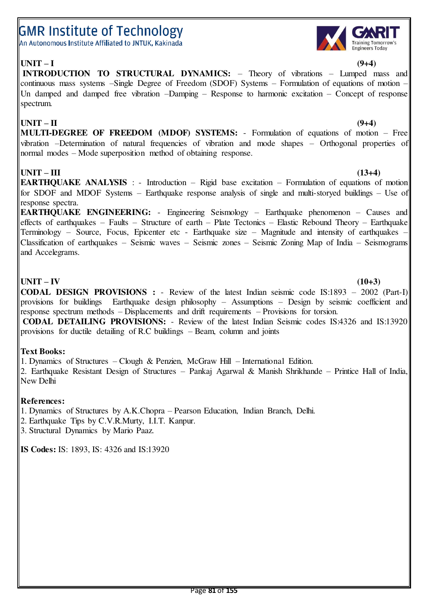An Autonomous Institute Affiliated to JNTUK, Kakinada

# **UNIT – I (9+4)**

 **INTRODUCTION TO STRUCTURAL DYNAMICS:** – Theory of vibrations – Lumped mass and continuous mass systems –Single Degree of Freedom (SDOF) Systems – Formulation of equations of motion – Un damped and damped free vibration –Damping – Response to harmonic excitation – Concept of response spectrum.

# $UNIT - II$  (9+4)

**MULTI-DEGREE OF FREEDOM (MDOF) SYSTEMS:** - Formulation of equations of motion – Free vibration –Determination of natural frequencies of vibration and mode shapes – Orthogonal properties of normal modes – Mode superposition method of obtaining response.

# **UNIT – III (13+4)**

**EARTHQUAKE ANALYSIS** : - Introduction – Rigid base excitation – Formulation of equations of motion for SDOF and MDOF Systems – Earthquake response analysis of single and multi-storyed buildings – Use of response spectra.

**EARTHQUAKE ENGINEERING:** - Engineering Seismology – Earthquake phenomenon – Causes and effects of earthquakes – Faults – Structure of earth – Plate Tectonics – Elastic Rebound Theory – Earthquake Terminology – Source, Focus, Epicenter etc - Earthquake size – Magnitude and intensity of earthquakes – Classification of earthquakes – Seismic waves – Seismic zones – Seismic Zoning Map of India – Seismograms and Accelegrams.

# **UNIT** – **IV**  $(10+3)$

**CODAL DESIGN PROVISIONS :** - Review of the latest Indian seismic code IS:1893 – 2002 (Part-I) provisions for buildings Earthquake design philosophy – Assumptions – Design by seismic coefficient and response spectrum methods – Displacements and drift requirements – Provisions for torsion.

 **CODAL DETAILING PROVISIONS:** - Review of the latest Indian Seismic codes IS:4326 and IS:13920 provisions for ductile detailing of R.C buildings – Beam, column and joints

## **Text Books:**

1. Dynamics of Structures – Clough & Penzien, McGraw Hill – International Edition.

2. Earthquake Resistant Design of Structures – Pankaj Agarwal & Manish Shrikhande – Printice Hall of India, New Delhi

## **References:**

1. Dynamics of Structures by A.K.Chopra – Pearson Education, Indian Branch, Delhi.

2. Earthquake Tips by C.V.R.Murty, I.I.T. Kanpur.

3. Structural Dynamics by Mario Paaz.

**IS Codes:** IS: 1893, IS: 4326 and IS:13920

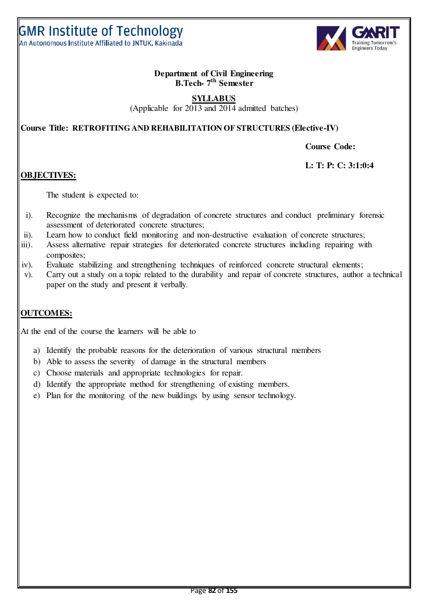

## **Department of Civil Engineering B.Tech- 7th Semester**

# **SYLLABUS**

(Applicable for  $2013$  and  $2014$  admitted batches)

**Course Title: RETROFITING AND REHABILITATION OF STRUCTURES (Elective-IV)** 

**Course Code:** 

**L: T: P: C: 3:1:0:4** 

# **OBJECTIVES:**

The student is expected to:

- i). Recognize the mechanisms of degradation of concrete structures and conduct preliminary forensic assessment of deteriorated concrete structures;
- ii). Learn how to conduct field monitoring and non-destructive evaluation of concrete structures;
- iii). Assess alternative repair strategies for deteriorated concrete structures including repairing with composites;
- iv). Evaluate stabilizing and strengthening techniques of reinforced concrete structural elements;
- v). Carry out a study on a topic related to the durability and repair of concrete structures, author a technical paper on the study and present it verbally.

# **OUTCOMES:**

At the end of the course the learners will be able to

- a) Identify the probable reasons for the deterioration of various structural members
- b) Able to assess the severity of damage in the structural members
- c) Choose materials and appropriate technologies for repair.
- d) Identify the appropriate method for strengthening of existing members.
- e) Plan for the monitoring of the new buildings by using sensor technology.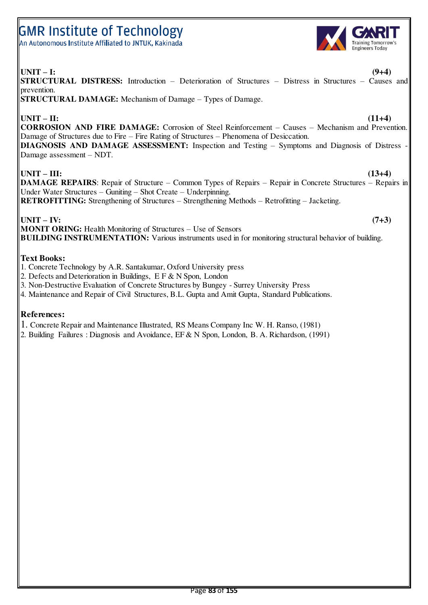An Autonomous Institute Affiliated to JNTUK, Kakinada

**UNIT – I: (9+4) STRUCTURAL DISTRESS:** Introduction – Deterioration of Structures – Distress in Structures – Causes and prevention.

**STRUCTURAL DAMAGE:** Mechanism of Damage – Types of Damage.

**UNIT – II: (11+4) CORROSION AND FIRE DAMAGE:** Corrosion of Steel Reinforcement – Causes – Mechanism and Prevention. Damage of Structures due to Fire – Fire Rating of Structures – Phenomena of Desiccation. **DIAGNOSIS AND DAMAGE ASSESSMENT:** Inspection and Testing – Symptoms and Diagnosis of Distress - Damage assessment – NDT.

**UNIT – III: (13+4) DAMAGE REPAIRS**: Repair of Structure – Common Types of Repairs – Repair in Concrete Structures – Repairs in Under Water Structures – Guniting – Shot Create – Underpinning. **RETROFITTING:** Strengthening of Structures – Strengthening Methods – Retrofitting – Jacketing.

**UNIT – IV: (7+3) MONIT ORING:** Health Monitoring of Structures – Use of Sensors **BUILDING INSTRUMENTATION:** Various instruments used in for monitoring structural behavior of building.

## **Text Books:**

- 1. Concrete Technology by A.R. Santakumar, Oxford University press
- 2. Defects and Deterioration in Buildings, E F & N Spon, London

3. Non-Destructive Evaluation of Concrete Structures by Bungey - Surrey University Press

4. Maintenance and Repair of Civil Structures, B.L. Gupta and Amit Gupta, Standard Publications.

#### **References:**

1. Concrete Repair and Maintenance Illustrated, RS Means Company Inc W. H. Ranso, (1981)

2. Building Failures : Diagnosis and Avoidance, EF & N Spon, London, B. A. Richardson, (1991)

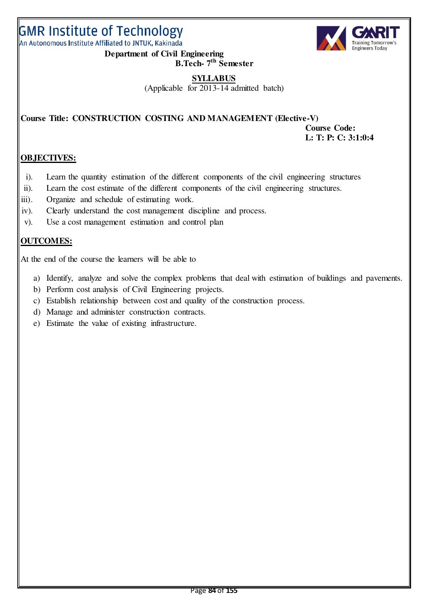**GMR Institute of Technology** 



An Autonomous Institute Affiliated to JNTUK, Kakinada

# **Department of Civil Engineering**

**B.Tech- 7th Semester** 

# **SYLLABUS**

(Applicable for 2013-14 admitted batch)

**Course Title: CONSTRUCTION COSTING AND MANAGEMENT (Elective-V) Course Code: L: T: P: C: 3:1:0:4** 

# **OBJECTIVES:**

- i). Learn the quantity estimation of the different components of the civil engineering structures
- ii). Learn the cost estimate of the different components of the civil engineering structures.
- iii). Organize and schedule of estimating work.
- iv). Clearly understand the cost management discipline and process.
- v). Use a cost management estimation and control plan

# **OUTCOMES:**

At the end of the course the learners will be able to

- a) Identify, analyze and solve the complex problems that deal with estimation of buildings and pavements.
- b) Perform cost analysis of Civil Engineering projects.
- c) Establish relationship between cost and quality of the construction process.
- d) Manage and administer construction contracts.
- e) Estimate the value of existing infrastructure.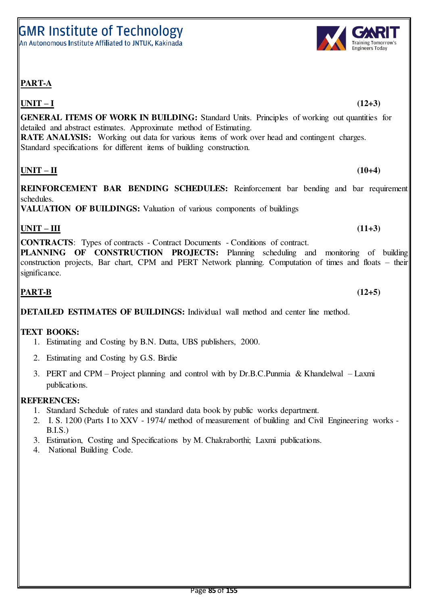**PART-A**

# **UNIT – I (12+3)**

**GENERAL ITEMS OF WORK IN BUILDING:** Standard Units. Principles of working out quantities for detailed and abstract estimates. Approximate method of Estimating. **RATE ANALYSIS:** Working out data for various items of work over head and contingent charges.

Standard specifications for different items of building construction.

# $\mathbf{UNIT} - \mathbf{II}$  (10+4)

**REINFORCEMENT BAR BENDING SCHEDULES:** Reinforcement bar bending and bar requirement schedules.

**VALUATION OF BUILDINGS:** Valuation of various components of buildings

# $\frac{UNIT - III}{(11+3)}$

**CONTRACTS**: Types of contracts - Contract Documents - Conditions of contract.

**PLANNING OF CONSTRUCTION PROJECTS:** Planning scheduling and monitoring of building construction projects, Bar chart, CPM and PERT Network planning. Computation of times and floats – their significance.

# **PART-B (12+5)**

**DETAILED ESTIMATES OF BUILDINGS:** Individual wall method and center line method.

# **TEXT BOOKS:**

- 1. Estimating and Costing by B.N. Dutta, UBS publishers, 2000.
- 2. Estimating and Costing by G.S. Birdie
- 3. PERT and CPM Project planning and control with by Dr.B.C.Punmia & Khandelwal Laxmi publications.

# **REFERENCES:**

- 1. Standard Schedule of rates and standard data book by public works department.
- 2. I. S. 1200 (Parts I to XXV 1974/ method of measurement of building and Civil [Engineering](http://www.globalshiksha.com/engineering/search/) works B.I.S.)
- 3. Estimation, Costing and Specifications by M. Chakraborthi; Laxmi publications.
- 4. National Building Code.

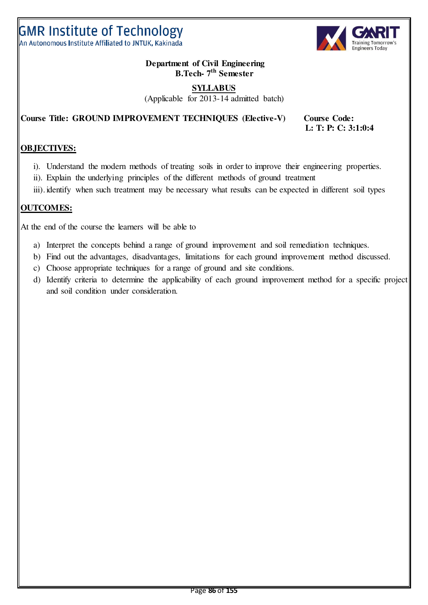

# **Department of Civil Engineering B.Tech- 7th Semester**

**SYLLABUS** 

(Applicable for 2013-14 admitted batch)

**Course Title: GROUND IMPROVEMENT TECHNIQUES (Elective-V) Course Code:** 

**L: T: P: C: 3:1:0:4**

# **OBJECTIVES:**

- i). Understand the modern methods of treating soils in order to improve their engineering properties.
- ii). Explain the underlying principles of the different methods of ground treatment
- iii). identify when such treatment may be necessary what results can be expected in different soil types

# **OUTCOMES:**

At the end of the course the learners will be able to

- a) Interpret the concepts behind a range of ground improvement and soil remediation techniques.
- b) Find out the advantages, disadvantages, limitations for each ground improvement method discussed.
- c) Choose appropriate techniques for a range of ground and site conditions.
- d) Identify criteria to determine the applicability of each ground improvement method for a specific project and soil condition under consideration.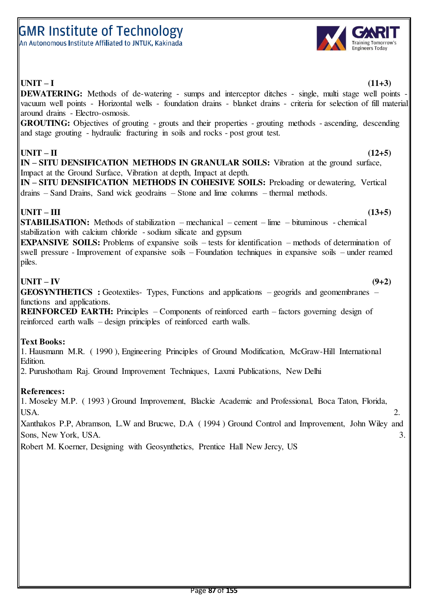**UNIT**  $-$  **I** (11+3) **DEWATERING:** Methods of de-watering - sumps and interceptor ditches - single, multi stage well points vacuum well points - Horizontal wells - foundation drains - blanket drains - criteria for selection of fill material around drains - Electro-osmosis.

**GROUTING:** Objectives of grouting - grouts and their properties - grouting methods - ascending, descending and stage grouting - hydraulic fracturing in soils and rocks - post grout test.

 $UNIT - II$  (12+5) **IN – SITU DENSIFICATION METHODS IN GRANULAR SOILS:** Vibration at the ground surface, Impact at the Ground Surface, Vibration at depth, Impact at depth.

**IN – SITU DENSIFICATION METHODS IN COHESIVE SOILS:** Preloading or dewatering, Vertical drains – Sand Drains, Sand wick geodrains – Stone and lime columns – thermal methods.

# **UNIT – III (13+5)**

**STABILISATION:** Methods of stabilization – mechanical – cement – lime – bituminous - chemical stabilization with calcium chloride - sodium silicate and gypsum

**EXPANSIVE SOILS:** Problems of expansive soils – tests for identification – methods of determination of swell pressure - Improvement of expansive soils – Foundation techniques in expansive soils – under reamed piles.

# **UNIT – IV (9+2)**

**GEOSYNTHETICS** : Geotextiles- Types, Functions and applications – geogrids and geomembranes – functions and applications.

**REINFORCED EARTH:** Principles – Components of reinforced earth – factors governing design of reinforced earth walls – design principles of reinforced earth walls.

## **Text Books:**

1. Hausmann M.R. ( 1990 ), Engineering Principles of Ground Modification, McGraw-Hill International Edition.

2. Purushotham Raj. Ground Improvement Techniques, Laxmi Publications, New Delhi

# **References:**

1. Moseley M.P. ( 1993 ) Ground Improvement, Blackie Academic and Professional, Boca Taton, Florida,  $\text{USA.}$  2.

Xanthakos P.P, Abramson, L.W and Brucwe, D.A ( 1994 ) Ground Control and Improvement, John Wiley and Sons, New York, USA. 3.

Robert M. Koerner, Designing with Geosynthetics, Prentice Hall New Jercy, US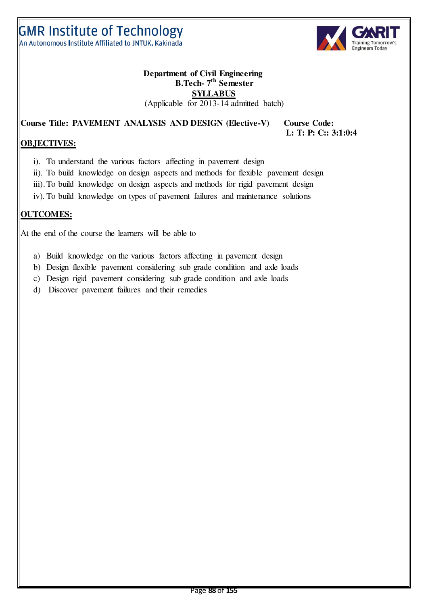

#### **Department of Civil Engineering B.Tech- 7th Semester SYLLABUS**

(Applicable for 2013-14 admitted batch)

**Course Title: PAVEMENT ANALYSIS AND DESIGN (Elective-V) Course Code:** 

 **L: T: P: C:: 3:1:0:4** 

# **OBJECTIVES:**

- i). To understand the various factors affecting in pavement design
- ii). To build knowledge on design aspects and methods for flexible pavement design
- iii).To build knowledge on design aspects and methods for rigid pavement design
- iv). To build knowledge on types of pavement failures and maintenance solutions

## **OUTCOMES:**

At the end of the course the learners will be able to

- a) Build knowledge on the various factors affecting in pavement design
- b) Design flexible pavement considering sub grade condition and axle loads
- c) Design rigid pavement considering sub grade condition and axle loads
- d) Discover pavement failures and their remedies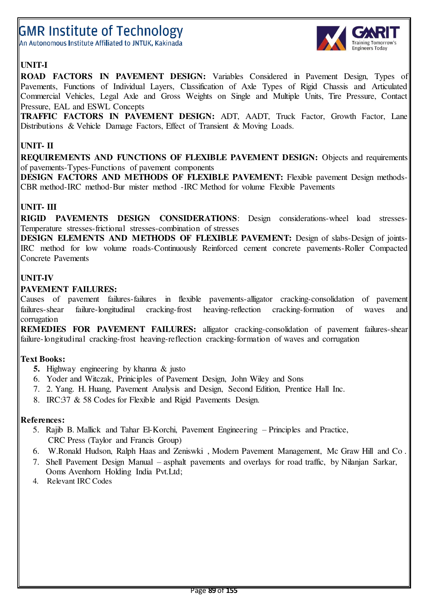

An Autonomous Institute Affiliated to JNTUK, Kakinada

# **UNIT-I**

**ROAD FACTORS IN PAVEMENT DESIGN:** Variables Considered in Pavement Design, Types of Pavements, Functions of Individual Layers, Classification of Axle Types of Rigid Chassis and Articulated Commercial Vehicles, Legal Axle and Gross Weights on Single and Multiple Units, Tire Pressure, Contact Pressure, EAL and ESWL Concepts

**TRAFFIC FACTORS IN PAVEMENT DESIGN:** ADT, AADT, Truck Factor, Growth Factor, Lane Distributions & Vehicle Damage Factors, Effect of Transient & Moving Loads.

# **UNIT- II**

**REQUIREMENTS AND FUNCTIONS OF FLEXIBLE PAVEMENT DESIGN:** Objects and requirements of pavements-Types-Functions of pavement components

**DESIGN FACTORS AND METHODS OF FLEXIBLE PAVEMENT:** Flexible pavement Design methods-CBR method-IRC method-Bur mister method -IRC Method for volume Flexible Pavements

# **UNIT- III**

**RIGID PAVEMENTS DESIGN CONSIDERATIONS**: Design considerations-wheel load stresses-Temperature stresses-frictional stresses-combination of stresses

**DESIGN ELEMENTS AND METHODS OF FLEXIBLE PAVEMENT:** Design of slabs-Design of joints-IRC method for low volume roads-Continuously Reinforced cement concrete pavements-Roller Compacted Concrete Pavements

# **UNIT-IV**

# **PAVEMENT FAILURES:**

Causes of pavement failures-failures in flexible pavements-alligator cracking-consolidation of pavement failures-shear failure-longitudinal cracking-frost heaving-reflection cracking-formation of waves and corrugation

**REMEDIES FOR PAVEMENT FAILURES:** alligator cracking-consolidation of pavement failures-shear failure-longitudinal cracking-frost heaving-reflection cracking-formation of waves and corrugation

# **Text Books:**

- **5.** Highway engineering by khanna & justo
- 6. Yoder and Witczak, Priniciples of Pavement Design, John Wiley and Sons
- 7. 2. Yang. H. Huang, Pavement Analysis and Design, Second Edition, Prentice Hall Inc.
- 8. IRC:37 & 58 Codes for Flexible and Rigid Pavements Design.

# **References:**

- 5. Rajib B. Mallick and Tahar El-Korchi, Pavement Engineering Principles and Practice, CRC Press (Taylor and Francis Group)
- 6. W.Ronald Hudson, Ralph Haas and Zeniswki , Modern Pavement Management, Mc Graw Hill and Co .
- 7. Shell Pavement Design Manual asphalt pavements and overlays for road traffic, by Nilanjan Sarkar, Ooms Avenhorn Holding India Pvt.Ltd;
- 4. Relevant IRC Codes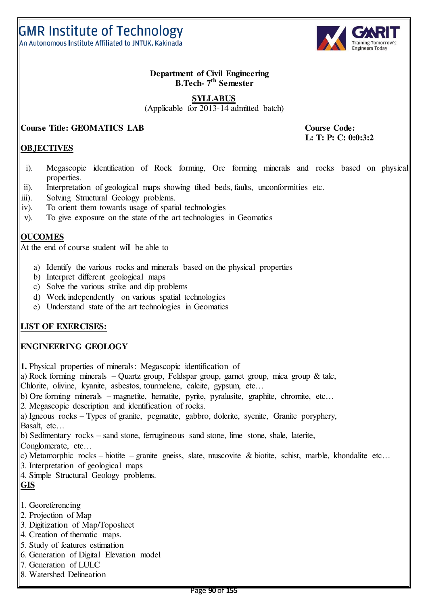

# **Department of Civil Engineering B.Tech- 7th Semester**

# **SYLLABUS**

(Applicable for 2013-14 admitted batch)

**Course Title: GEOMATICS LAB Course Code: Course Code: Course Code: Course Code: Course Code: Course Code: Course Code: Course Code: Course Code: Course Code: Course Code: Course Code: Course Code:** 

# **OBJECTIVES**

- i). Megascopic identification of Rock forming, Ore forming minerals and rocks based on physical properties.
- ii). Interpretation of geological maps showing tilted beds, faults, unconformities etc.
- iii). Solving Structural Geology problems.
- iv). To orient them towards usage of spatial technologies
- v). To give exposure on the state of the art technologies in Geomatics

# **OUCOMES**

At the end of course student will be able to

- a) Identify the various rocks and minerals based on the physical properties
- b) Interpret different geological maps
- c) Solve the various strike and dip problems
- d) Work independently on various spatial technologies
- e) Understand state of the art technologies in Geomatics

## **LIST OF EXERCISES:**

## **ENGINEERING GEOLOGY**

**1.** Physical properties of minerals: Megascopic identification of

a) Rock forming minerals – Quartz group, Feldspar group, garnet group, mica group & talc,

Chlorite, olivine, kyanite, asbestos, tourmelene, calcite, gypsum, etc…

b) Ore forming minerals – magnetite, hematite, pyrite, pyralusite, graphite, chromite, etc…

2. Megascopic description and identification of rocks.

a) Igneous rocks – Types of granite, pegmatite, gabbro, dolerite, syenite, Granite poryphery, Basalt, etc…

b) Sedimentary rocks – sand stone, ferrugineous sand stone, lime stone, shale, laterite, Conglomerate, etc…

c) Metamorphic rocks – biotite – granite gneiss, slate, muscovite & biotite, schist, marble, khondalite etc…

3. Interpretation of geological maps

4. Simple Structural Geology problems.

# **GIS**

- 1. Georeferencing
- 2. Projection of Map
- 3. Digitization of Map/Toposheet
- 4. Creation of thematic maps.
- 5. Study of features estimation
- 6. Generation of Digital Elevation model
- 7. Generation of LULC
- 8. Watershed Delineation

**L: T: P: C: 0:0:3:2**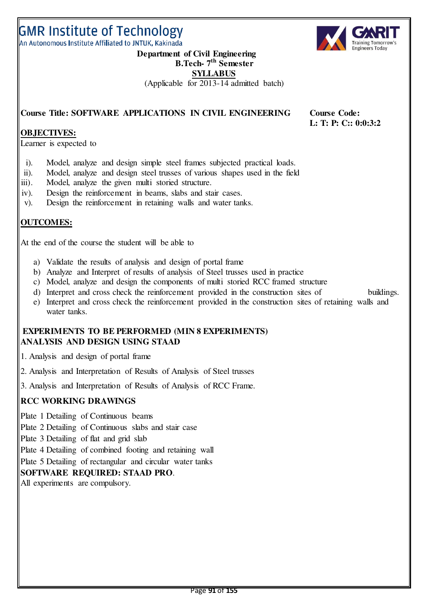**GMR Institute of Technology** An Autonomous Institute Affiliated to JNTUK, Kakinada



**Department of Civil Engineering** 

#### **B.Tech- 7th Semester SYLLABUS**

(Applicable for 2013-14 admitted batch)

# **Course Title: SOFTWARE APPLICATIONS IN CIVIL ENGINEERING Course Code:**

 **L: T: P: C:: 0:0:3:2** 

# **OBJECTIVES:**

Learner is expected to

- i). Model, analyze and design simple steel frames subjected practical loads.
- ii). Model, analyze and design steel trusses of various shapes used in the field
- iii). Model, analyze the given multi storied structure.
- iv). Design the reinforcement in beams, slabs and stair cases.
- v). Design the reinforcement in retaining walls and water tanks.

# **OUTCOMES:**

At the end of the course the student will be able to

- a) Validate the results of analysis and design of portal frame
- b) Analyze and Interpret of results of analysis of Steel trusses used in practice
- c) Model, analyze and design the components of multi storied RCC framed structure
- d) Interpret and cross check the reinforcement provided in the construction sites of buildings.
- e) Interpret and cross check the reinforcement provided in the construction sites of retaining walls and water tanks.

# **EXPERIMENTS TO BE PERFORMED (MIN 8 EXPERIMENTS) ANALYSIS AND DESIGN USING STAAD**

- 1. Analysis and design of portal frame
- 2. Analysis and Interpretation of Results of Analysis of Steel trusses

3. Analysis and Interpretation of Results of Analysis of RCC Frame.

## **RCC WORKING DRAWINGS**

Plate 1 Detailing of Continuous beams

Plate 2 Detailing of Continuous slabs and stair case

Plate 3 Detailing of flat and grid slab

Plate 4 Detailing of combined footing and retaining wall

Plate 5 Detailing of rectangular and circular water tanks

# **SOFTWARE REQUIRED: STAAD PRO**.

All experiments are compulsory.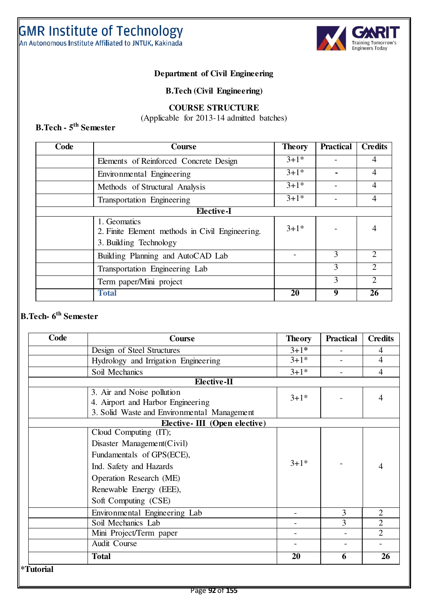

# **Department of Civil Engineering**

# **B.Tech (Civil Engineering)**

#### **COURSE STRUCTURE**

(Applicable for 2013-14 admitted batches)

# **B.Tech - 5th Semester**

| Code              | <b>Course</b>                                                   | <b>Theory</b> | <b>Practical</b> | <b>Credits</b>              |
|-------------------|-----------------------------------------------------------------|---------------|------------------|-----------------------------|
|                   | Elements of Reinforced Concrete Design                          | $3+1*$        |                  | $\overline{4}$              |
|                   | Environmental Engineering                                       | $3+1*$        |                  | $\overline{4}$              |
|                   | Methods of Structural Analysis                                  | $3+1*$        |                  | $\overline{4}$              |
|                   | Transportation Engineering                                      | $3 + 1*$      |                  | $\overline{4}$              |
| <b>Elective-I</b> |                                                                 |               |                  |                             |
|                   | 1. Geomatics<br>2. Finite Element methods in Civil Engineering. | $3 + 1*$      |                  | $\overline{4}$              |
|                   | 3. Building Technology                                          |               |                  |                             |
|                   | Building Planning and AutoCAD Lab                               |               | 3                | $\mathcal{D}_{\mathcal{L}}$ |
|                   | Transportation Engineering Lab                                  |               | 3                | $\mathcal{D}_{\mathcal{L}}$ |
|                   | Term paper/Mini project                                         |               | 3                | $\mathcal{D}_{\mathcal{L}}$ |
|                   | <b>Total</b>                                                    | 20            | 9                | 26                          |

# **B.Tech- 6th Semester**

| Code | Course                                      | <b>Theory</b> | <b>Practical</b> | <b>Credits</b> |
|------|---------------------------------------------|---------------|------------------|----------------|
|      | Design of Steel Structures                  | $3 + 1*$      |                  | 4              |
|      | Hydrology and Irrigation Engineering        | $3 + 1*$      |                  | 4              |
|      | Soil Mechanics                              | $3+1*$        |                  | 4              |
|      | Elective-II                                 |               |                  |                |
|      | 3. Air and Noise pollution                  | $3+1*$        |                  |                |
|      | 4. Airport and Harbor Engineering           |               |                  | 4              |
|      | 3. Solid Waste and Environmental Management |               |                  |                |
|      | Elective-III (Open elective)                |               |                  |                |
|      | Cloud Computing (IT);                       |               |                  |                |
|      | Disaster Management (Civil)                 |               |                  |                |
|      | Fundamentals of GPS(ECE),                   |               |                  |                |
|      | Ind. Safety and Hazards                     | $3+1*$        |                  |                |
|      | Operation Research (ME)                     |               |                  |                |
|      | Renewable Energy (EEE),                     |               |                  |                |
|      | Soft Computing (CSE)                        |               |                  |                |
|      | Environmental Engineering Lab               |               | 3                | $\overline{2}$ |
|      | Soil Mechanics Lab                          |               | 3                | $\overline{2}$ |
|      | Mini Project/Term paper                     |               |                  | $\overline{2}$ |
|      | <b>Audit Course</b>                         |               |                  |                |
|      | <b>Total</b>                                | 20            | 6                | 26             |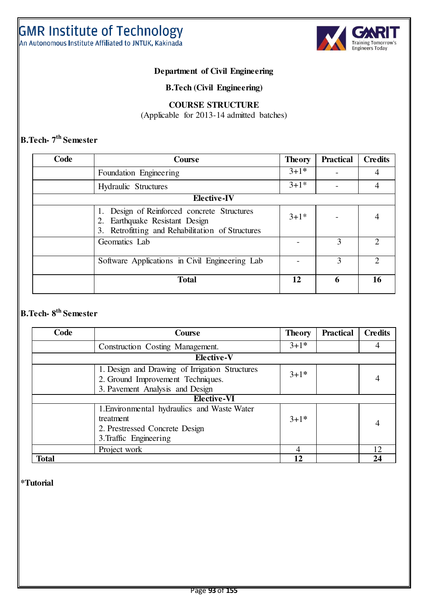

# **Department of Civil Engineering**

# **B.Tech (Civil Engineering)**

#### **COURSE STRUCTURE**

(Applicable for 2013-14 admitted batches)

# **B.Tech- 7th Semester**

| Code | <b>Course</b>                                                                                                                              | <b>Theory</b> | <b>Practical</b> | <b>Credits</b> |  |
|------|--------------------------------------------------------------------------------------------------------------------------------------------|---------------|------------------|----------------|--|
|      | Foundation Engineering                                                                                                                     | $3+1*$        |                  | $\overline{4}$ |  |
|      | Hydraulic Structures                                                                                                                       | $3+1*$        |                  |                |  |
|      | <b>Elective-IV</b>                                                                                                                         |               |                  |                |  |
|      | Design of Reinforced concrete Structures<br>1.<br>Earthquake Resistant Design<br>2.<br>Retrofitting and Rehabilitation of Structures<br>3. | $3 + 1*$      |                  |                |  |
|      | Geomatics Lab                                                                                                                              |               | 3                |                |  |
|      | Software Applications in Civil Engineering Lab                                                                                             |               | 3                |                |  |
|      | <b>Total</b>                                                                                                                               | 12            | 6                | 16             |  |

# **B.Tech- 8th Semester**

| Code               | <b>Course</b>                                  | <b>Theory</b> | <b>Practical</b> | <b>Credits</b> |  |
|--------------------|------------------------------------------------|---------------|------------------|----------------|--|
|                    | Construction Costing Management.               | $3 + 1*$      |                  |                |  |
|                    | <b>Elective-V</b>                              |               |                  |                |  |
|                    | 1. Design and Drawing of Irrigation Structures | $3+1*$        |                  | $\overline{4}$ |  |
|                    | 2. Ground Improvement Techniques.              |               |                  |                |  |
|                    | 3. Pavement Analysis and Design                |               |                  |                |  |
| <b>Elective-VI</b> |                                                |               |                  |                |  |
|                    | 1. Environmental hydraulics and Waste Water    | $3+1*$        |                  |                |  |
|                    | treatment                                      |               |                  | $\overline{4}$ |  |
|                    | 2. Prestressed Concrete Design                 |               |                  |                |  |
|                    | 3. Traffic Engineering                         |               |                  |                |  |
|                    | Project work                                   | 4             |                  | 12             |  |
| <b>Total</b>       |                                                | 12            |                  | 24             |  |

#### **\*Tutorial**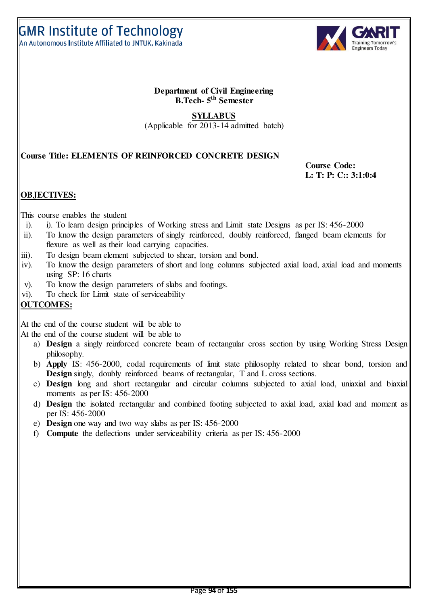

# **Department of Civil Engineering B.Tech- 5th Semester**

**SYLLABUS**  (Applicable for 2013-14 admitted batch)

# **Course Title: ELEMENTS OF REINFORCED CONCRETE DESIGN**

 **Course Code: L: T: P: C:: 3:1:0:4** 

# **OBJECTIVES:**

This course enables the student

- i). i). To learn design principles of Working stress and Limit state Designs as per IS: 456-2000
- ii). To know the design parameters of singly reinforced, doubly reinforced, flanged beam elements for flexure as well as their load carrying capacities.
- iii). To design beam element subjected to shear, torsion and bond.
- iv). To know the design parameters of short and long columns subjected axial load, axial load and moments using SP: 16 charts
- v). To know the design parameters of slabs and footings.
- vi). To check for Limit state of serviceability

# **OUTCOMES:**

At the end of the course student will be able to

At the end of the course student will be able to

- a) **Design** a singly reinforced concrete beam of rectangular cross section by using Working Stress Design philosophy.
- b) **Apply** IS: 456-2000, codal requirements of limit state philosophy related to shear bond, torsion and **Design** singly, doubly reinforced beams of rectangular, T and L cross sections.
- c) **Design** long and short rectangular and circular columns subjected to axial load, uniaxial and biaxial moments as per IS: 456-2000
- d) **Design** the isolated rectangular and combined footing subjected to axial load, axial load and moment as per IS: 456-2000
- e) **Design** one way and two way slabs as per IS: 456-2000
- f) **Compute** the deflections under serviceability criteria as per IS: 456-2000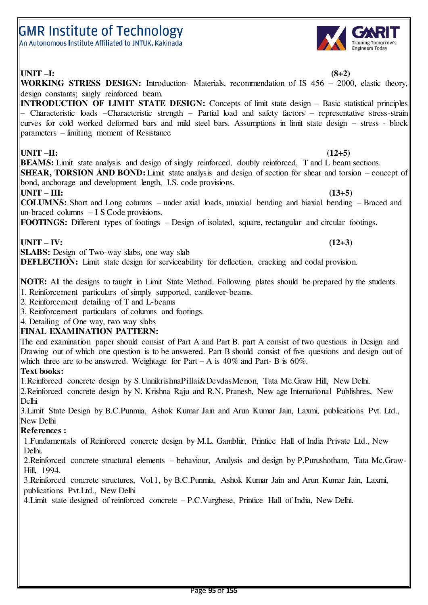An Autonomous Institute Affiliated to JNTUK, Kakinada



**UNIT –I: (8+2) WORKING STRESS DESIGN:** Introduction- Materials, recommendation of IS 456 – 2000, elastic theory, design constants; singly reinforced beam.

**INTRODUCTION OF LIMIT STATE DESIGN:** Concepts of limit state design – Basic statistical principles – Characteristic loads –Characteristic strength – Partial load and safety factors – representative stress-strain curves for cold worked deformed bars and mild steel bars. Assumptions in limit state design – stress - block parameters – limiting moment of Resistance

# **UNIT –II: (12+5)**

#### **BEAMS:** Limit state analysis and design of singly reinforced, doubly reinforced, T and L beam sections.

**SHEAR, TORSION AND BOND:** Limit state analysis and design of section for shear and torsion – concept of bond, anchorage and development length, I.S. code provisions.

**UNIT – III: (13+5) COLUMNS:** Short and Long columns – under axial loads, uniaxial bending and biaxial bending – Braced and un-braced columns – I S Code provisions.

**FOOTINGS:** Different types of footings – Design of isolated, square, rectangular and circular footings.

**UNIT –IV:**  $(12+3)$ 

**SLABS:** Design of Two-way slabs, one way slab

**DEFLECTION:** Limit state design for serviceability for deflection, cracking and codal provision.

**NOTE:** All the designs to taught in Limit State Method. Following plates should be prepared by the students.

1. Reinforcement particulars of simply supported, cantilever-beams.

2. Reinforcement detailing of T and L-beams

3. Reinforcement particulars of columns and footings.

4. Detailing of One way, two way slabs

# **FINAL EXAMINATION PATTERN:**

The end examination paper should consist of Part A and Part B. part A consist of two questions in Design and Drawing out of which one question is to be answered. Part B should consist of five questions and design out of which three are to be answered. Weightage for Part – A is  $40\%$  and Part- B is  $60\%$ .

## **Text books:**

1.Reinforced concrete design by S.UnnikrishnaPillai&DevdasMenon, Tata Mc.Graw Hill, New Delhi.

2.Reinforced concrete design by N. Krishna Raju and R.N. Pranesh, New age International Publishres, New Delhi

3.Limit State Design by B.C.Punmia, Ashok Kumar Jain and Arun Kumar Jain, Laxmi, publications Pvt. Ltd., New Delhi

## **References :**

1.Fundamentals of Reinforced concrete design by M.L. Gambhir, Printice Hall of India Private Ltd., New Delhi.

2.Reinforced concrete structural elements – behaviour, Analysis and design by P.Purushotham, Tata Mc.Graw-Hill, 1994.

3.Reinforced concrete structures, Vol.1, by B.C.Punmia, Ashok Kumar Jain and Arun Kumar Jain, Laxmi, publications Pvt.Ltd., New Delhi

4.Limit state designed of reinforced concrete – P.C.Varghese, Printice Hall of India, New Delhi.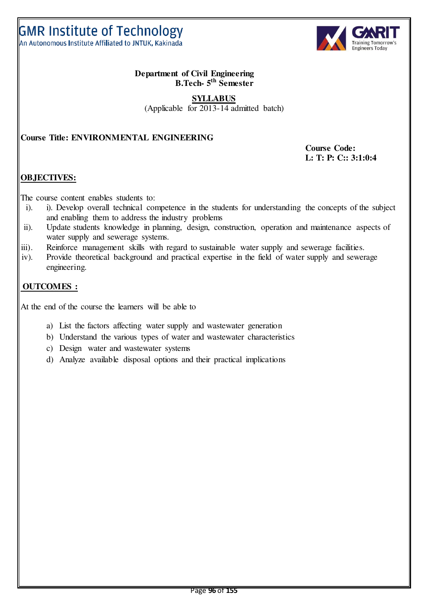

## **Department of Civil Engineering B.Tech- 5th Semester**

# **SYLLABUS**

(Applicable for 2013-14 admitted batch)

# **Course Title: ENVIRONMENTAL ENGINEERING**

 **Course Code: L: T: P: C:: 3:1:0:4** 

# **OBJECTIVES:**

The course content enables students to:

- i). i). Develop overall technical competence in the students for understanding the concepts of the subject and enabling them to address the industry problems
- ii). Update students knowledge in planning, design, construction, operation and maintenance aspects of water supply and sewerage systems.
- iii). Reinforce management skills with regard to sustainable water supply and sewerage facilities.
- iv). Provide theoretical background and practical expertise in the field of water supply and sewerage engineering.

# **OUTCOMES :**

At the end of the course the learners will be able to

- a) List the factors affecting water supply and wastewater generation
- b) Understand the various types of water and wastewater characteristics
- c) Design water and wastewater systems
- d) Analyze available disposal options and their practical implications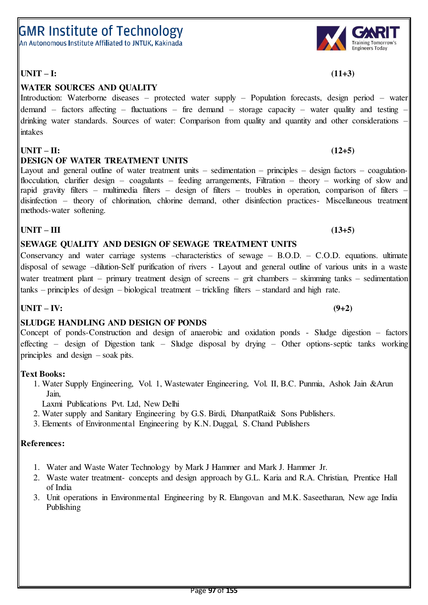# **GMR Institute of Technology** An Autonomous Institute Affiliated to JNTUK, Kakinada

**UNIT – I: (11+3)**

# **WATER SOURCES AND QUALITY**

Introduction: Waterborne diseases – protected water supply – Population forecasts, design period – water demand – factors affecting – fluctuations – fire demand – storage capacity – water quality and testing drinking water standards. Sources of water: Comparison from quality and quantity and other considerations – intakes

# **UNIT – II: (12+5)**

# **DESIGN OF WATER TREATMENT UNITS**

Layout and general outline of water treatment units – sedimentation – principles – design factors – coagulationflocculation, clarifier design – coagulants – feeding arrangements, Filtration – theory – working of slow and rapid gravity filters – multimedia filters – design of filters – troubles in operation, comparison of filters – disinfection – theory of chlorination, chlorine demand, other disinfection practices- Miscellaneous treatment methods-water softening.

# **UNIT – III (13+5)**

# **SEWAGE QUALITY AND DESIGN OF SEWAGE TREATMENT UNITS**

Conservancy and water carriage systems –characteristics of sewage – B.O.D. – C.O.D. equations. ultimate disposal of sewage –dilution-Self purification of rivers - Layout and general outline of various units in a waste water treatment plant – primary treatment design of screens – grit chambers – skimming tanks – sedimentation tanks – principles of design – biological treatment – trickling filters – standard and high rate.

# $UNIT - IV:$  (9+2)

# **SLUDGE HANDLING AND DESIGN OF PONDS**

Concept of ponds-Construction and design of anaerobic and oxidation ponds - Sludge digestion – factors effecting – design of Digestion tank – Sludge disposal by drying – Other options-septic tanks working principles and design – soak pits.

# **Text Books:**

- 1. Water Supply Engineering, Vol. 1, Wastewater Engineering, Vol. II, B.C. Punmia, Ashok Jain &Arun Jain,
	- Laxmi Publications Pvt. Ltd, New Delhi
- 2. Water supply and Sanitary Engineering by G.S. Birdi, DhanpatRai& Sons Publishers.
- 3. Elements of Environmental Engineering by K.N. Duggal, S. Chand Publishers

# **References:**

- 1. Water and Waste Water Technology by Mark J Hammer and Mark J. Hammer Jr.
- 2. Waste water treatment- concepts and design approach by G.L. Karia and R.A. Christian, Prentice Hall of India
- 3. Unit operations in Environmental Engineering by R. Elangovan and M.K. Saseetharan, New age India Publishing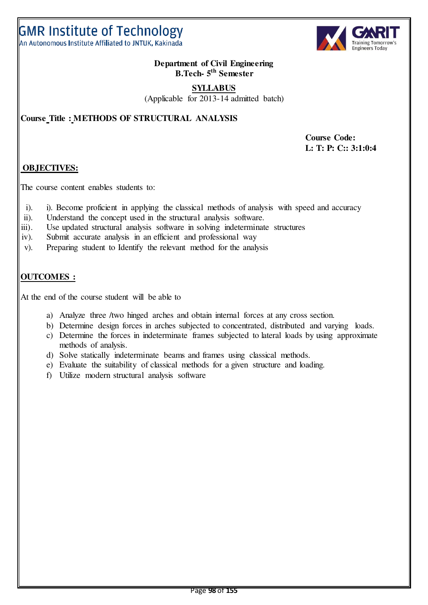

An Autonomous Institute Affiliated to JNTUK, Kakinada

# **Department of Civil Engineering B.Tech- 5th Semester**

**SYLLABUS**  (Applicable for 2013-14 admitted batch)

# **Course Title : METHODS OF STRUCTURAL ANALYSIS**

 **Course Code: L: T: P: C:: 3:1:0:4** 

# **OBJECTIVES:**

The course content enables students to:

- i). i). Become proficient in applying the classical methods of analysis with speed and accuracy
- ii). Understand the concept used in the structural analysis software.
- iii). Use updated structural analysis software in solving indeterminate structures
- iv). Submit accurate analysis in an efficient and professional way
- v). Preparing student to Identify the relevant method for the analysis

# **OUTCOMES :**

At the end of the course student will be able to

- a) Analyze three /two hinged arches and obtain internal forces at any cross section.
- b) Determine design forces in arches subjected to concentrated, distributed and varying loads.
- c) Determine the forces in indeterminate frames subjected to lateral loads by using approximate methods of analysis.
- d) Solve statically indeterminate beams and frames using classical methods.
- e) Evaluate the suitability of classical methods for a given structure and loading.
- f) Utilize modern structural analysis software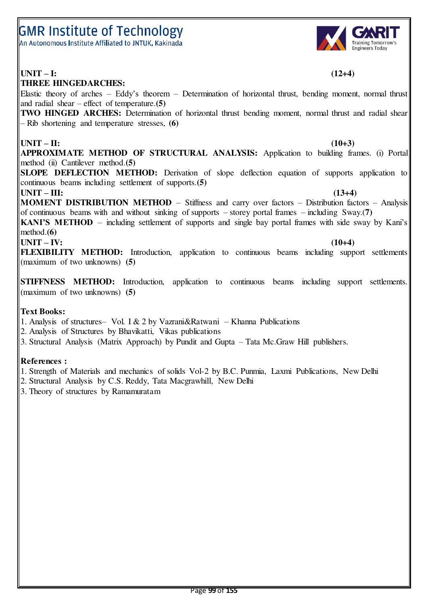# **GMR Institute of Technology**

An Autonomous Institute Affiliated to JNTUK, Kakinada

# **THREE HINGEDARCHES:**

Elastic theory of arches – Eddy's theorem – Determination of horizontal thrust, bending moment, normal thrust and radial shear – effect of temperature.**(5)**

**TWO HINGED ARCHES:** Determination of horizontal thrust bending moment, normal thrust and radial shear – Rib shortening and temperature stresses, **(6)**

**UNIT – II:**  $(10+3)$ **APPROXIMATE METHOD OF STRUCTURAL ANALYSIS:** Application to building frames. (i) Portal method (ii) Cantilever method.**(5)**

**SLOPE DEFLECTION METHOD:** Derivation of slope deflection equation of supports application to continuous beams including settlement of supports.**(5)**

**UNIT – III: (13+4)** 

**MOMENT DISTRIBUTION METHOD** – Stiffness and carry over factors – Distribution factors – Analysis of continuous beams with and without sinking of supports – storey portal frames – including Sway.(**7)**

**KANI'S METHOD** – including settlement of supports and single bay portal frames with side sway by Kani's method. $(6)$ <br>**I**INIT – IV: **UNIT – IV: (10+4)** 

**FLEXIBILITY METHOD:** Introduction, application to continuous beams including support settlements (maximum of two unknowns) **(5)** 

**STIFFNESS METHOD:** Introduction, application to continuous beams including support settlements. (maximum of two unknowns) **(5)** 

# **Text Books:**

1. Analysis of structures– Vol. I & 2 by Vazrani&Ratwani – Khanna Publications

2. Analysis of Structures by Bhavikatti, Vikas publications

3. Structural Analysis (Matrix Approach) by Pundit and Gupta – Tata Mc.Graw Hill publishers.

# **References :**

1. Strength of Materials and mechanics of solids Vol-2 by B.C. Punmia, Laxmi Publications, New Delhi

2. Structural Analysis by C.S. Reddy, Tata Macgrawhill, New Delhi

3. Theory of structures by Ramamuratam

**UNIT – I: (12+4)** 

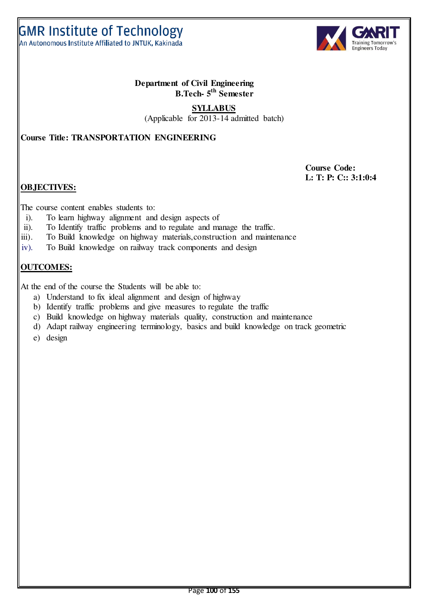

# **Department of Civil Engineering B.Tech- 5th Semester**

# **SYLLABUS**

(Applicable for 2013-14 admitted batch)

# **Course Title: TRANSPORTATION ENGINEERING**

 **Course Code: L: T: P: C:: 3:1:0:4** 

# **OBJECTIVES:**

The course content enables students to:

- i). To learn highway alignment and design aspects of ii). To Identify traffic problems and to regulate and ma
- To Identify traffic problems and to regulate and manage the traffic.
- iii). To Build knowledge on highway materials,construction and maintenance
- iv). To Build knowledge on railway track components and design

# **OUTCOMES:**

At the end of the course the Students will be able to:

- a) Understand to fix ideal alignment and design of highway
- b) Identify traffic problems and give measures to regulate the traffic
- c) Build knowledge on highway materials quality, construction and maintenance
- d) Adapt railway engineering terminology, basics and build knowledge on track geometric
- e) design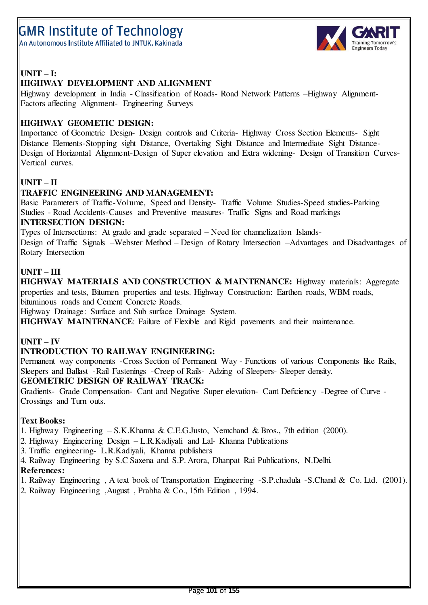

# **UNIT – I:**

# **HIGHWAY DEVELOPMENT AND ALIGNMENT**

Highway development in India - Classification of Roads- Road Network Patterns –Highway Alignment-Factors affecting Alignment- Engineering Surveys

# **HIGHWAY GEOMETIC DESIGN:**

Importance of Geometric Design- Design controls and Criteria- Highway Cross Section Elements- Sight Distance Elements-Stopping sight Distance, Overtaking Sight Distance and Intermediate Sight Distance-Design of Horizontal Alignment-Design of Super elevation and Extra widening- Design of Transition Curves-Vertical curves.

# **UNIT – II**

## **TRAFFIC ENGINEERING AND MANAGEMENT:**

Basic Parameters of Traffic-Volume, Speed and Density- Traffic Volume Studies-Speed studies-Parking Studies - Road Accidents-Causes and Preventive measures- Traffic Signs and Road markings

# **INTERSECTION DESIGN:**

Types of Intersections: At grade and grade separated – Need for channelization Islands-Design of Traffic Signals –Webster Method – Design of Rotary Intersection –Advantages and Disadvantages of Rotary Intersection

# **UNIT – III**

**HIGHWAY MATERIALS AND CONSTRUCTION & MAINTENANCE:** Highway materials: Aggregate properties and tests, Bitumen properties and tests. Highway Construction: Earthen roads, WBM roads, bituminous roads and Cement Concrete Roads.

Highway Drainage: Surface and Sub surface Drainage System.

**HIGHWAY MAINTENANCE:** Failure of Flexible and Rigid pavements and their maintenance.

# **UNIT – IV**

## **INTRODUCTION TO RAILWAY ENGINEERING:**

Permanent way components -Cross Section of Permanent Way - Functions of various Components like Rails, Sleepers and Ballast -Rail Fastenings -Creep of Rails- Adzing of Sleepers- Sleeper density.

## **GEOMETRIC DESIGN OF RAILWAY TRACK:**

Gradients- Grade Compensation- Cant and Negative Super elevation- Cant Deficiency -Degree of Curve - Crossings and Turn outs.

## **Text Books:**

1. Highway Engineering – S.K.Khanna & C.E.G.Justo, Nemchand & Bros., 7th edition (2000).

2. Highway Engineering Design – L.R.Kadiyali and Lal- Khanna Publications

3. Traffic engineering- L.R.Kadiyali, Khanna publishers

4. Railway Engineering by S.C Saxena and S.P. Arora, Dhanpat Rai Publications, N.Delhi.

# **References:**

- 1. Railway Engineering , A text book of Transportation Engineering -S.P.chadula -S.Chand & Co. Ltd. (2001).
- 2. Railway Engineering ,August , Prabha & Co., 15th Edition , 1994.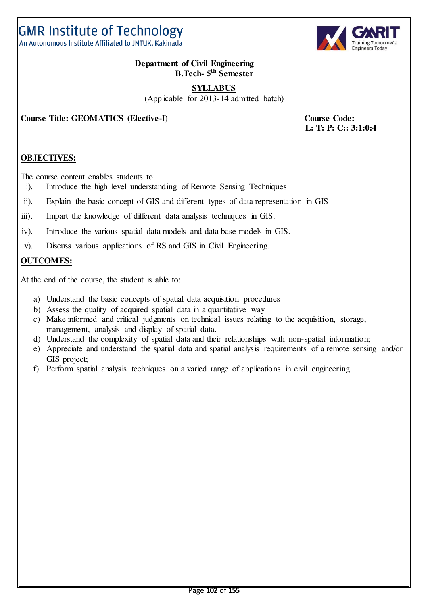

# **Department of Civil Engineering**

**B.Tech- 5th Semester** 

**SYLLABUS** 

(Applicable for 2013-14 admitted batch)

Course Title: GEOMATICS (Elective-I) Course Code:

**L: T: P: C:: 3:1:0:4** 

# **OBJECTIVES:**

The course content enables students to:

- i). Introduce the high level understanding of Remote Sensing Techniques
- ii). Explain the basic concept of GIS and different types of data representation in GIS
- iii). Impart the knowledge of different data analysis techniques in GIS.
- iv). Introduce the various spatial data models and data base models in GIS.
- v). Discuss various applications of RS and GIS in Civil Engineering.

# **OUTCOMES:**

At the end of the course, the student is able to:

- a) Understand the basic concepts of spatial data acquisition procedures
- b) Assess the quality of acquired spatial data in a quantitative way
- c) Make informed and critical judgments on technical issues relating to the acquisition, storage, management, analysis and display of spatial data.
- d) Understand the complexity of spatial data and their relationships with non-spatial information;
- e) Appreciate and understand the spatial data and spatial analysis requirements of a remote sensing and/or GIS project;
- f) Perform spatial analysis techniques on a varied range of applications in civil engineering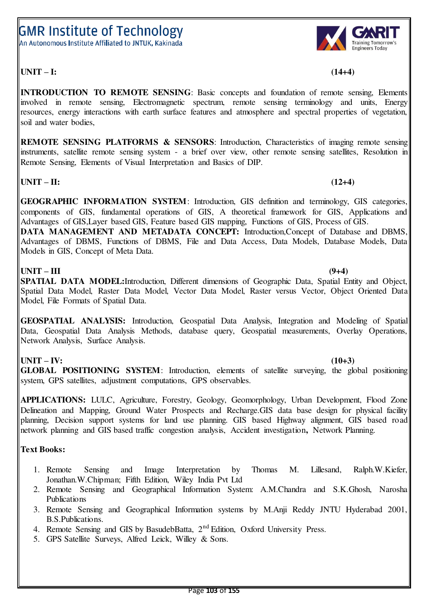

# **UNIT – I: (14+4)**

**INTRODUCTION TO REMOTE SENSING:** Basic concepts and foundation of remote sensing, Elements involved in remote sensing, Electromagnetic spectrum, remote sensing terminology and units, Energy resources, energy interactions with earth surface features and atmosphere and spectral properties of vegetation, soil and water bodies,

**REMOTE SENSING PLATFORMS & SENSORS:** Introduction, Characteristics of imaging remote sensing instruments, satellite remote sensing system - a brief over view, other remote sensing satellites, Resolution in Remote Sensing, Elements of Visual Interpretation and Basics of DIP.

**UNIT – II: (12+4)** 

**GEOGRAPHIC INFORMATION SYSTEM**: Introduction, GIS definition and terminology, GIS categories, components of GIS, fundamental operations of GIS, A theoretical framework for GIS, Applications and Advantages of GIS,Layer based GIS, Feature based GIS mapping, Functions of GIS, Process of GIS.

**DATA MANAGEMENT AND METADATA CONCEPT:** Introduction,Concept of Database and DBMS, Advantages of DBMS, Functions of DBMS, File and Data Access, Data Models, Database Models, Data Models in GIS, Concept of Meta Data.

# **UNIT – III (9+4)**

**SPATIAL DATA MODEL:**Introduction, Different dimensions of Geographic Data, Spatial Entity and Object, Spatial Data Model, Raster Data Model, Vector Data Model, Raster versus Vector, Object Oriented Data Model, File Formats of Spatial Data.

**GEOSPATIAL ANALYSIS:** Introduction, Geospatial Data Analysis, Integration and Modeling of Spatial Data, Geospatial Data Analysis Methods, database query, Geospatial measurements, Overlay Operations, Network Analysis, Surface Analysis.

# $|UNIT - IV:$  (10+3)

**GLOBAL POSITIONING SYSTEM**: Introduction, elements of satellite surveying, the global positioning system, GPS satellites, adjustment computations, GPS observables.

**APPLICATIONS:** LULC, Agriculture, Forestry, Geology, Geomorphology, Urban Development, Flood Zone Delineation and Mapping, Ground Water Prospects and Recharge.GIS data base design for physical facility planning, Decision support systems for land use planning. GIS based Highway alignment, GIS based road network planning and GIS based traffic congestion analysis, Accident investigation**,** Network Planning.

## **Text Books:**

- 1. Remote Sensing and Image Interpretation by Thomas M. Lillesand, Ralph.W.Kiefer, Jonathan.W.Chipman; Fifth Edition, Wiley India Pvt Ltd
- 2. Remote Sensing and Geographical Information System: A.M.Chandra and S.K.Ghosh, Narosha Publications
- 3. Remote Sensing and Geographical Information systems by M.Anji Reddy JNTU Hyderabad 2001, B.S.Publications.
- 4. Remote Sensing and GIS by BasudebBatta, 2<sup>nd</sup> Edition, Oxford University Press.
- 5. GPS Satellite Surveys, Alfred Leick, Willey & Sons.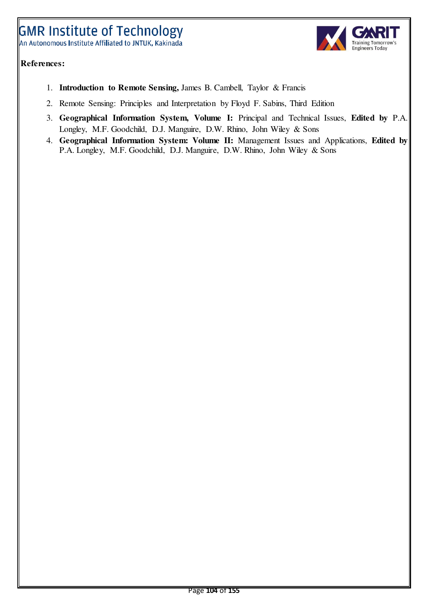

# **References:**

- 1. **Introduction to Remote Sensing,** James B. Cambell, Taylor & Francis
- 2. Remote Sensing: Principles and Interpretation by Floyd F. Sabins, Third Edition
- 3. **Geographical Information System, Volume I:** Principal and Technical Issues, **Edited by** P.A. Longley, M.F. Goodchild, D.J. Manguire, D.W. Rhino, John Wiley & Sons
- 4. **Geographical Information System: Volume II:** Management Issues and Applications, **Edited by**  P.A. Longley, M.F. Goodchild, D.J. Manguire, D.W. Rhino, John Wiley & Sons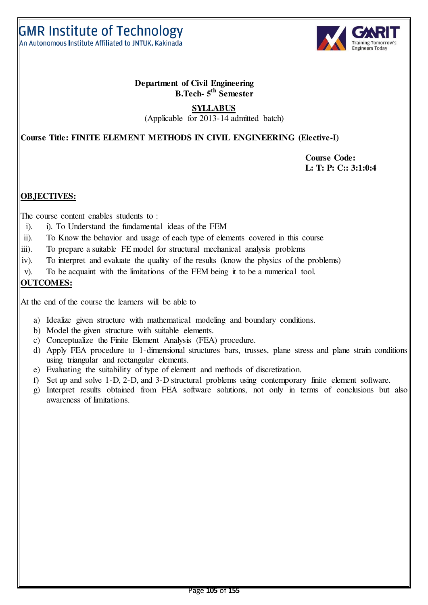

# **Department of Civil Engineering B.Tech- 5th Semester**

# **SYLLABUS**

(Applicable for 2013-14 admitted batch)

# **Course Title: FINITE ELEMENT METHODS IN CIVIL ENGINEERING (Elective-I)**

 **Course Code: L: T: P: C:: 3:1:0:4** 

# **OBJECTIVES:**

The course content enables students to :

- i). i). To Understand the fundamental ideas of the FEM
- ii). To Know the behavior and usage of each type of elements covered in this course
- iii). To prepare a suitable FE model for structural mechanical analysis problems
- iv). To interpret and evaluate the quality of the results (know the physics of the problems)
- v). To be acquaint with the limitations of the FEM being it to be a numerical tool.

# **OUTCOMES:**

At the end of the course the learners will be able to

- a) Idealize given structure with mathematical modeling and boundary conditions.
- b) Model the given structure with suitable elements.
- c) Conceptualize the Finite Element Analysis (FEA) procedure.
- d) Apply FEA procedure to 1-dimensional structures bars, trusses, plane stress and plane strain conditions using triangular and rectangular elements.
- e) Evaluating the suitability of type of element and methods of discretization.
- f) Set up and solve 1-D, 2-D, and 3-D structural problems using contemporary finite element software.
- g) Interpret results obtained from FEA software solutions, not only in terms of conclusions but also awareness of limitations.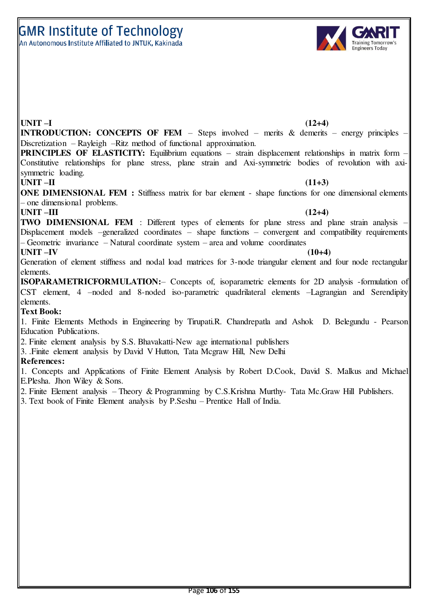

**UNIT –I (12+4) INTRODUCTION: CONCEPTS OF FEM** – Steps involved – merits & demerits – energy principles – Discretization – Rayleigh –Ritz method of functional approximation.

**PRINCIPLES OF ELASTICITY:** Equilibrium equations – strain displacement relationships in matrix form – Constitutive relationships for plane stress, plane strain and Axi-symmetric bodies of revolution with axisymmetric loading.<br>UNIT-II

**UNIT –II (11+3)** 

**ONE DIMENSIONAL FEM :** Stiffness matrix for bar element - shape functions for one dimensional elements – one dimensional problems.

# **UNIT –III (12+4)**

**TWO DIMENSIONAL FEM** : Different types of elements for plane stress and plane strain analysis – Displacement models –generalized coordinates – shape functions – convergent and compatibility requirements – Geometric invariance – Natural coordinate system – area and volume coordinates UNIT – IV

#### **UNIT –IV (10+4)**

Generation of element stiffness and nodal load matrices for 3-node triangular element and four node rectangular elements.

**ISOPARAMETRICFORMULATION:**– Concepts of, isoparametric elements for 2D analysis -formulation of CST element, 4 –noded and 8-noded iso-parametric quadrilateral elements –Lagrangian and Serendipity elements.

# **Text Book:**

1. Finite Elements Methods in Engineering by Tirupati.R. Chandrepatla and Ashok D. Belegundu - Pearson Education Publications.

2. Finite element analysis by S.S. Bhavakatti-New age international publishers

3. .Finite element analysis by David V Hutton, Tata Mcgraw Hill, New Delhi

## **References:**

1. Concepts and Applications of Finite Element Analysis by Robert D.Cook, David S. Malkus and Michael E.Plesha. Jhon Wiley & Sons.

2. Finite Element analysis – Theory & Programming by C.S.Krishna Murthy- Tata Mc.Graw Hill Publishers.

3. Text book of Finite Element analysis by P.Seshu – Prentice Hall of India.

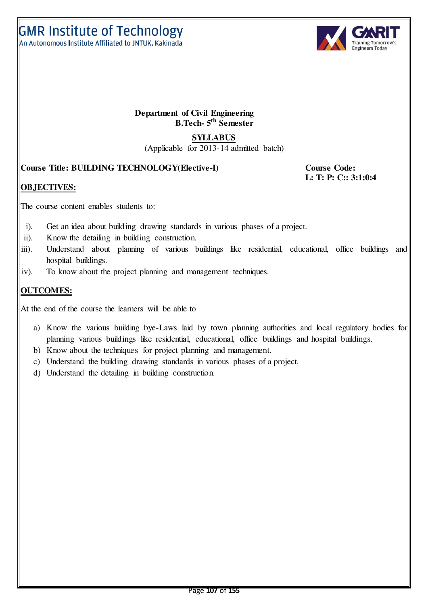An Autonomous Institute Affiliated to JNTUK, Kakinada



# **Department of Civil Engineering B.Tech- 5th Semester**

**SYLLABUS**  (Applicable for 2013-14 admitted batch)

## **Course Title: BUILDING TECHNOLOGY(Elective-I) Course Code:**

**L: T: P: C:: 3:1:0:4** 

# **OBJECTIVES:**

The course content enables students to:

- i). Get an idea about building drawing standards in various phases of a project.
- ii). Know the detailing in building construction.
- iii). Understand about planning of various buildings like residential, educational, office buildings and hospital buildings.
- iv). To know about the project planning and management techniques.

# **OUTCOMES:**

At the end of the course the learners will be able to

- a) Know the various building bye-Laws laid by town planning authorities and local regulatory bodies for planning various buildings like residential, educational, office buildings and hospital buildings.
- b) Know about the techniques for project planning and management.
- c) Understand the building drawing standards in various phases of a project.
- d) Understand the detailing in building construction.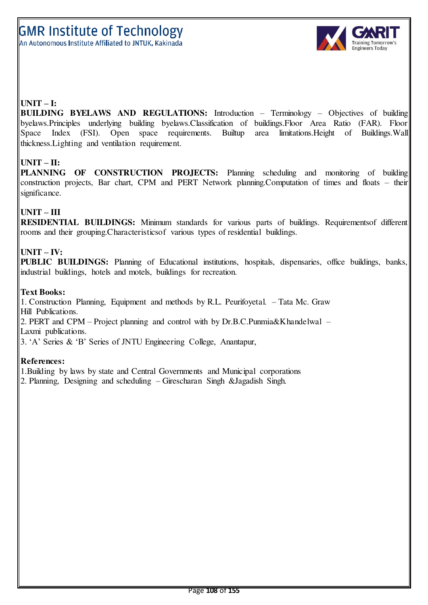

# $\mathbf{I}\mathbf{N}\mathbf{I}\mathbf{T} - \mathbf{I}$ :

**BUILDING BYELAWS AND REGULATIONS:** Introduction – Terminology – Objectives of building byelaws.Principles underlying building byelaws.Classification of buildings.Floor Area Ratio (FAR). Floor Space Index (FSI). Open space requirements. Builtup area limitations.Height of Buildings.Wall Space Index (FSI). Open space requirements. Builtup thickness.Lighting and ventilation requirement.

# **UNIT – II:**

**PLANNING OF CONSTRUCTION PROJECTS:** Planning scheduling and monitoring of building construction projects, Bar chart, CPM and PERT Network planning.Computation of times and floats – their significance.

# **UNIT – III**

**RESIDENTIAL BUILDINGS:** Minimum standards for various parts of buildings. Requirementsof different rooms and their grouping.Characteristicsof various types of residential buildings.

# $\bf UNIT - IV:$

**PUBLIC BUILDINGS:** Planning of Educational institutions, hospitals, dispensaries, office buildings, banks, industrial buildings, hotels and motels, buildings for recreation.

#### **Text Books:**

1. Construction Planning, Equipment and methods by R.L. Peurifoyetal. – Tata Mc. Graw Hill Publications.

2. PERT and CPM – Project planning and control with by Dr.B.C.Punmia&Khandelwal – Laxmi publications.

3. 'A' Series & 'B' Series of JNTU Engineering College, Anantapur,

# **References:**

1.Building by laws by state and Central Governments and Municipal corporations

2. Planning, Designing and scheduling – Girescharan Singh &Jagadish Singh.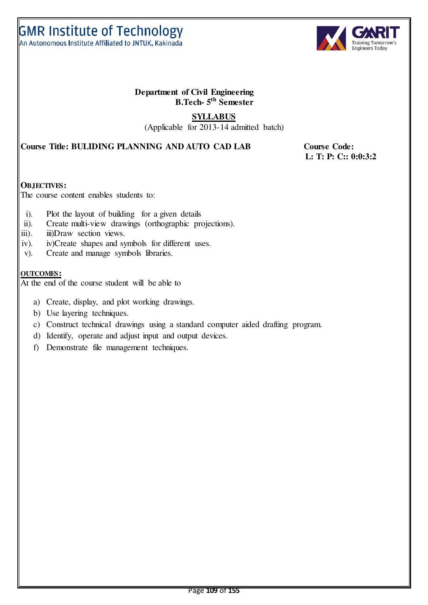An Autonomous Institute Affiliated to JNTUK, Kakinada



# **Department of Civil Engineering B.Tech- 5th Semester**

**SYLLABUS**  (Applicable for 2013-14 admitted batch)

# **Course Title: BULIDING PLANNING AND AUTO CAD LAB Course Code:**

**L: T: P: C:: 0:0:3:2** 

### **OBJECTIVES:**

The course content enables students to:

- i). Plot the layout of building for a given details
- ii). Create multi-view drawings (orthographic projections).
- iii). iii)Draw section views.
- iv). iv)Create shapes and symbols for different uses.
- v). Create and manage symbols libraries.

#### **OUTCOMES:**

At the end of the course student will be able to

- a) Create, display, and plot working drawings.
- b) Use layering techniques.
- c) Construct technical drawings using a standard computer aided drafting program.
- d) Identify, operate and adjust input and output devices.
- f) Demonstrate file management techniques.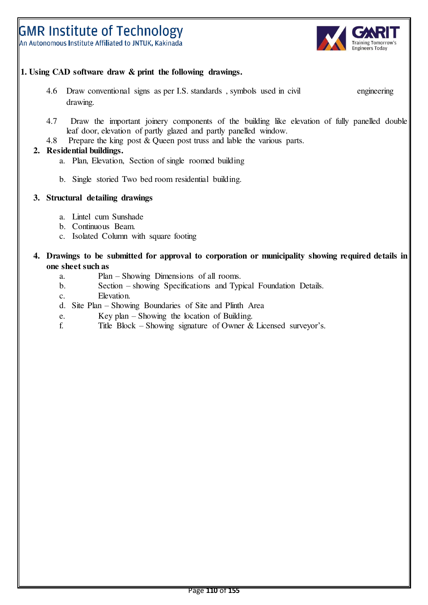An Autonomous Institute Affiliated to JNTUK, Kakinada



### **1. Using CAD software draw & print the following drawings.**

- 4.6 Draw conventional signs as per I.S. standards , symbols used in civil engineering drawing.
- 4.7 Draw the important joinery components of the building like elevation of fully panelled double leaf door, elevation of partly glazed and partly panelled window.
- 4.8 Prepare the king post & Queen post truss and lable the various parts.

## **2. Residential buildings.**

- a. Plan, Elevation, Section of single roomed building
- b. Single storied Two bed room residential building.

#### **3. Structural detailing drawings**

- a. Lintel cum Sunshade
- b. Continuous Beam.
- c. Isolated Column with square footing

#### **4. Drawings to be submitted for approval to corporation or municipality showing required details in one sheet such as**

- a. Plan Showing Dimensions of all rooms.
- b. Section showing Specifications and Typical Foundation Details.
- c. Elevation.
- d. Site Plan Showing Boundaries of Site and Plinth Area
- e. Key plan Showing the location of Building.
- f. Title Block Showing signature of Owner & Licensed surveyor's.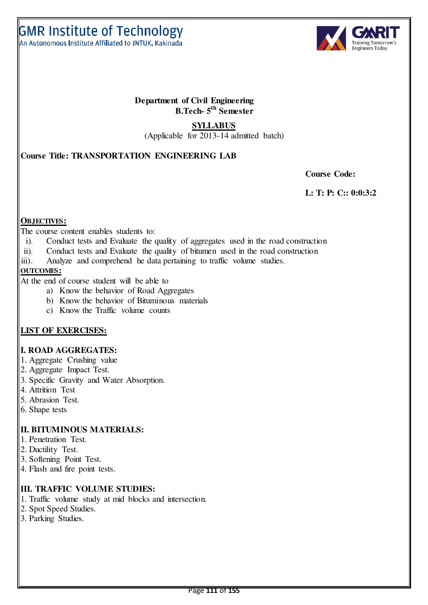

# **Department of Civil Engineering B.Tech- 5th Semester**

**SYLLABUS** 

(Applicable for 2013-14 admitted batch)

# **Course Title: TRANSPORTATION ENGINEERING LAB**

 **Course Code:** 

**L: T: P: C:: 0:0:3:2** 

#### **OBJECTIVES:**

The course content enables students to:

- i). Conduct tests and Evaluate the quality of aggregates used in the road construction
- ii). Conduct tests and Evaluate the quality of bitumen used in the road construction
- iii). Analyze and comprehend he data pertaining to traffic volume studies.

# **OUTCOMES:**

At the end of course student will be able to

- a) Know the behavior of Road Aggregates
- b) Know the behavior of Bituminous materials
- c) Know the Traffic volume counts

# **LIST OF EXERCISES:**

# **I. ROAD AGGREGATES:**

- 1. Aggregate Crushing value
- 2. Aggregate Impact Test.
- 3. Specific Gravity and Water Absorption.
- 4. Attrition Test
- 5. Abrasion Test.
- 6. Shape tests

#### **II. BITUMINOUS MATERIALS:**

1. Penetration Test.

- 2. Ductility Test.
- 3. Softening Point Test.
- 4. Flash and fire point tests.

#### **III. TRAFFIC VOLUME STUDIES:**

- 1. Traffic volume study at mid blocks and intersection.
- 2. Spot Speed Studies.
- 3. Parking Studies.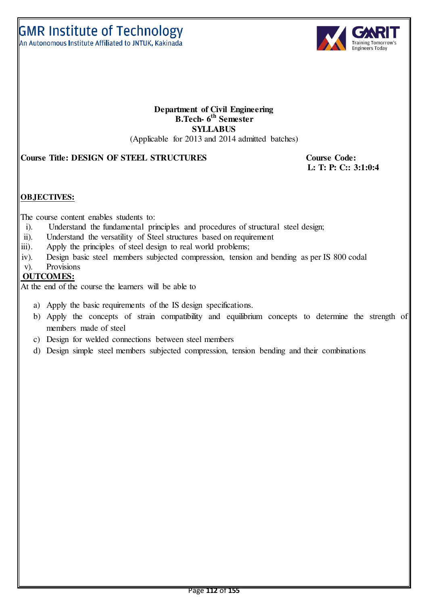

#### **Department of Civil Engineering B.Tech- 6th Semester SYLLABUS**  (Applicable for 2013 and 2014 admitted batches)

# **Course Title: DESIGN OF STEEL STRUCTURES Course Code:**

 **L: T: P: C:: 3:1:0:4** 

# **OBJECTIVES:**

The course content enables students to:

- i). Understand the fundamental principles and procedures of structural steel design;
- ii). Understand the versatility of Steel structures based on requirement
- iii). Apply the principles of steel design to real world problems;
- iv). Design basic steel members subjected compression, tension and bending as per IS 800 codal
- v). Provisions

# **OUTCOMES:**

At the end of the course the learners will be able to

- a) Apply the basic requirements of the IS design specifications.
- b) Apply the concepts of strain compatibility and equilibrium concepts to determine the strength of members made of steel
- c) Design for welded connections between steel members
- d) Design simple steel members subjected compression, tension bending and their combinations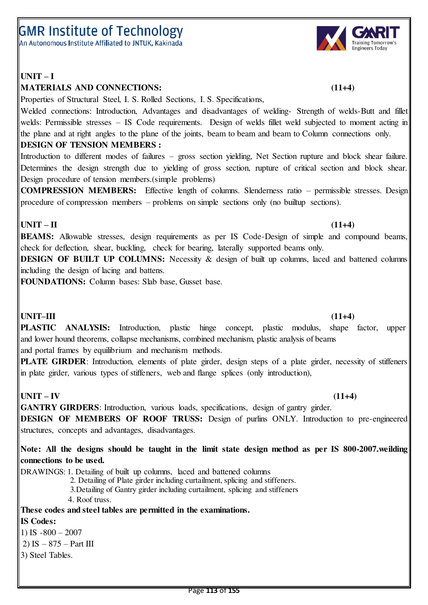# $\mathbf{U}$ **NIT**  $-$ **I**

# **MATERIALS AND CONNECTIONS: (11+4)**

Properties of Structural Steel, I. S. Rolled Sections, I. S. Specifications,

Welded connections: Introduction, Advantages and disadvantages of welding- Strength of welds-Butt and fillet welds: Permissible stresses – IS Code requirements. Design of welds fillet weld subjected to moment acting in the plane and at right angles to the plane of the joints, beam to beam and beam to Column connections only.

# **DESIGN OF TENSION MEMBERS :**

Introduction to different modes of failures – gross section yielding, Net Section rupture and block shear failure. Determines the design strength due to yielding of gross section, rupture of critical section and block shear. Design procedure of tension members.(simple problems)

**COMPRESSION MEMBERS:** Effective length of columns. Slenderness ratio – permissible stresses. Design procedure of compression members – problems on simple sections only (no builtup sections).

# $UNIT - II$  (11+4)

**BEAMS:** Allowable stresses, design requirements as per IS Code-Design of simple and compound beams, check for deflection, shear, buckling, check for bearing, laterally supported beams only.

**DESIGN OF BUILT UP COLUMNS:** Necessity & design of built up columns, laced and battened columns including the design of lacing and battens.

**FOUNDATIONS:** Column bases: Slab base, Gusset base.

# **UNIT–III (11+4)**

**PLASTIC ANALYSIS:** Introduction, plastic hinge concept, plastic modulus, shape factor, upper and lower hound theorems, collapse mechanisms, combined mechanism, plastic analysis of beams and portal frames by equilibrium and mechanism methods.

**PLATE GIRDER**: Introduction, elements of plate girder, design steps of a plate girder, necessity of stiffeners in plate girder, various types of stiffeners, web and flange splices (only introduction),

# **UNIT – IV**  $(11+4)$

**GANTRY GIRDERS**: Introduction, various loads, specifications, design of gantry girder.

**DESIGN OF MEMBERS OF ROOF TRUSS:** Design of purlins ONLY. Introduction to pre-engineered structures, concepts and advantages, disadvantages.

# **Note: All the designs should be taught in the limit state design method as per IS 800-2007.weilding connections to be used.**

DRAWINGS: 1. Detailing of built up columns, laced and battened columns

- 2. Detailing of Plate girder including curtailment, splicing and stiffeners.
- 3.Detailing of Gantry girder including curtailment, splicing and stiffeners 4. Roof truss.

#### **These codes and steel tables are permitted in the examinations.**

# **IS Codes:**

1) IS -800 – 2007

2) IS – 875 – Part III

3) Steel Tables.

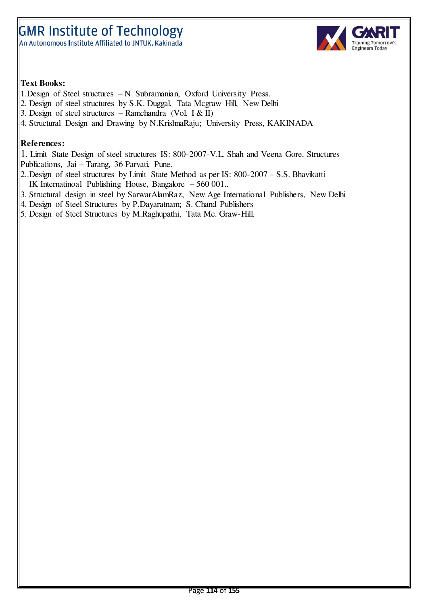# **GMR Institute of Technology**

An Autonomous Institute Affiliated to JNTUK, Kakinada



# **Text Books:**

- 1.Design of Steel structures N. Subramanian, Oxford University Press.
- 2. Design of steel structures by S.K. Duggal, Tata Mcgraw Hill, New Delhi
- 3. Design of steel structures Ramchandra (Vol. I  $\&$  II)
- 4. Structural Design and Drawing by N.KrishnaRaju; University Press, KAKINADA

#### **References:**

1. Limit State Design of steel structures IS: 800-2007-V.L. Shah and Veena Gore, Structures Publications, Jai – Tarang, 36 Parvati, Pune.

- 2..Design of steel structures by Limit State Method as per IS: 800-2007 S.S. Bhavikatti IK Internatinoal Publishing House, Bangalore – 560 001..
- 3. Structural design in steel by SarwarAlamRaz, New Age International Publishers, New Delhi
- 4. Design of Steel Structures by P.Dayaratnam; S. Chand Publishers
- 5. Design of Steel Structures by M.Raghupathi, Tata Mc. Graw-Hill.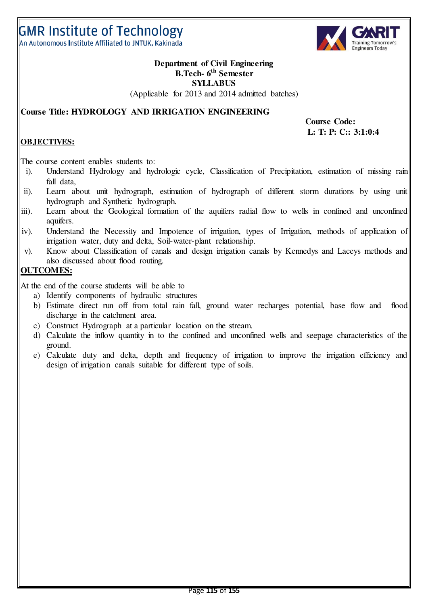

#### **Department of Civil Engineering B.Tech- 6th Semester SYLLABUS**

(Applicable for 2013 and 2014 admitted batches)

# **Course Title: HYDROLOGY AND IRRIGATION ENGINEERING**

 **Course Code: L: T: P: C:: 3:1:0:4** 

### **OBJECTIVES:**

The course content enables students to:

- i). Understand Hydrology and hydrologic cycle, Classification of Precipitation, estimation of missing rain fall data,
- ii). Learn about unit hydrograph, estimation of hydrograph of different storm durations by using unit hydrograph and Synthetic hydrograph.
- iii). Learn about the Geological formation of the aquifers radial flow to wells in confined and unconfined aquifers.
- iv). Understand the Necessity and Impotence of irrigation, types of Irrigation, methods of application of irrigation water, duty and delta, Soil-water-plant relationship.
- v). Know about Classification of canals and design irrigation canals by Kennedys and Laceys methods and also discussed about flood routing.

# **OUTCOMES:**

At the end of the course students will be able to

- a) Identify components of hydraulic structures
- b) Estimate direct run off from total rain fall, ground water recharges potential, base flow and flood discharge in the catchment area.
- c) Construct Hydrograph at a particular location on the stream.
- d) Calculate the inflow quantity in to the confined and unconfined wells and seepage characteristics of the ground.
- e) Calculate duty and delta, depth and frequency of irrigation to improve the irrigation efficiency and design of irrigation canals suitable for different type of soils.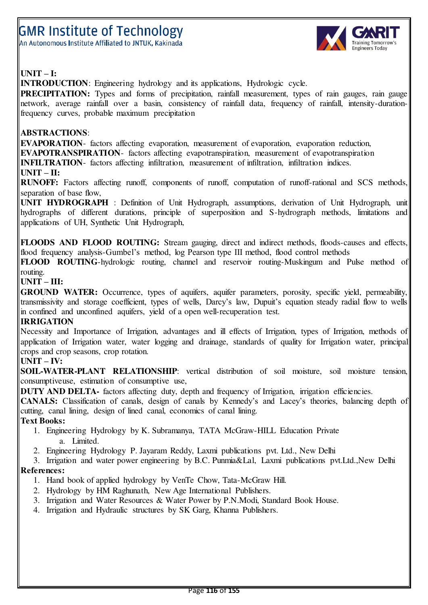

# $\textbf{UNIT} - \textbf{I}:$

**INTRODUCTION**: Engineering hydrology and its applications, Hydrologic cycle.

**PRECIPITATION:** Types and forms of precipitation, rainfall measurement, types of rain gauges, rain gauge network, average rainfall over a basin, consistency of rainfall data, frequency of rainfall, intensity-durationfrequency curves, probable maximum precipitation

#### **ABSTRACTIONS**:

**EVAPORATION**- factors affecting evaporation, measurement of evaporation, evaporation reduction,

**EVAPOTRANSPIRATION**- factors affecting evapotranspiration, measurement of evapotranspiration

**INFILTRATION**- factors affecting infiltration, measurement of infiltration, infiltration indices.

# **UNIT – II:**

**RUNOFF:** Factors affecting runoff, components of runoff, computation of runoff-rational and SCS methods, separation of base flow,

**UNIT HYDROGRAPH** : Definition of Unit Hydrograph, assumptions, derivation of Unit Hydrograph, unit hydrographs of different durations, principle of superposition and S-hydrograph methods, limitations and applications of UH, Synthetic Unit Hydrograph,

**FLOODS AND FLOOD ROUTING:** Stream gauging, direct and indirect methods, floods-causes and effects, flood frequency analysis-Gumbel's method, log Pearson type III method, flood control methods

**FLOOD ROUTING**-hydrologic routing, channel and reservoir routing-Muskingum and Pulse method of routing.

#### **UNIT – III:**

**GROUND WATER:** Occurrence, types of aquifers, aquifer parameters, porosity, specific yield, permeability, transmissivity and storage coefficient, types of wells, Darcy's law, Dupuit's equation steady radial flow to wells in confined and unconfined aquifers, yield of a open well-recuperation test.

#### **IRRIGATION**

Necessity and Importance of Irrigation, advantages and ill effects of Irrigation, types of Irrigation, methods of application of Irrigation water, water logging and drainage, standards of quality for Irrigation water, principal crops and crop seasons, crop rotation.

#### **UNIT – IV:**

**SOIL-WATER-PLANT RELATIONSHIP**: vertical distribution of soil moisture, soil moisture tension, consumptiveuse, estimation of consumptive use,

**DUTY AND DELTA-** factors affecting duty, depth and frequency of Irrigation, irrigation efficiencies.

**CANALS:** Classification of canals, design of canals by Kennedy's and Lacey's theories, balancing depth of cutting, canal lining, design of lined canal, economics of canal lining.

#### **Text Books:**

- 1. Engineering Hydrology by K. Subramanya, TATA McGraw-HILL Education Private a. Limited.
- 2. Engineering Hydrology P. Jayaram Reddy, Laxmi publications pvt. Ltd., New Delhi

3. Irrigation and water power engineering by B.C. Punmia&Lal, Laxmi publications pvt.Ltd.,New Delhi **References:** 

- 1. Hand book of applied hydrology by VenTe Chow, Tata-McGraw Hill.
- 2. Hydrology by HM Raghunath, New Age International Publishers.
- 3. Irrigation and Water Resources & Water Power by P.N.Modi, Standard Book House.
- 4. Irrigation and Hydraulic structures by SK Garg, Khanna Publishers.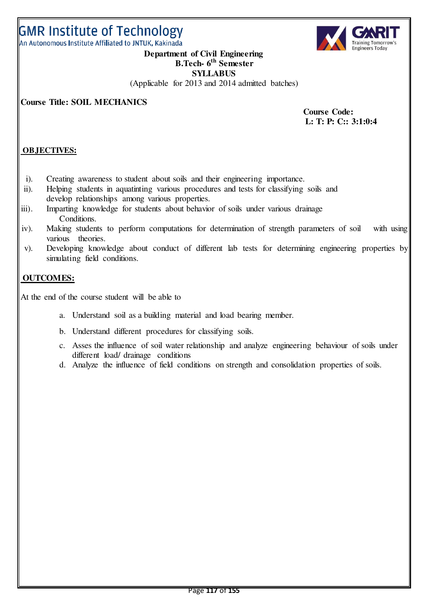**GMR Institute of Technology** 

An Autonomous Institute Affiliated to JNTUK, Kakinada



# **Department of Civil Engineering B.Tech- 6th Semester**

# **SYLLABUS**

(Applicable for 2013 and 2014 admitted batches)

### **Course Title: SOIL MECHANICS**

 **Course Code: L: T: P: C:: 3:1:0:4** 

#### **OBJECTIVES:**

- i). Creating awareness to student about soils and their engineering importance.
- ii). Helping students in aquatinting various procedures and tests for classifying soils and develop relationships among various properties.
- iii). Imparting knowledge for students about behavior of soils under various drainage Conditions.
- iv). Making students to perform computations for determination of strength parameters of soil with using various theories.
- v). Developing knowledge about conduct of different lab tests for determining engineering properties by simulating field conditions.

#### **OUTCOMES:**

At the end of the course student will be able to

- a. Understand soil as a building material and load bearing member.
- b. Understand different procedures for classifying soils.
- c. Asses the influence of soil water relationship and analyze engineering behaviour of soils under different load/ drainage conditions
- d. Analyze the influence of field conditions on strength and consolidation properties of soils.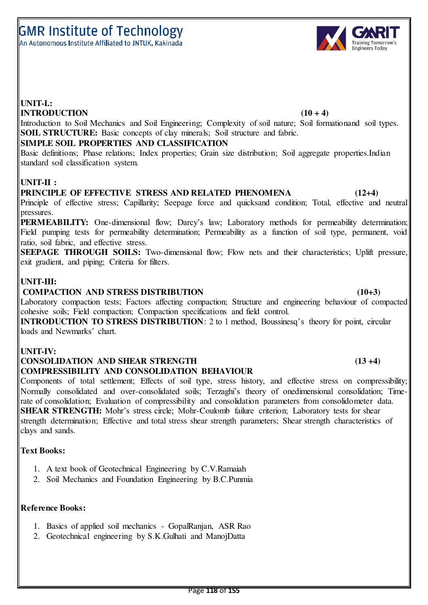

#### **INTRODUCTION** (10 + 4)

Introduction to Soil Mechanics and Soil Engineering; Complexity of soil nature; Soil formationand soil types. **SOIL STRUCTURE:** Basic concepts of clay minerals; Soil structure and fabric.

#### **SIMPLE SOIL PROPERTIES AND CLASSIFICATION**

Basic definitions; Phase relations; Index properties; Grain size distribution; Soil aggregate properties.Indian standard soil classification system.

#### **UNIT-II :**

#### **PRINCIPLE OF EFFECTIVE STRESS AND RELATED PHENOMENA (12+4)**

Principle of effective stress; Capillarity; Seepage force and quicksand condition; Total, effective and neutral pressures.

PERMEABILITY: One-dimensional flow; Darcy's law; Laboratory methods for permeability determination; Field pumping tests for permeability determination; Permeability as a function of soil type, permanent, void ratio, soil fabric, and effective stress.

**SEEPAGE THROUGH SOILS:** Two-dimensional flow; Flow nets and their characteristics; Uplift pressure, exit gradient, and piping; Criteria for filters.

#### **UNIT-III:**

#### **COMPACTION AND STRESS DISTRIBUTION (10+3)**

Laboratory compaction tests; Factors affecting compaction; Structure and engineering behaviour of compacted cohesive soils; Field compaction; Compaction specifications and field control.

**INTRODUCTION TO STRESS DISTRIBUTION**: 2 to 1 method, Boussinesq's theory for point, circular loads and Newmarks' chart.

#### **UNIT-IV:**

#### **CONSOLIDATION AND SHEAR STRENGTH (13 +4) COMPRESSIBILITY AND CONSOLIDATION BEHAVIOUR**

Components of total settlement; Effects of soil type, stress history, and effective stress on compressibility; Normally consolidated and over-consolidated soils; Terzaghi's theory of onedimensional consolidation; Timerate of consolidation; Evaluation of compressibility and consolidation parameters from consolidometer data. **SHEAR STRENGTH:** Mohr's stress circle; Mohr-Coulomb failure criterion; Laboratory tests for shear strength determination; Effective and total stress shear strength parameters; Shear strength characteristics of clays and sands.

#### **Text Books:**

- 1. A text book of Geotechnical Engineering by C.V.Ramaiah
- 2. Soil Mechanics and Foundation Engineering by B.C.Punmia

#### **Reference Books:**

- 1. Basics of applied soil mechanics GopalRanjan, ASR Rao
- 2. Geotechnical engineering by S.K.Gulhati and ManojDatta

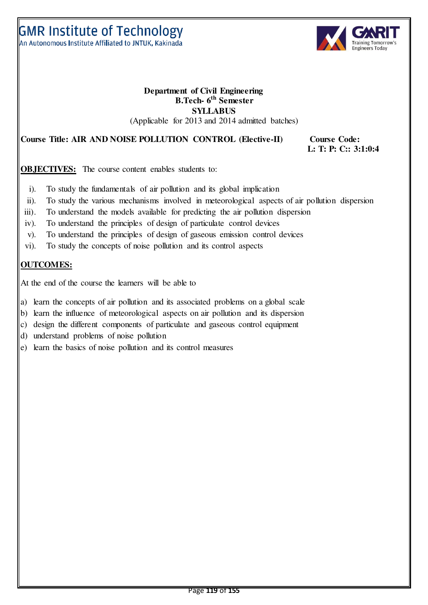

#### **Department of Civil Engineering B.Tech- 6th Semester SYLLABUS**

(Applicable for 2013 and 2014 admitted batches)

#### **Course Title: AIR AND NOISE POLLUTION CONTROL (Elective-II) Course Code:**

 **L: T: P: C:: 3:1:0:4** 

**OBJECTIVES:** The course content enables students to:

- i). To study the fundamentals of air pollution and its global implication
- ii). To study the various mechanisms involved in meteorological aspects of air pollution dispersion
- iii). To understand the models available for predicting the air pollution dispersion
- iv). To understand the principles of design of particulate control devices
- v). To understand the principles of design of gaseous emission control devices
- vi). To study the concepts of noise pollution and its control aspects

# **OUTCOMES:**

At the end of the course the learners will be able to

- a) learn the concepts of air pollution and its associated problems on a global scale
- b) learn the influence of meteorological aspects on air pollution and its dispersion
- c) design the different components of particulate and gaseous control equipment
- d) understand problems of noise pollution
- e) learn the basics of noise pollution and its control measures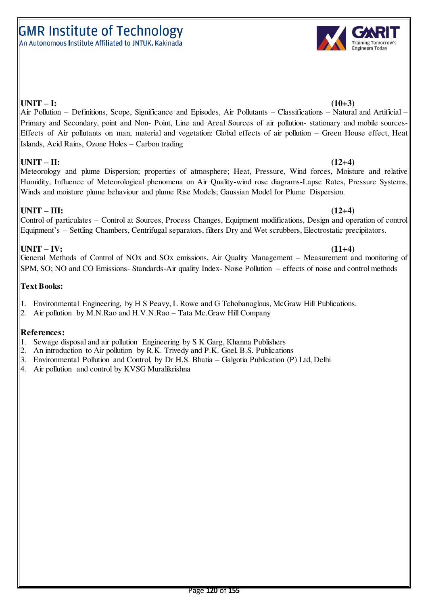

**UNIT – I: (10+3)** Air Pollution – Definitions, Scope, Significance and Episodes, Air Pollutants – Classifications – Natural and Artificial – Primary and Secondary, point and Non- Point, Line and Areal Sources of air pollution- stationary and mobile sources-Effects of Air pollutants on man, material and vegetation: Global effects of air pollution – Green House effect, Heat Islands, Acid Rains, Ozone Holes – Carbon trading

**UNIT – II: (12+4)** Meteorology and plume Dispersion; properties of atmosphere; Heat, Pressure, Wind forces, Moisture and relative Humidity, Influence of Meteorological phenomena on Air Quality-wind rose diagrams-Lapse Rates, Pressure Systems, Winds and moisture plume behaviour and plume Rise Models; Gaussian Model for Plume Dispersion.

# **UNIT – III: (12+4)**

Control of particulates – Control at Sources, Process Changes, Equipment modifications, Design and operation of control Equipment's – Settling Chambers, Centrifugal separators, filters Dry and Wet scrubbers, Electrostatic precipitators.

# **UNIT – IV: (11+4)**

# General Methods of Control of NOx and SOx emissions, Air Quality Management – Measurement and monitoring of SPM, SO; NO and CO Emissions- Standards-Air quality Index- Noise Pollution – effects of noise and control methods

# **Text Books:**

- 1. Environmental Engineering, by H S Peavy, L Rowe and G Tchobanoglous, McGraw Hill Publications.
- 2. Air pollution by M.N.Rao and H.V.N.Rao Tata Mc.Graw Hill Company

#### **References:**

- 1. Sewage disposal and air pollution Engineering by S K Garg, Khanna Publishers
- 2. An introduction to Air pollution by R.K. Trivedy and P.K. Goel, B.S. Publications
- 3. Environmental Pollution and Control, by Dr H.S. Bhatia Galgotia Publication (P) Ltd, Delhi
- 4. Air pollution and control by KVSG Muralikrishna

#### Page **120** of **155**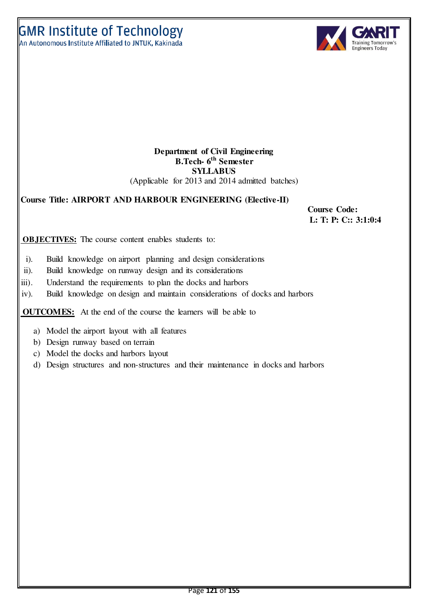

**Department of Civil Engineering B.Tech- 6th Semester SYLLABUS**  (Applicable for 2013 and 2014 admitted batches)

# **Course Title: AIRPORT AND HARBOUR ENGINEERING (Elective-II)**

 **Course Code: L: T: P: C:: 3:1:0:4** 

**OBJECTIVES:** The course content enables students to:

- i). Build knowledge on airport planning and design considerations
- ii). Build knowledge on runway design and its considerations
- iii). Understand the requirements to plan the docks and harbors
- iv). Build knowledge on design and maintain considerations of docks and harbors

 **OUTCOMES:** At the end of the course the learners will be able to

- a) Model the airport layout with all features
- b) Design runway based on terrain
- c) Model the docks and harbors layout
- d) Design structures and non-structures and their maintenance in docks and harbors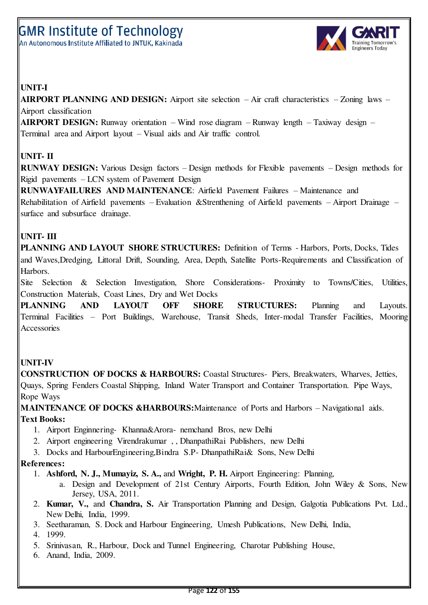

# **UNIT-I**

**AIRPORT PLANNING AND DESIGN:** Airport site selection – Air craft characteristics – Zoning laws – Airport classification

**AIRPORT DESIGN:** Runway orientation – Wind rose diagram – Runway length – Taxiway design – Terminal area and Airport layout – Visual aids and Air traffic control.

# **UNIT- II**

**RUNWAY DESIGN:** Various Design factors – Design methods for Flexible pavements – Design methods for Rigid pavements – LCN system of Pavement Design

**RUNWAYFAILURES AND MAINTENANCE**: Airfield Pavement Failures – Maintenance and Rehabilitation of Airfield pavements – Evaluation &Strenthening of Airfield pavements – Airport Drainage – surface and subsurface drainage.

# **UNIT- III**

**PLANNING AND LAYOUT SHORE STRUCTURES:** Definition of Terms - Harbors, Ports, Docks, Tides and Waves,Dredging, Littoral Drift, Sounding, Area, Depth, Satellite Ports-Requirements and Classification of Harbors.

Site Selection & Selection Investigation, Shore Considerations- Proximity to Towns/Cities, Utilities, Construction Materials, Coast Lines, Dry and Wet Docks

**PLANNING AND LAYOUT OFF SHORE STRUCTURES:** Planning and Layouts. Terminal Facilities – Port Buildings, Warehouse, Transit Sheds, Inter-modal Transfer Facilities, Mooring **Accessories** 

# **UNIT-IV**

**CONSTRUCTION OF DOCKS & HARBOURS:** Coastal Structures- Piers, Breakwaters, Wharves, Jetties, Quays, Spring Fenders Coastal Shipping, Inland Water Transport and Container Transportation. Pipe Ways, Rope Ways

**MAINTENANCE OF DOCKS &HARBOURS:**Maintenance of Ports and Harbors – Navigational aids. **Text Books:** 

- 1. Airport Enginnering- Khanna&Arora- nemchand Bros, new Delhi
- 2. Airport engineering Virendrakumar , , DhanpathiRai Publishers, new Delhi
- 3. Docks and HarbourEngineering,Bindra S.P- DhanpathiRai& Sons, New Delhi

# **References:**

- 1. **Ashford, N. J., Mumayiz, S. A.,** and **Wright, P. H.** Airport Engineering: Planning,
	- a. Design and Development of 21st Century Airports, Fourth Edition, John Wiley & Sons, New Jersey, USA, 2011.
- 2. **Kumar, V.,** and **Chandra, S.** Air Transportation Planning and Design, Galgotia Publications Pvt. Ltd., New Delhi, India, 1999.
- 3. Seetharaman, S. Dock and Harbour Engineering, Umesh Publications, New Delhi, India,
- 4. 1999.
- 5. Srinivasan, R., Harbour, Dock and Tunnel Engineering, Charotar Publishing House,
- 6. Anand, India, 2009.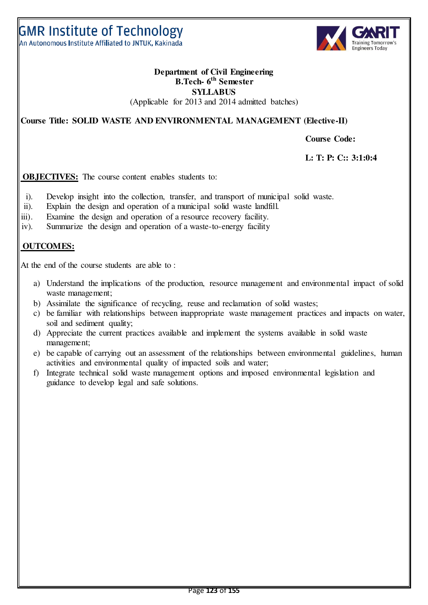**GMR Institute of Technology** An Autonomous Institute Affiliated to JNTUK, Kakinada



# **Department of Civil Engineering**

**B.Tech- 6th Semester** 

**SYLLABUS** 

(Applicable for 2013 and 2014 admitted batches)

**Course Title: SOLID WASTE AND ENVIRONMENTAL MANAGEMENT (Elective-II)** 

 **Course Code:** 

 **L: T: P: C:: 3:1:0:4** 

 **OBJECTIVES:** The course content enables students to:

- i). Develop insight into the collection, transfer, and transport of municipal solid waste.
- ii). Explain the design and operation of a municipal solid waste landfill.
- iii). Examine the design and operation of a resource recovery facility.
- iv). Summarize the design and operation of a waste-to-energy facility

# **OUTCOMES:**

At the end of the course students are able to :

- a) Understand the implications of the production, resource management and environmental impact of solid waste management;
- b) Assimilate the significance of recycling, reuse and reclamation of solid wastes;
- c) be familiar with relationships between inappropriate waste management practices and impacts on water, soil and sediment quality;
- d) Appreciate the current practices available and implement the systems available in solid waste management;
- e) be capable of carrying out an assessment of the relationships between environmental guidelines, human activities and environmental quality of impacted soils and water;
- f) Integrate technical solid waste management options and imposed environmental legislation and guidance to develop legal and safe solutions.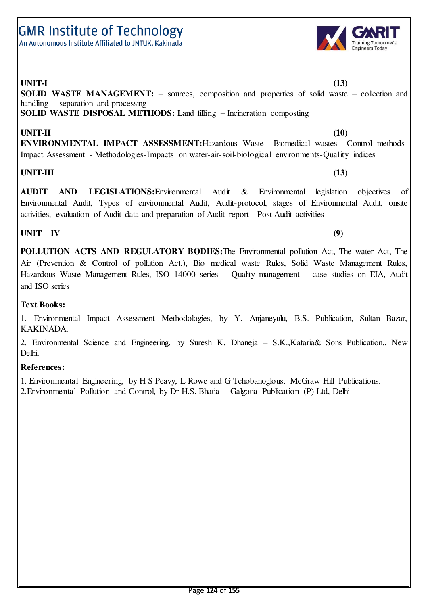**UNIT-I** (13)

**SOLID WASTE MANAGEMENT:** – sources, composition and properties of solid waste – collection and handling – separation and processing

**SOLID WASTE DISPOSAL METHODS:** Land filling – Incineration composting

# **UNIT-II (10)**

**ENVIRONMENTAL IMPACT ASSESSMENT:**Hazardous Waste –Biomedical wastes –Control methods-Impact Assessment - Methodologies-Impacts on water-air-soil-biological environments-Quality indices

# **UNIT-III (13)**

**AUDIT AND LEGISLATIONS:**Environmental Audit & Environmental legislation objectives of Environmental Audit, Types of environmental Audit, Audit-protocol, stages of Environmental Audit, onsite activities, evaluation of Audit data and preparation of Audit report - Post Audit activities

# **UNIT – IV (9)**

**POLLUTION ACTS AND REGULATORY BODIES:**The Environmental pollution Act, The water Act, The Air (Prevention & Control of pollution Act.), Bio medical waste Rules, Solid Waste Management Rules, Hazardous Waste Management Rules, ISO 14000 series – Quality management – case studies on EIA, Audit and ISO series

# **Text Books:**

1. Environmental Impact Assessment Methodologies, by Y. Anjaneyulu, B.S. Publication, Sultan Bazar, KAKINADA.

2. Environmental Science and Engineering, by Suresh K. Dhaneja – S.K.,Kataria& Sons Publication., New Delhi.

# **References:**

1. Environmental Engineering, by H S Peavy, L Rowe and G Tchobanoglous, McGraw Hill Publications. 2.Environmental Pollution and Control, by Dr H.S. Bhatia – Galgotia Publication (P) Ltd, Delhi

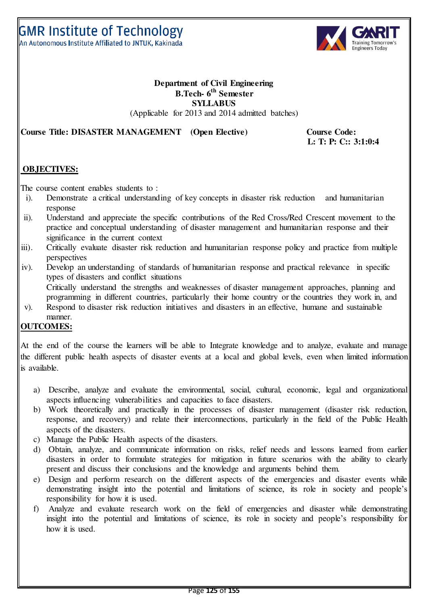#### **Department of Civil Engineering B.Tech- 6th Semester SYLLABUS**

(Applicable for 2013 and 2014 admitted batches)

**Course Title: DISASTER MANAGEMENT** (Open Elective) Course Code:

 **L: T: P: C:: 3:1:0:4** 

# **OBJECTIVES:**

The course content enables students to :

- i). Demonstrate a critical understanding of key concepts in disaster risk reduction and humanitarian response
- ii). Understand and appreciate the specific contributions of the Red Cross/Red Crescent movement to the practice and conceptual understanding of disaster management and humanitarian response and their significance in the current context
- iii). Critically evaluate disaster risk reduction and humanitarian response policy and practice from multiple perspectives
- iv). Develop an understanding of standards of humanitarian response and practical relevance in specific types of disasters and conflict situations Critically understand the strengths and weaknesses of disaster management approaches, planning and

programming in different countries, particularly their home country or the countries they work in, and

v). Respond to disaster risk reduction initiatives and disasters in an effective, humane and sustainable manner.

### **OUTCOMES:**

At the end of the course the learners will be able to Integrate knowledge and to analyze, evaluate and manage the different public health aspects of disaster events at a local and global levels, even when limited information is available.

- a) Describe, analyze and evaluate the environmental, social, cultural, economic, legal and organizational aspects influencing vulnerabilities and capacities to face disasters.
- b) Work theoretically and practically in the processes of disaster management (disaster risk reduction, response, and recovery) and relate their interconnections, particularly in the field of the Public Health aspects of the disasters.
- c) Manage the Public Health aspects of the disasters.
- d) Obtain, analyze, and communicate information on risks, relief needs and lessons learned from earlier disasters in order to formulate strategies for mitigation in future scenarios with the ability to clearly present and discuss their conclusions and the knowledge and arguments behind them.
- e) Design and perform research on the different aspects of the emergencies and disaster events while demonstrating insight into the potential and limitations of science, its role in society and people's responsibility for how it is used.
- f) Analyze and evaluate research work on the field of emergencies and disaster while demonstrating insight into the potential and limitations of science, its role in society and people's responsibility for how it is used.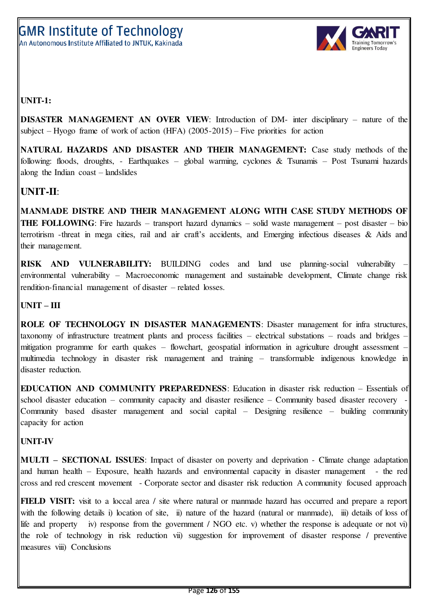

# **UNIT-1:**

**DISASTER MANAGEMENT AN OVER VIEW**: Introduction of DM- inter disciplinary – nature of the subject – Hyogo frame of work of action  $(HFA)$  (2005-2015) – Five priorities for action

**NATURAL HAZARDS AND DISASTER AND THEIR MANAGEMENT:** Case study methods of the following: floods, droughts, - Earthquakes – global warming, cyclones & Tsunamis – Post Tsunami hazards along the Indian coast – landslides

# **UNIT-II**:

**MANMADE DISTRE AND THEIR MANAGEMENT ALONG WITH CASE STUDY METHODS OF THE FOLLOWING**: Fire hazards – transport hazard dynamics – solid waste management – post disaster – bio terrotirism -threat in mega cities, rail and air craft's accidents, and Emerging infectious diseases & Aids and their management.

**RISK AND VULNERABILITY:** BUILDING codes and land use planning-social vulnerability – environmental vulnerability – Macroeconomic management and sustainable development, Climate change risk rendition-financial management of disaster – related losses.

### **UNIT – III**

**ROLE OF TECHNOLOGY IN DISASTER MANAGEMENTS**: Disaster management for infra structures, taxonomy of infrastructure treatment plants and process facilities – electrical substations – roads and bridges – mitigation programme for earth quakes – flowchart, geospatial information in agriculture drought assessment – multimedia technology in disaster risk management and training – transformable indigenous knowledge in disaster reduction.

**EDUCATION AND COMMUNITY PREPAREDNESS**: Education in disaster risk reduction – Essentials of school disaster education – community capacity and disaster resilience – Community based disaster recovery Community based disaster management and social capital – Designing resilience – building community capacity for action

# **UNIT-IV**

**MULTI – SECTIONAL ISSUES:** Impact of disaster on poverty and deprivation - Climate change adaptation and human health – Exposure, health hazards and environmental capacity in disaster management - the red cross and red crescent movement - Corporate sector and disaster risk reduction A community focused approach

**FIELD VISIT:** visit to a loccal area / site where natural or manmade hazard has occurred and prepare a report with the following details i) location of site, ii) nature of the hazard (natural or manmade), iii) details of loss of life and property iv) response from the government / NGO etc. v) whether the response is adequate or not vi) the role of technology in risk reduction vii) suggestion for improvement of disaster response / preventive measures viii) Conclusions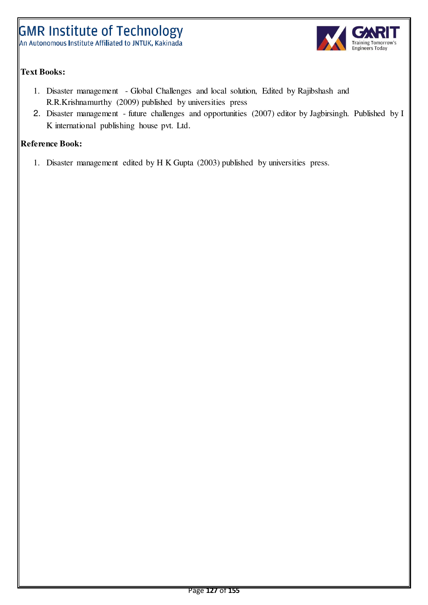

# **Text Books:**

- 1. Disaster management Global Challenges and local solution, Edited by Rajibshash and R.R.Krishnamurthy (2009) published by universities press
- 2. Disaster management future challenges and opportunities (2007) editor by Jagbirsingh. Published by I K international publishing house pvt. Ltd.

# **Reference Book:**

1. Disaster management edited by H K Gupta (2003) published by universities press.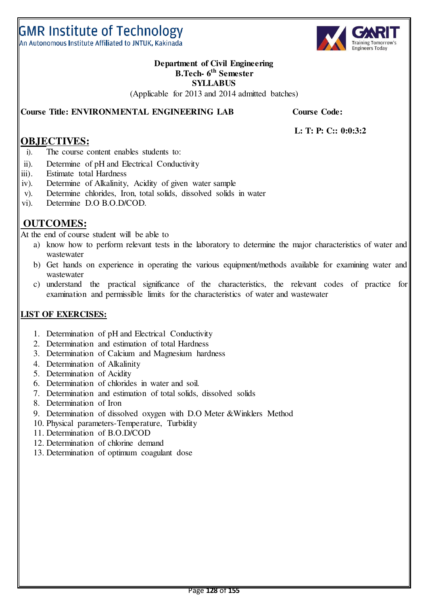

# **Department of Civil Engineering B.Tech- 6th Semester**

**SYLLABUS** 

(Applicable for 2013 and 2014 admitted batches)

**Course Title: ENVIRONMENTAL ENGINEERING LAB Course Code:** 

 **L: T: P: C:: 0:0:3:2** 

# **OBJECTIVES:**

- i). The course content enables students to:
- ii). Determine of pH and Electrical Conductivity
- iii). Estimate total Hardness
- iv). Determine of Alkalinity, Acidity of given water sample
- v). Determine chlorides, Iron, total solids, dissolved solids in water
- vi). Determine D.O B.O.D/COD.

# **OUTCOMES:**

At the end of course student will be able to

- a) know how to perform relevant tests in the laboratory to determine the major characteristics of water and wastewater
- b) Get hands on experience in operating the various equipment/methods available for examining water and wastewater
- c) understand the practical significance of the characteristics, the relevant codes of practice for examination and permissible limits for the characteristics of water and wastewater

# **LIST OF EXERCISES:**

- 1. Determination of pH and Electrical Conductivity
- 2. Determination and estimation of total Hardness
- 3. Determination of Calcium and Magnesium hardness
- 4. Determination of Alkalinity
- 5. Determination of Acidity
- 6. Determination of chlorides in water and soil.
- 7. Determination and estimation of total solids, dissolved solids
- 8. Determination of Iron
- 9. Determination of dissolved oxygen with D.O Meter &Winklers Method
- 10. Physical parameters-Temperature, Turbidity
- 11. Determination of B.O.D/COD
- 12. Determination of chlorine demand
- 13. Determination of optimum coagulant dose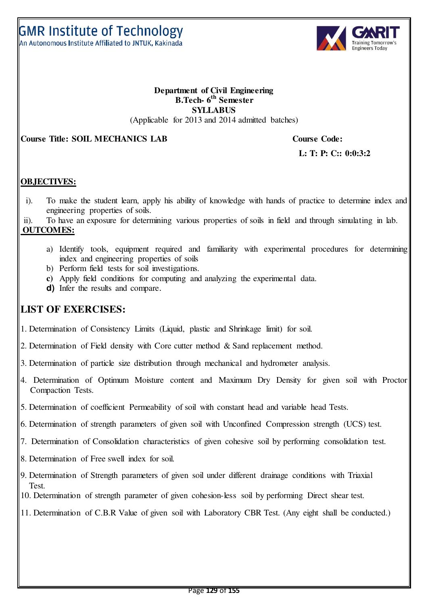

## **Department of Civil Engineering B.Tech- 6th Semester SYLLABUS**

(Applicable for 2013 and 2014 admitted batches)

#### **Course Title: SOIL MECHANICS LAB Course Code:**

 **L: T: P: C:: 0:0:3:2** 

# **OBJECTIVES:**

- i). To make the student learn, apply his ability of knowledge with hands of practice to determine index and engineering properties of soils.
- ii). To have an exposure for determining various properties of soils in field and through simulating in lab.  **OUTCOMES:** 
	- a) Identify tools, equipment required and familiarity with experimental procedures for determining index and engineering properties of soils
	- b) Perform field tests for soil investigations.
	- **c)** Apply field conditions for computing and analyzing the experimental data.
	- **d)** Infer the results and compare.

# **LIST OF EXERCISES:**

- 1. Determination of Consistency Limits (Liquid, plastic and Shrinkage limit) for soil.
- 2. Determination of Field density with Core cutter method & Sand replacement method.
- 3. Determination of particle size distribution through mechanical and hydrometer analysis.
- 4. Determination of Optimum Moisture content and Maximum Dry Density for given soil with Proctor Compaction Tests.
- 5. Determination of coefficient Permeability of soil with constant head and variable head Tests.
- 6. Determination of strength parameters of given soil with Unconfined Compression strength (UCS) test.
- 7. Determination of Consolidation characteristics of given cohesive soil by performing consolidation test.
- 8. Determination of Free swell index for soil.
- 9. Determination of Strength parameters of given soil under different drainage conditions with Triaxial Test.
- 10. Determination of strength parameter of given cohesion-less soil by performing Direct shear test.
- 11. Determination of C.B.R Value of given soil with Laboratory CBR Test. (Any eight shall be conducted.)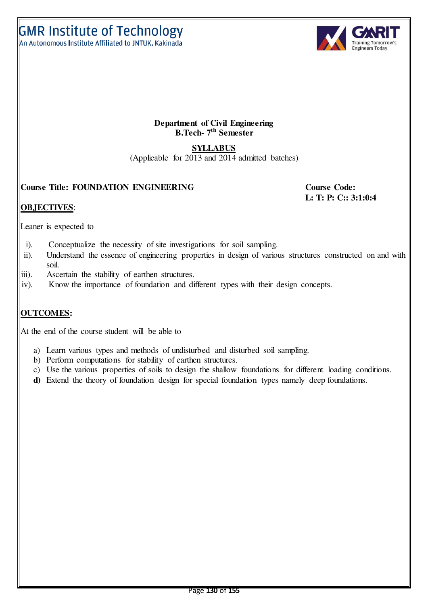**Department of Civil Engineering B.Tech- 7th Semester** 

## **SYLLABUS**

(Applicable for 2013 and 2014 admitted batches)

#### **Course Title: FOUNDATION ENGINEERING Course Code:**

**L: T: P: C:: 3:1:0:4** 

# **OBJECTIVES**:

Leaner is expected to

- i). Conceptualize the necessity of site investigations for soil sampling.
- ii). Understand the essence of engineering properties in design of various structures constructed on and with soil.
- iii). Ascertain the stability of earthen structures.
- iv). Know the importance of foundation and different types with their design concepts.

# **OUTCOMES:**

At the end of the course student will be able to

- a) Learn various types and methods of undisturbed and disturbed soil sampling.
- b) Perform computations for stability of earthen structures.
- c) Use the various properties of soils to design the shallow foundations for different loading conditions.
- **d)** Extend the theory of foundation design for special foundation types namely deep foundations.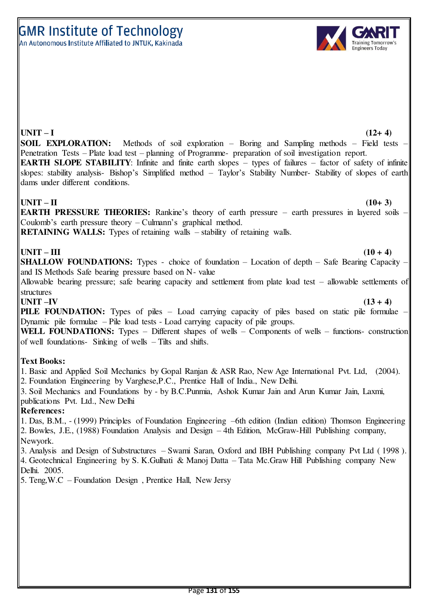

**UNIT**  $-1$  (12+ 4)

**SOIL EXPLORATION:** Methods of soil exploration – Boring and Sampling methods – Field tests Penetration Tests – Plate load test – planning of Programme- preparation of soil investigation report. **EARTH SLOPE STABILITY**: Infinite and finite earth slopes – types of failures – factor of safety of infinite slopes: stability analysis- Bishop's Simplified method – Taylor's Stability Number- Stability of slopes of earth dams under different conditions.

# **UNIT** – **II**  $(10+3)$

**EARTH PRESSURE THEORIES:** Rankine's theory of earth pressure – earth pressures in layered soils Coulomb's earth pressure theory – Culmann's graphical method.

**RETAINING WALLS:** Types of retaining walls – stability of retaining walls.

# **UNIT** – **III**  $(10 + 4)$

**SHALLOW FOUNDATIONS:** Types - choice of foundation – Location of depth – Safe Bearing Capacity – and IS Methods Safe bearing pressure based on N- value

Allowable bearing pressure; safe bearing capacity and settlement from plate load test – allowable settlements of structures<br>UNIT-IV

**UNIT –IV**  $(13 + 4)$ **PILE FOUNDATION:** Types of piles – Load carrying capacity of piles based on static pile formulae – Dynamic pile formulae – Pile load tests - Load carrying capacity of pile groups.

WELL FOUNDATIONS: Types – Different shapes of wells – Components of wells – functions- construction of well foundations- Sinking of wells – Tilts and shifts.

# **Text Books:**

1. Basic and Applied Soil Mechanics by Gopal Ranjan & ASR Rao, New Age International Pvt. Ltd, (2004). 2. Foundation Engineering by Varghese,P.C., Prentice Hall of India., New Delhi.

3. Soil Mechanics and Foundations by - by B.C.Punmia, Ashok Kumar Jain and Arun Kumar Jain, Laxmi, publications Pvt. Ltd., New Delhi

# **References:**

1. Das, B.M., - (1999) Principles of Foundation Engineering –6th edition (Indian edition) Thomson Engineering 2. Bowles, J.E., (1988) Foundation Analysis and Design – 4th Edition, McGraw-Hill Publishing company, Newyork.

3. Analysis and Design of Substructures – Swami Saran, Oxford and IBH Publishing company Pvt Ltd ( 1998 ). 4. Geotechnical Engineering by S. K.Gulhati & Manoj Datta – Tata Mc.Graw Hill Publishing company New Delhi. 2005.

5. Teng,W.C – Foundation Design , Prentice Hall, New Jersy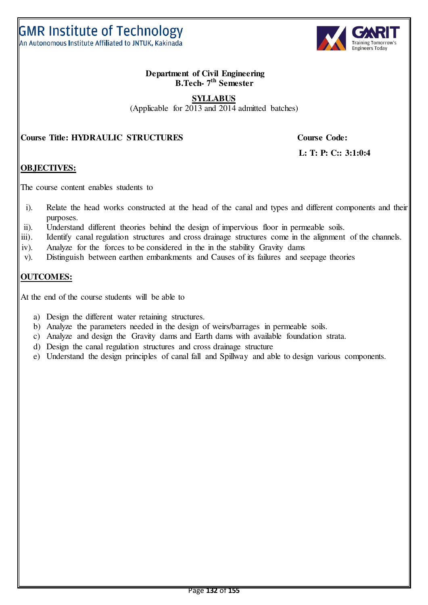

#### **Department of Civil Engineering B.Tech- 7th Semester**

#### **SYLLABUS**

(Applicable for  $2013$  and  $2014$  admitted batches)

# **Course Title: HYDRAULIC STRUCTURES** Course Code:

 **L: T: P: C:: 3:1:0:4** 

# **OBJECTIVES:**

The course content enables students to

- i). Relate the head works constructed at the head of the canal and types and different components and their purposes.
- ii). Understand different theories behind the design of impervious floor in permeable soils.
- iii). Identify canal regulation structures and cross drainage structures come in the alignment of the channels.
- iv). Analyze for the forces to be considered in the in the stability Gravity dams
- v). Distinguish between earthen embankments and Causes of its failures and seepage theories

# **OUTCOMES:**

At the end of the course students will be able to

- a) Design the different water retaining structures.
- b) Analyze the parameters needed in the design of weirs/barrages in permeable soils.
- c) Analyze and design the Gravity dams and Earth dams with available foundation strata.
- d) Design the canal regulation structures and cross drainage structure
- e) Understand the design principles of canal fall and Spillway and able to design various components.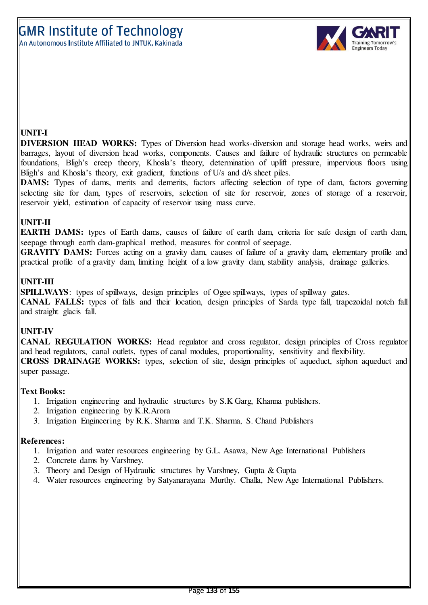

#### **UNIT-I**

**DIVERSION HEAD WORKS:** Types of Diversion head works-diversion and storage head works, weirs and barrages, layout of diversion head works, components. Causes and failure of hydraulic structures on permeable foundations, Bligh's creep theory, Khosla's theory, determination of uplift pressure, impervious floors using Bligh's and Khosla's theory, exit gradient, functions of U/s and d/s sheet piles.

**DAMS:** Types of dams, merits and demerits, factors affecting selection of type of dam, factors governing selecting site for dam, types of reservoirs, selection of site for reservoir, zones of storage of a reservoir, reservoir yield, estimation of capacity of reservoir using mass curve.

#### **UNIT-II**

**EARTH DAMS:** types of Earth dams, causes of failure of earth dam, criteria for safe design of earth dam, seepage through earth dam-graphical method, measures for control of seepage.

**GRAVITY DAMS:** Forces acting on a gravity dam, causes of failure of a gravity dam, elementary profile and practical profile of a gravity dam, limiting height of a low gravity dam, stability analysis, drainage galleries.

#### **UNIT-III**

**SPILLWAYS:** types of spillways, design principles of Ogee spillways, types of spillway gates.

**CANAL FALLS:** types of falls and their location, design principles of Sarda type fall, trapezoidal notch fall and straight glacis fall.

#### **UNIT-IV**

**CANAL REGULATION WORKS:** Head regulator and cross regulator, design principles of Cross regulator and head regulators, canal outlets, types of canal modules, proportionality, sensitivity and flexibility. **CROSS DRAINAGE WORKS:** types, selection of site, design principles of aqueduct, siphon aqueduct and super passage.

#### **Text Books:**

- 1. Irrigation engineering and hydraulic structures by S.K Garg, Khanna publishers.
- 2. Irrigation engineering by K.R.Arora
- 3. Irrigation Engineering by R.K. Sharma and T.K. Sharma, S. Chand Publishers

#### **References:**

- 1. Irrigation and water resources engineering by G.L. Asawa, New Age International Publishers
- 2. Concrete dams by Varshney.
- 3. Theory and Design of Hydraulic structures by Varshney, Gupta & Gupta
- 4. Water resources engineering by Satyanarayana Murthy. Challa, New Age International Publishers.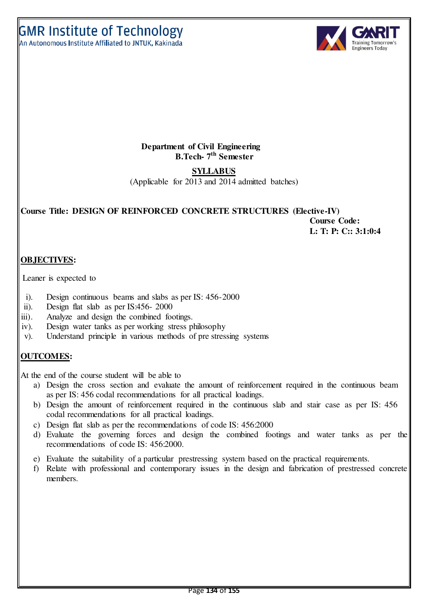

 **Department of Civil Engineering B.Tech- 7th Semester** 

# **SYLLABUS**

(Applicable for  $2013$  and  $2014$  admitted batches)

#### **Course Title: DESIGN OF REINFORCED CONCRETE STRUCTURES (Elective-IV) Course Code: L: T: P: C:: 3:1:0:4**

# **OBJECTIVES:**

Leaner is expected to

- i). Design continuous beams and slabs as per IS: 456-2000
- ii). Design flat slab as per IS:456- 2000
- iii). Analyze and design the combined footings.
- iv). Design water tanks as per working stress philosophy
- v). Understand principle in various methods of pre stressing systems

# **OUTCOMES:**

At the end of the course student will be able to

- a) Design the cross section and evaluate the amount of reinforcement required in the continuous beam as per IS: 456 codal recommendations for all practical loadings.
- b) Design the amount of reinforcement required in the continuous slab and stair case as per IS: 456 codal recommendations for all practical loadings.
- c) Design flat slab as per the recommendations of code IS: 456:2000
- d) Evaluate the governing forces and design the combined footings and water tanks as per the recommendations of code IS: 456:2000.
- e) Evaluate the suitability of a particular prestressing system based on the practical requirements.
- f) Relate with professional and contemporary issues in the design and fabrication of prestressed concrete members.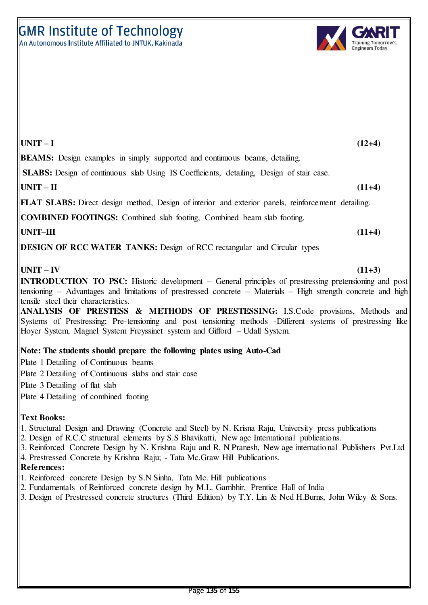

| $UNIT-I$                                                                                                                                                                                                                                                                                                                                                                                                                                                                                                                                                                                                                                                                                      | $(12+4)$  |
|-----------------------------------------------------------------------------------------------------------------------------------------------------------------------------------------------------------------------------------------------------------------------------------------------------------------------------------------------------------------------------------------------------------------------------------------------------------------------------------------------------------------------------------------------------------------------------------------------------------------------------------------------------------------------------------------------|-----------|
| <b>BEAMS:</b> Design examples in simply supported and continuous beams, detailing.                                                                                                                                                                                                                                                                                                                                                                                                                                                                                                                                                                                                            |           |
| <b>SLABS:</b> Design of continuous slab Using IS Coefficients, detailing, Design of stair case.                                                                                                                                                                                                                                                                                                                                                                                                                                                                                                                                                                                               |           |
| $\ $ UNIT – II                                                                                                                                                                                                                                                                                                                                                                                                                                                                                                                                                                                                                                                                                | $(11+4)$  |
| FLAT SLABS: Direct design method, Design of interior and exterior panels, reinforcement detailing.                                                                                                                                                                                                                                                                                                                                                                                                                                                                                                                                                                                            |           |
| <b>COMBINED FOOTINGS:</b> Combined slab footing, Combined beam slab footing.                                                                                                                                                                                                                                                                                                                                                                                                                                                                                                                                                                                                                  |           |
| UNIT-III                                                                                                                                                                                                                                                                                                                                                                                                                                                                                                                                                                                                                                                                                      | $(11+4)$  |
| <b>DESIGN OF RCC WATER TANKS:</b> Design of RCC rectangular and Circular types                                                                                                                                                                                                                                                                                                                                                                                                                                                                                                                                                                                                                |           |
| $\blacksquare$ UNIT – IV<br><b>INTRODUCTION TO PSC:</b> Historic development $-$ General principles of prestressing pretensioning and post<br>tensioning – Advantages and limitations of prestressed concrete – Materials – High strength concrete and high<br>tensile steel their characteristics.<br>ANALYSIS OF PRESTESS & METHODS OF PRESTESSING: I.S.Code provisions, Methods and<br>Systems of Prestressing; Pre-tensioning and post tensioning methods -Different systems of prestressing like<br>Hoyer System, Magnel System Freyssinet system and Gifford - Udall System.                                                                                                            | $(11+3)$  |
| Note: The students should prepare the following plates using Auto-Cad<br>Plate 1 Detailing of Continuous beams<br>Plate 2 Detailing of Continuous slabs and stair case<br>Plate 3 Detailing of flat slab<br>Plate 4 Detailing of combined footing                                                                                                                                                                                                                                                                                                                                                                                                                                             |           |
| <b>Text Books:</b><br>1. Structural Design and Drawing (Concrete and Steel) by N. Krisna Raju, University press publications<br>2. Design of R.C.C structural elements by S.S Bhavikatti, New age International publications.<br>$\mathbf{u} \cdot \mathbf{v} = \mathbf{u} \cdot \mathbf{v} + \mathbf{v} \cdot \mathbf{v} + \mathbf{v} \cdot \mathbf{v} + \mathbf{v} \cdot \mathbf{v} + \mathbf{v} \cdot \mathbf{v} + \mathbf{v} \cdot \mathbf{v} + \mathbf{v} \cdot \mathbf{v} + \mathbf{v} \cdot \mathbf{v} + \mathbf{v} \cdot \mathbf{v} + \mathbf{v} \cdot \mathbf{v} + \mathbf{v} \cdot \mathbf{v} + \mathbf{v} \cdot \mathbf{v} + \mathbf{v} \cdot \mathbf{v} + \mathbf{v} \cdot \math$ | 1.7111.71 |

3. Reinforced Concrete Design by N. Krishna Raju and R. N Pranesh, New age internatio nal Publishers Pvt.Ltd 4. Prestressed Concrete by Krishna Raju; - Tata Mc.Graw Hill Publications.

#### **References:**

- 1. Reinforced concrete Design by S.N Sinha, Tata Mc. Hill publications
- 2. Fundamentals of Reinforced concrete design by M.L. Gambhir, Prentice Hall of India
- 3. Design of Prestressed concrete structures (Third Edition) by T.Y. Lin & Ned H.Burns, John Wiley & Sons.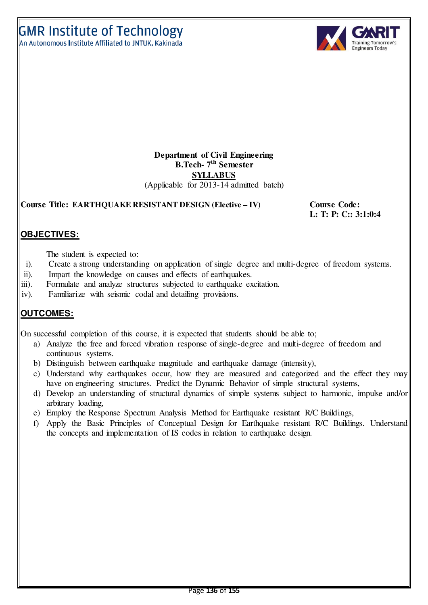

An Autonomous Institute Affiliated to JNTUK, Kakinada

**Department of Civil Engineering B.Tech- 7th Semester SYLLABUS**  (Applicable for 2013-14 admitted batch)

**Course Title: EARTHQUAKE RESISTANT DESIGN (Elective – IV) Course Code:** 

 **L: T: P: C:: 3:1:0:4** 

# **OBJECTIVES:**

The student is expected to:

- i). Create a strong understanding on application of single degree and multi-degree of freedom systems.
- ii). Impart the knowledge on causes and effects of earthquakes.
- iii). Formulate and analyze structures subjected to earthquake excitation.
- iv). Familiarize with seismic codal and detailing provisions.

# **OUTCOMES:**

On successful completion of this course, it is expected that students should be able to;

- a) Analyze the free and forced vibration response of single-degree and multi-degree of freedom and continuous systems.
- b) Distinguish between earthquake magnitude and earthquake damage (intensity),
- c) Understand why earthquakes occur, how they are measured and categorized and the effect they may have on engineering structures. Predict the Dynamic Behavior of simple structural systems,
- d) Develop an understanding of structural dynamics of simple systems subject to harmonic, impulse and/or arbitrary loading,
- e) Employ the Response Spectrum Analysis Method for Earthquake resistant R/C Buildings,
- f) Apply the Basic Principles of Conceptual Design for Earthquake resistant R/C Buildings. Understand the concepts and implementation of IS codes in relation to earthquake design.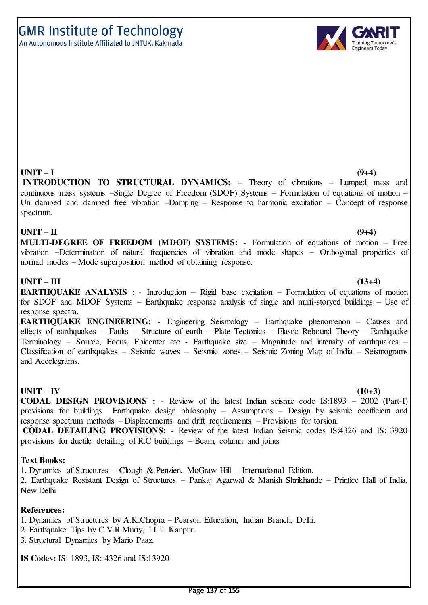# **GMR Institute of Technology**

An Autonomous Institute Affiliated to JNTUK, Kakinada

# **UNIT – I (9+4)**

 **INTRODUCTION TO STRUCTURAL DYNAMICS:** – Theory of vibrations – Lumped mass and continuous mass systems –Single Degree of Freedom (SDOF) Systems – Formulation of equations of motion – Un damped and damped free vibration –Damping – Response to harmonic excitation – Concept of response spectrum.

# **UNIT – II (9+4)**

**MULTI-DEGREE OF FREEDOM (MDOF) SYSTEMS:** - Formulation of equations of motion – Free vibration –Determination of natural frequencies of vibration and mode shapes – Orthogonal properties of normal modes – Mode superposition method of obtaining response.

# **UNIT – III (13+4)**

**EARTHQUAKE ANALYSIS** : - Introduction – Rigid base excitation – Formulation of equations of motion for SDOF and MDOF Systems – Earthquake response analysis of single and multi-storyed buildings – Use of response spectra.

**EARTHQUAKE ENGINEERING:** - Engineering Seismology – Earthquake phenomenon – Causes and effects of earthquakes – Faults – Structure of earth – Plate Tectonics – Elastic Rebound Theory – Earthquake Terminology – Source, Focus, Epicenter etc - Earthquake size – Magnitude and intensity of earthquakes – Classification of earthquakes – Seismic waves – Seismic zones – Seismic Zoning Map of India – Seismograms and Accelegrams.

# **UNIT** – **IV**  $(10+3)$

**CODAL DESIGN PROVISIONS :** - Review of the latest Indian seismic code IS:1893 – 2002 (Part-I) provisions for buildings Earthquake design philosophy – Assumptions – Design by seismic coefficient and response spectrum methods – Displacements and drift requirements – Provisions for torsion.  **CODAL DETAILING PROVISIONS:** - Review of the latest Indian Seismic codes IS:4326 and IS:13920 provisions for ductile detailing of R.C buildings – Beam, column and joints

# **Text Books:**

1. Dynamics of Structures – Clough & Penzien, McGraw Hill – International Edition.

2. Earthquake Resistant Design of Structures – Pankaj Agarwal & Manish Shrikhande – Printice Hall of India, New Delhi

# **References:**

1. Dynamics of Structures by A.K.Chopra – Pearson Education, Indian Branch, Delhi.

- 2. Earthquake Tips by C.V.R.Murty, I.I.T. Kanpur.
- 3. Structural Dynamics by Mario Paaz.

**IS Codes:** IS: 1893, IS: 4326 and IS:13920

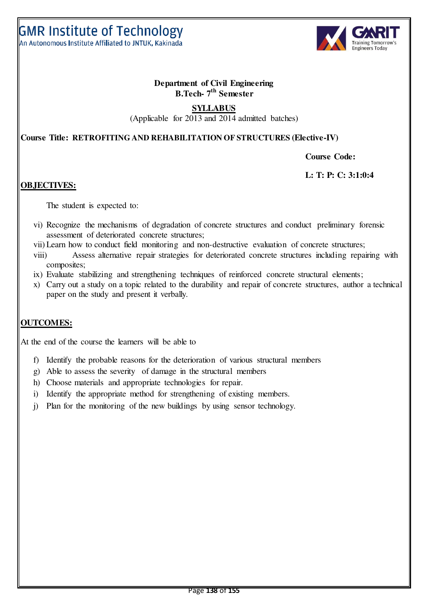

# **Department of Civil Engineering B.Tech- 7th Semester**

# **SYLLABUS**

(Applicable for 2013 and 2014 admitted batches)

#### **Course Title: RETROFITING AND REHABILITATION OF STRUCTURES (Elective-IV)**

**Course Code:** 

**L: T: P: C: 3:1:0:4** 

# **OBJECTIVES:**

The student is expected to:

- vi) Recognize the mechanisms of degradation of concrete structures and conduct preliminary forensic assessment of deteriorated concrete structures;
- vii) Learn how to conduct field monitoring and non-destructive evaluation of concrete structures;
- viii) Assess alternative repair strategies for deteriorated concrete structures including repairing with composites;
- ix) Evaluate stabilizing and strengthening techniques of reinforced concrete structural elements;
- x) Carry out a study on a topic related to the durability and repair of concrete structures, author a technical paper on the study and present it verbally.

# **OUTCOMES:**

At the end of the course the learners will be able to

- f) Identify the probable reasons for the deterioration of various structural members
- g) Able to assess the severity of damage in the structural members
- h) Choose materials and appropriate technologies for repair.
- i) Identify the appropriate method for strengthening of existing members.
- j) Plan for the monitoring of the new buildings by using sensor technology.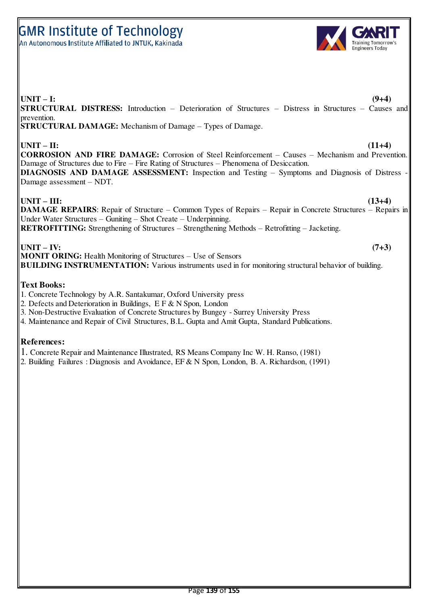

#### **UNIT – I: (9+4)**

**STRUCTURAL DISTRESS:** Introduction – Deterioration of Structures – Distress in Structures – Causes and prevention.

**STRUCTURAL DAMAGE:** Mechanism of Damage – Types of Damage.

#### **UNIT – II: (11+4)**

**CORROSION AND FIRE DAMAGE:** Corrosion of Steel Reinforcement – Causes – Mechanism and Prevention. Damage of Structures due to Fire – Fire Rating of Structures – Phenomena of Desiccation. **DIAGNOSIS AND DAMAGE ASSESSMENT:** Inspection and Testing – Symptoms and Diagnosis of Distress Damage assessment – NDT.

**UNIT – III: (13+4) DAMAGE REPAIRS**: Repair of Structure – Common Types of Repairs – Repair in Concrete Structures – Repairs in Under Water Structures – Guniting – Shot Create – Underpinning. **RETROFITTING:** Strengthening of Structures – Strengthening Methods – Retrofitting – Jacketing.

**UNIT – IV: (7+3) MONIT ORING:** Health Monitoring of Structures – Use of Sensors **BUILDING INSTRUMENTATION:** Various instruments used in for monitoring structural behavior of building.

#### **Text Books:**

1. Concrete Technology by A.R. Santakumar, Oxford University press

2. Defects and Deterioration in Buildings, E F & N Spon, London

3. Non-Destructive Evaluation of Concrete Structures by Bungey - Surrey University Press

4. Maintenance and Repair of Civil Structures, B.L. Gupta and Amit Gupta, Standard Publications.

#### **References:**

1. Concrete Repair and Maintenance Illustrated, RS Means Company Inc W. H. Ranso, (1981)

2. Building Failures : Diagnosis and Avoidance, EF & N Spon, London, B. A. Richardson, (1991)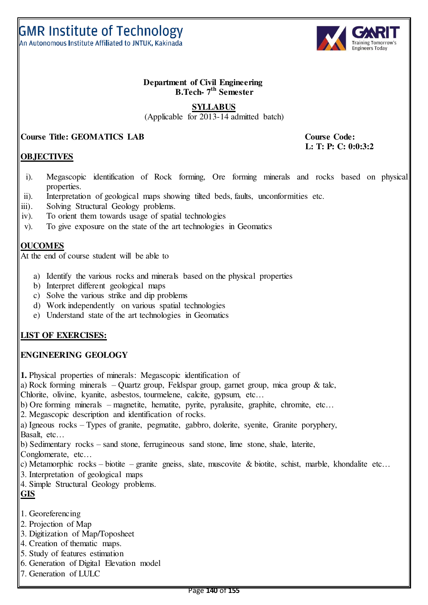

### **Department of Civil Engineering B.Tech- 7th Semester**

#### **SYLLABUS**

(Applicable for 2013-14 admitted batch)

**Course Title: GEOMATICS LAB Course Code: Course Code: Course Code: Course Code:** 

# **OBJECTIVES**

- i). Megascopic identification of Rock forming, Ore forming minerals and rocks based on physical properties.
- ii). Interpretation of geological maps showing tilted beds, faults, unconformities etc.
- iii). Solving Structural Geology problems.<br>iv). To orient them towards usage of spatial
- To orient them towards usage of spatial technologies
- v). To give exposure on the state of the art technologies in Geomatics

# **OUCOMES**

At the end of course student will be able to

- a) Identify the various rocks and minerals based on the physical properties
- b) Interpret different geological maps
- c) Solve the various strike and dip problems
- d) Work independently on various spatial technologies
- e) Understand state of the art technologies in Geomatics

# **LIST OF EXERCISES:**

# **ENGINEERING GEOLOGY**

**1.** Physical properties of minerals: Megascopic identification of

a) Rock forming minerals – Quartz group, Feldspar group, garnet group, mica group & talc,

Chlorite, olivine, kyanite, asbestos, tourmelene, calcite, gypsum, etc…

b) Ore forming minerals – magnetite, hematite, pyrite, pyralusite, graphite, chromite, etc…

2. Megascopic description and identification of rocks.

a) Igneous rocks – Types of granite, pegmatite, gabbro, dolerite, syenite, Granite poryphery, Basalt, etc…

b) Sedimentary rocks – sand stone, ferrugineous sand stone, lime stone, shale, laterite,

Conglomerate, etc…

c) Metamorphic rocks – biotite – granite gneiss, slate, muscovite & biotite, schist, marble, khondalite etc...

3. Interpretation of geological maps

4. Simple Structural Geology problems.

### **GIS**

- 1. Georeferencing
- 2. Projection of Map
- 3. Digitization of Map/Toposheet
- 4. Creation of thematic maps.
- 5. Study of features estimation
- 6. Generation of Digital Elevation model
- 7. Generation of LULC

**L: T: P: C: 0:0:3:2**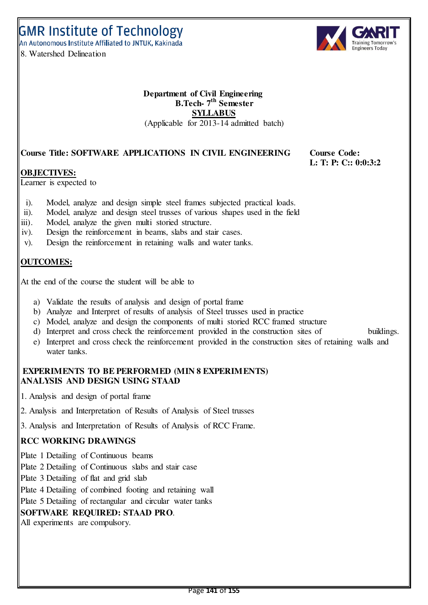An Autonomous Institute Affiliated to JNTUK, Kakinada

8. Watershed Delineation



#### **Department of Civil Engineering B.Tech- 7th Semester SYLLABUS**  (Applicable for 2013-14 admitted batch)

# **Course Title: SOFTWARE APPLICATIONS IN CIVIL ENGINEERING Course Code:**

# **L: T: P: C:: 0:0:3:2**

# **OBJECTIVES:**

Learner is expected to

- i). Model, analyze and design simple steel frames subjected practical loads.<br>ii). Model, analyze and design steel trusses of various shapes used in the field
- Model, analyze and design steel trusses of various shapes used in the field
- iii). Model, analyze the given multi storied structure.
- iv). Design the reinforcement in beams, slabs and stair cases.
- v). Design the reinforcement in retaining walls and water tanks.

# **OUTCOMES:**

At the end of the course the student will be able to

- a) Validate the results of analysis and design of portal frame
- b) Analyze and Interpret of results of analysis of Steel trusses used in practice
- c) Model, analyze and design the components of multi storied RCC framed structure
- d) Interpret and cross check the reinforcement provided in the construction sites of buildings.
- e) Interpret and cross check the reinforcement provided in the construction sites of retaining walls and water tanks.

#### **EXPERIMENTS TO BE PERFORMED (MIN 8 EXPERIMENTS) ANALYSIS AND DESIGN USING STAAD**

1. Analysis and design of portal frame

- 2. Analysis and Interpretation of Results of Analysis of Steel trusses
- 3. Analysis and Interpretation of Results of Analysis of RCC Frame.

# **RCC WORKING DRAWINGS**

Plate 1 Detailing of Continuous beams

- Plate 2 Detailing of Continuous slabs and stair case
- Plate 3 Detailing of flat and grid slab
- Plate 4 Detailing of combined footing and retaining wall
- Plate 5 Detailing of rectangular and circular water tanks

# **SOFTWARE REQUIRED: STAAD PRO**.

All experiments are compulsory.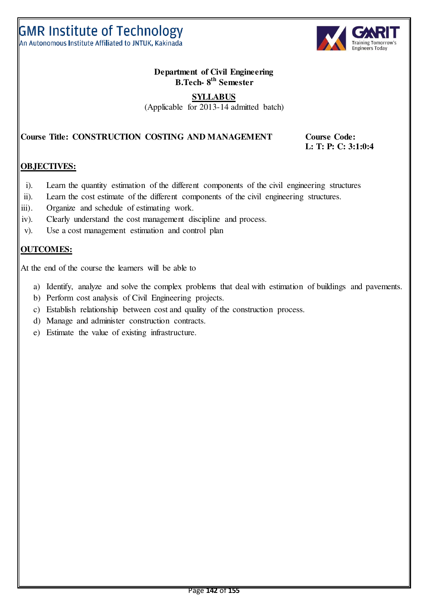

# **Department of Civil Engineering B.Tech- 8th Semester**

# **SYLLABUS**

(Applicable for 2013-14 admitted batch)

# **Course Title: CONSTRUCTION COSTING AND MANAGEMENT Course Code:**

**L: T: P: C: 3:1:0:4** 

# **OBJECTIVES:**

- i). Learn the quantity estimation of the different components of the civil engineering structures
- ii). Learn the cost estimate of the different components of the civil engineering structures.
- iii). Organize and schedule of estimating work.
- iv). Clearly understand the cost management discipline and process.
- v). Use a cost management estimation and control plan

#### **OUTCOMES:**

At the end of the course the learners will be able to

- a) Identify, analyze and solve the complex problems that deal with estimation of buildings and pavements.
- b) Perform cost analysis of Civil Engineering projects.
- c) Establish relationship between cost and quality of the construction process.
- d) Manage and administer construction contracts.
- e) Estimate the value of existing infrastructure.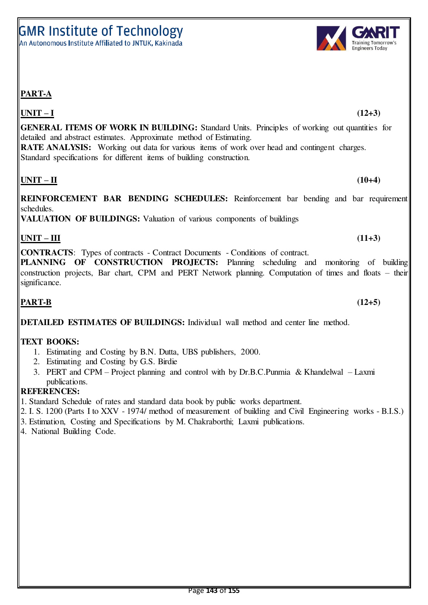# **GMR Institute of Technology** An Autonomous Institute Affiliated to JNTUK, Kakinada

**PART-A**

**UNIT – I (12+3)**

**GENERAL ITEMS OF WORK IN BUILDING:** Standard Units. Principles of working out quantities for detailed and abstract estimates. Approximate method of Estimating.

**RATE ANALYSIS:** Working out data for various items of work over head and contingent charges. Standard specifications for different items of building construction.

# $\mathbf{UNIT} - \mathbf{II}$  (10+4)

**REINFORCEMENT BAR BENDING SCHEDULES:** Reinforcement bar bending and bar requirement schedules.

**VALUATION OF BUILDINGS:** Valuation of various components of buildings

# $UNIT - III$  (11+3)

**CONTRACTS**: Types of contracts - Contract Documents - Conditions of contract.

**PLANNING OF CONSTRUCTION PROJECTS:** Planning scheduling and monitoring of building construction projects, Bar chart, CPM and PERT Network planning. Computation of times and floats – their significance.

# **PART-B (12+5)**

**DETAILED ESTIMATES OF BUILDINGS:** Individual wall method and center line method.

# **TEXT BOOKS:**

- 1. Estimating and Costing by B.N. Dutta, UBS publishers, 2000.
- 2. Estimating and Costing by G.S. Birdie
- 3. PERT and CPM Project planning and control with by Dr.B.C.Punmia & Khandelwal Laxmi publications.

# **REFERENCES:**

1. Standard Schedule of rates and standard data book by public works department.

- 2. I. S. 1200 (Parts I to XXV 1974/ method of measurement of building and Civil [Engineering](http://www.globalshiksha.com/engineering/search/) works B.I.S.)
- 3. Estimation, Costing and Specifications by M. Chakraborthi; Laxmi publications.
- 4. National Building Code.

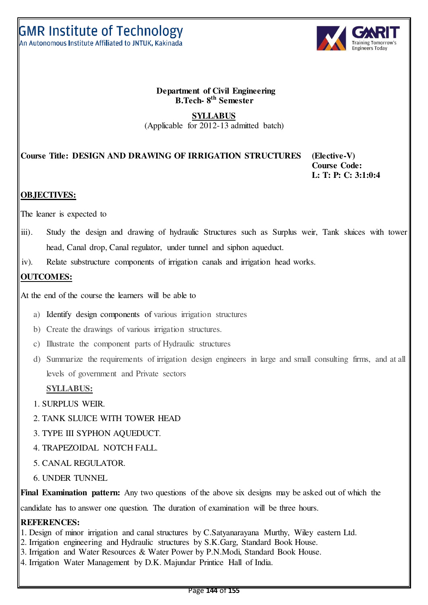

# **Department of Civil Engineering B.Tech- 8th Semester**

**SYLLABUS**  (Applicable for 2012-13 admitted batch)

**Course Title: DESIGN AND DRAWING OF IRRIGATION STRUCTURES (Elective-V)**

 **Course Code: L: T: P: C: 3:1:0:4** 

# **OBJECTIVES:**

The leaner is expected to

- iii). Study the design and drawing of hydraulic Structures such as Surplus weir, Tank sluices with tower head, Canal drop, Canal regulator, under tunnel and siphon aqueduct.
- iv). Relate substructure components of irrigation canals and irrigation head works.

# **OUTCOMES:**

At the end of the course the learners will be able to

- a) Identify design components of various irrigation structures
- b) Create the drawings of various irrigation structures.
- c) Illustrate the component parts of Hydraulic structures
- d) Summarize the requirements of irrigation design engineers in large and small consulting firms, and at all levels of government and Private sectors

**SYLLABUS:** 

1. SURPLUS WEIR.

- 2. TANK SLUICE WITH TOWER HEAD
- 3. TYPE III SYPHON AQUEDUCT.
- 4. TRAPEZOIDAL NOTCH FALL.
- 5. CANAL REGULATOR.
- 6. UNDER TUNNEL

**Final Examination pattern:** Any two questions of the above six designs may be asked out of which the

candidate has to answer one question. The duration of examination will be three hours.

#### **REFERENCES:**

- 1. Design of minor irrigation and canal structures by C.Satyanarayana Murthy, Wiley eastern Ltd.
- 2. Irrigation engineering and Hydraulic structures by S.K.Garg, Standard Book House.
- 3. Irrigation and Water Resources & Water Power by P.N.Modi, Standard Book House.
- 4. Irrigation Water Management by D.K. Majundar Printice Hall of India.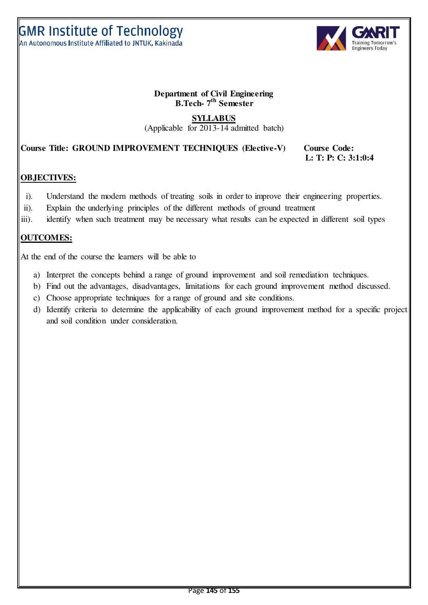

#### **Department of Civil Engineering B.Tech- 7th Semester**

#### **SYLLABUS**

(Applicable for 2013-14 admitted batch)

**Course Title: GROUND IMPROVEMENT TECHNIQUES (Elective-V) Course Code:** 

**L: T: P: C: 3:1:0:4**

### **OBJECTIVES:**

- i). Understand the modern methods of treating soils in order to improve their engineering properties.
- ii). Explain the underlying principles of the different methods of ground treatment
- iii). identify when such treatment may be necessary what results can be expected in different soil types

#### **OUTCOMES:**

At the end of the course the learners will be able to

- a) Interpret the concepts behind a range of ground improvement and soil remediation techniques.
- b) Find out the advantages, disadvantages, limitations for each ground improvement method discussed.
- c) Choose appropriate techniques for a range of ground and site conditions.
- d) Identify criteria to determine the applicability of each ground improvement method for a specific project and soil condition under consideration.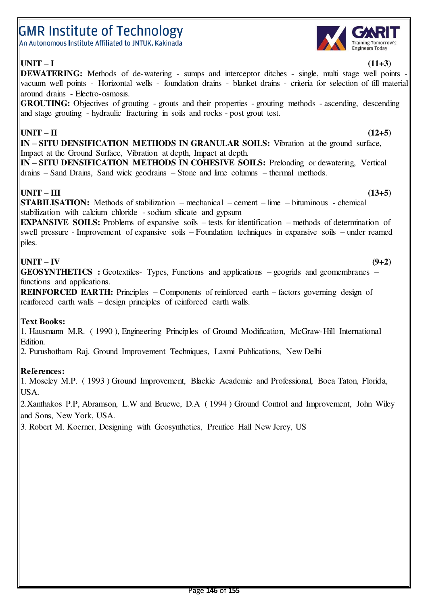## **GMR Institute of Technology**

An Autonomous Institute Affiliated to JNTUK, Kakinada

### **UNIT**  $-$  **I** (11+3)

**DEWATERING:** Methods of de-watering - sumps and interceptor ditches - single, multi stage well points vacuum well points - Horizontal wells - foundation drains - blanket drains - criteria for selection of fill material around drains - Electro-osmosis.

**GROUTING:** Objectives of grouting - grouts and their properties - grouting methods - ascending, descending and stage grouting - hydraulic fracturing in soils and rocks - post grout test.

#### $UNIT - II$  (12+5)

**IN – SITU DENSIFICATION METHODS IN GRANULAR SOILS:** Vibration at the ground surface, Impact at the Ground Surface, Vibration at depth, Impact at depth.

**IN – SITU DENSIFICATION METHODS IN COHESIVE SOILS:** Preloading or dewatering, Vertical drains – Sand Drains, Sand wick geodrains – Stone and lime columns – thermal methods.

#### **UNIT – III (13+5)**

**STABILISATION:** Methods of stabilization – mechanical – cement – lime – bituminous - chemical stabilization with calcium chloride - sodium silicate and gypsum

**EXPANSIVE SOILS:** Problems of expansive soils – tests for identification – methods of determination of swell pressure - Improvement of expansive soils – Foundation techniques in expansive soils – under reamed piles.

#### **UNIT – IV (9+2)**

**GEOSYNTHETICS** : Geotextiles- Types, Functions and applications – geogrids and geomembranes – functions and applications.

**REINFORCED EARTH:** Principles – Components of reinforced earth – factors governing design of reinforced earth walls – design principles of reinforced earth walls.

#### **Text Books:**

1. Hausmann M.R. ( 1990 ), Engineering Principles of Ground Modification, McGraw-Hill International Edition.

2. Purushotham Raj. Ground Improvement Techniques, Laxmi Publications, New Delhi

#### **References:**

1. Moseley M.P. ( 1993 ) Ground Improvement, Blackie Academic and Professional, Boca Taton, Florida, USA.

2.Xanthakos P.P, Abramson, L.W and Brucwe, D.A ( 1994 ) Ground Control and Improvement, John Wiley and Sons, New York, USA.

3. Robert M. Koerner, Designing with Geosynthetics, Prentice Hall New Jercy, US

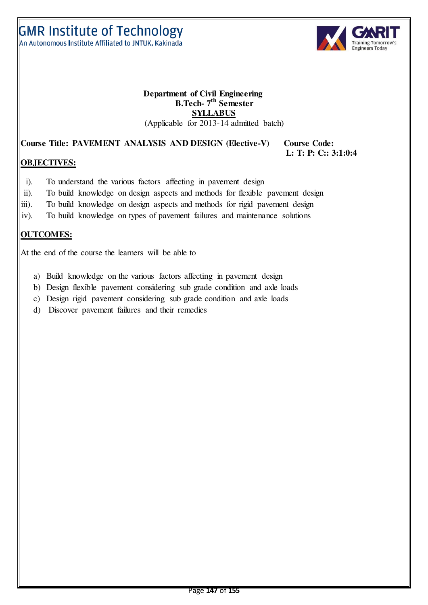

#### **Department of Civil Engineering B.Tech- 7th Semester SYLLABUS**  (Applicable for 2013-14 admitted batch)

**Course Title: PAVEMENT ANALYSIS AND DESIGN (Elective-V) Course Code:** 

# **L: T: P: C:: 3:1:0:4**

### **OBJECTIVES:**

- i). To understand the various factors affecting in pavement design
- ii). To build knowledge on design aspects and methods for flexible pavement design
- iii). To build knowledge on design aspects and methods for rigid pavement design
- iv). To build knowledge on types of pavement failures and maintenance solutions

#### **OUTCOMES:**

At the end of the course the learners will be able to

- a) Build knowledge on the various factors affecting in pavement design
- b) Design flexible pavement considering sub grade condition and axle loads
- c) Design rigid pavement considering sub grade condition and axle loads
- d) Discover pavement failures and their remedies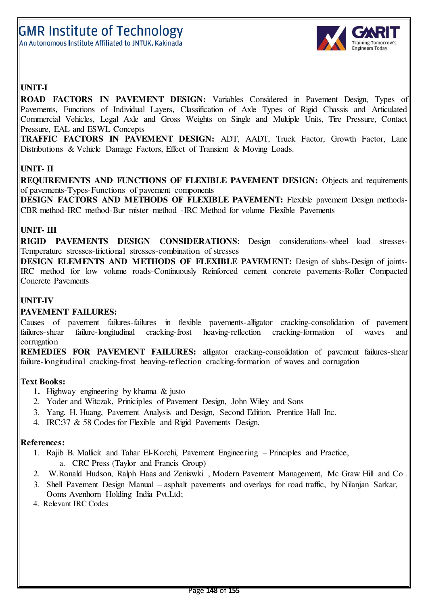

### **UNIT-I**

**ROAD FACTORS IN PAVEMENT DESIGN:** Variables Considered in Pavement Design, Types of Pavements, Functions of Individual Layers, Classification of Axle Types of Rigid Chassis and Articulated Commercial Vehicles, Legal Axle and Gross Weights on Single and Multiple Units, Tire Pressure, Contact Pressure, EAL and ESWL Concepts

**TRAFFIC FACTORS IN PAVEMENT DESIGN:** ADT, AADT, Truck Factor, Growth Factor, Lane Distributions & Vehicle Damage Factors, Effect of Transient & Moving Loads.

#### **UNIT- II**

**REQUIREMENTS AND FUNCTIONS OF FLEXIBLE PAVEMENT DESIGN:** Objects and requirements of pavements-Types-Functions of pavement components

**DESIGN FACTORS AND METHODS OF FLEXIBLE PAVEMENT:** Flexible pavement Design methods-CBR method-IRC method-Bur mister method -IRC Method for volume Flexible Pavements

#### **UNIT- III**

**RIGID PAVEMENTS DESIGN CONSIDERATIONS**: Design considerations-wheel load stresses-Temperature stresses-frictional stresses-combination of stresses

**DESIGN ELEMENTS AND METHODS OF FLEXIBLE PAVEMENT:** Design of slabs-Design of joints-IRC method for low volume roads-Continuously Reinforced cement concrete pavements-Roller Compacted Concrete Pavements

#### **UNIT-IV**

#### **PAVEMENT FAILURES:**

Causes of pavement failures-failures in flexible pavements-alligator cracking-consolidation of pavement failures-shear failure-longitudinal cracking-frost heaving-reflection cracking-formation of waves and corrugation

**REMEDIES FOR PAVEMENT FAILURES:** alligator cracking-consolidation of pavement failures-shear failure-longitudinal cracking-frost heaving-reflection cracking-formation of waves and corrugation

#### **Text Books:**

- **1.** Highway engineering by khanna & justo
- 2. Yoder and Witczak, Priniciples of Pavement Design, John Wiley and Sons
- 3. Yang. H. Huang, Pavement Analysis and Design, Second Edition, Prentice Hall Inc.
- 4. IRC:37 & 58 Codes for Flexible and Rigid Pavements Design.

#### **References:**

- 1. Rajib B. Mallick and Tahar El-Korchi, Pavement Engineering Principles and Practice, a. CRC Press (Taylor and Francis Group)
- 2. W.Ronald Hudson, Ralph Haas and Zeniswki , Modern Pavement Management, Mc Graw Hill and Co .
- 3. Shell Pavement Design Manual asphalt pavements and overlays for road traffic, by Nilanjan Sarkar, Ooms Avenhorn Holding India Pvt.Ltd;
- 4. Relevant IRC Codes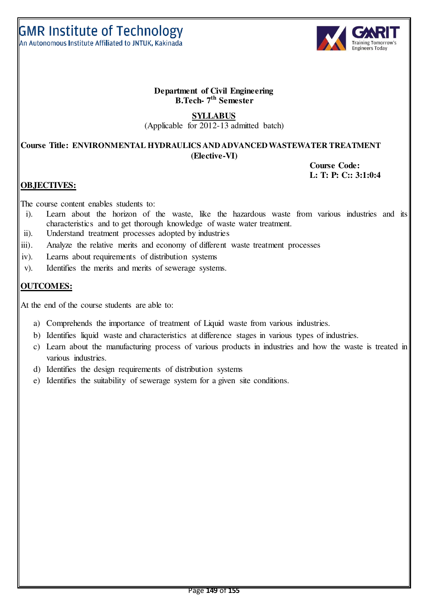

#### **Department of Civil Engineering B.Tech- 7th Semester**

#### **SYLLABUS**

(Applicable for 2012-13 admitted batch)

#### **Course Title: ENVIRONMENTAL HYDRAULICS AND ADVANCED WASTEWATER TREATMENT (Elective-VI)**

 **Course Code: L: T: P: C:: 3:1:0:4** 

#### **OBJECTIVES:**

The course content enables students to:

- i). Learn about the horizon of the waste, like the hazardous waste from various industries and its characteristics and to get thorough knowledge of waste water treatment.
- ii). Understand treatment processes adopted by industries
- iii). Analyze the relative merits and economy of different waste treatment processes
- iv). Learns about requirements of distribution systems
- v). Identifies the merits and merits of sewerage systems.

#### **OUTCOMES:**

At the end of the course students are able to:

- a) Comprehends the importance of treatment of Liquid waste from various industries.
- b) Identifies liquid waste and characteristics at difference stages in various types of industries.
- c) Learn about the manufacturing process of various products in industries and how the waste is treated in various industries.
- d) Identifies the design requirements of distribution systems
- e) Identifies the suitability of sewerage system for a given site conditions.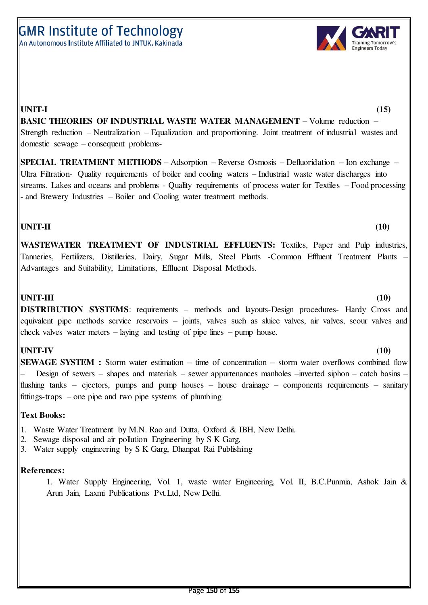

#### **UNIT-I (15)**

**BASIC THEORIES OF INDUSTRIAL WASTE WATER MANAGEMENT** – Volume reduction – Strength reduction – Neutralization – Equalization and proportioning. Joint treatment of industrial wastes and domestic sewage – consequent problems-

**SPECIAL TREATMENT METHODS** – Adsorption – Reverse Osmosis – Defluoridation – Ion exchange – Ultra Filtration- Quality requirements of boiler and cooling waters – Industrial waste water discharges into streams. Lakes and oceans and problems - Quality requirements of process water for Textiles – Food processing - and Brewery Industries – Boiler and Cooling water treatment methods.

#### **UNIT-II (10)**

**WASTEWATER TREATMENT OF INDUSTRIAL EFFLUENTS:** Textiles, Paper and Pulp industries, Tanneries, Fertilizers, Distilleries, Dairy, Sugar Mills, Steel Plants -Common Effluent Treatment Plants – Advantages and Suitability, Limitations, Effluent Disposal Methods.

#### **UNIT-III (10)**

**DISTRIBUTION SYSTEMS**: requirements – methods and layouts-Design procedures- Hardy Cross and equivalent pipe methods service reservoirs – joints, valves such as sluice valves, air valves, scour valves and check valves water meters – laying and testing of pipe lines – pump house.

### **UNIT-IV (10)**

**SEWAGE SYSTEM :** Storm water estimation – time of concentration – storm water overflows combined flow – Design of sewers – shapes and materials – sewer appurtenances manholes –inverted siphon – catch basins – flushing tanks – ejectors, pumps and pump houses – house drainage – components requirements – sanitary fittings-traps – one pipe and two pipe systems of plumbing

#### **Text Books:**

- 1. Waste Water Treatment by M.N. Rao and Dutta, Oxford & IBH, New Delhi.
- 2. Sewage disposal and air pollution Engineering by S K Garg,
- 3. Water supply engineering by S K Garg, Dhanpat Rai Publishing

#### **References:**

1. Water Supply Engineering, Vol. 1, waste water Engineering, Vol. II, B.C.Punmia, Ashok Jain & Arun Jain, Laxmi Publications Pvt.Ltd, New Delhi.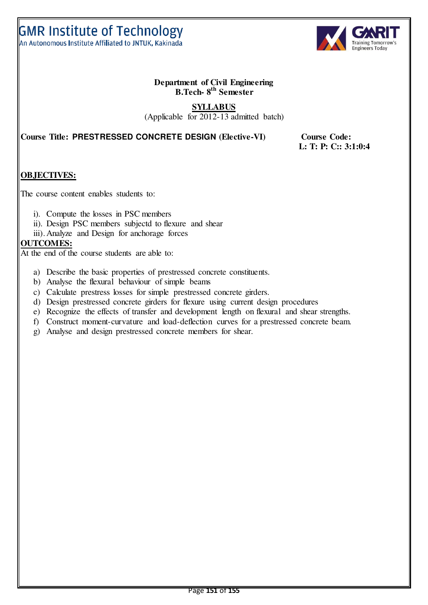

#### **Department of Civil Engineering B.Tech- 8th Semester**

**SYLLABUS** 

(Applicable for  $2012-13$  admitted batch)

**Course Title: PRESTRESSED CONCRETE DESIGN (Elective-VI) Course Code:** 

 **L: T: P: C:: 3:1:0:4** 

#### **OBJECTIVES:**

The course content enables students to:

- i). Compute the losses in PSC members
- ii). Design PSC members subjectd to flexure and shear
- iii).Analyze and Design for anchorage forces

#### **OUTCOMES:**

At the end of the course students are able to:

- a) Describe the basic properties of prestressed concrete constituents.
- b) Analyse the flexural behaviour of simple beams
- c) Calculate prestress losses for simple prestressed concrete girders.
- d) Design prestressed concrete girders for flexure using current design procedures
- e) Recognize the effects of transfer and development length on flexural and shear strengths.
- f) Construct moment-curvature and load-deflection curves for a prestressed concrete beam.
- g) Analyse and design prestressed concrete members for shear.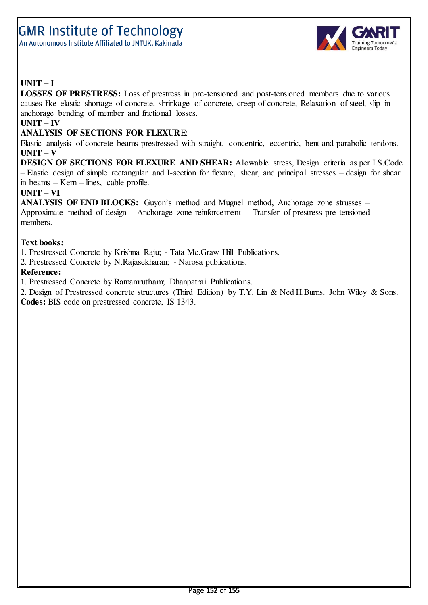

#### $UNIT - I$

**LOSSES OF PRESTRESS:** Loss of prestress in pre-tensioned and post-tensioned members due to various causes like elastic shortage of concrete, shrinkage of concrete, creep of concrete, Relaxation of steel, slip in anchorage bending of member and frictional losses.

#### **UNIT – IV**

#### **ANALYSIS OF SECTIONS FOR FLEXUR**E:

Elastic analysis of concrete beams prestressed with straight, concentric, eccentric, bent and parabolic tendons. **UNIT – V** 

**DESIGN OF SECTIONS FOR FLEXURE AND SHEAR:** Allowable stress, Design criteria as per I.S.Code – Elastic design of simple rectangular and I-section for flexure, shear, and principal stresses – design for shear  $\ln$  beams – Kern – lines, cable profile.

#### **UNIT – VI**

**ANALYSIS OF END BLOCKS:** Guyon's method and Mugnel method, Anchorage zone strusses – Approximate method of design – Anchorage zone reinforcement – Transfer of prestress pre-tensioned members.

#### **Text books:**

1. Prestressed Concrete by Krishna Raju; - Tata Mc.Graw Hill Publications.

2. Prestressed Concrete by N.Rajasekharan; - Narosa publications.

#### **Reference:**

1. Prestressed Concrete by Ramamrutham; Dhanpatrai Publications.

2. Design of Prestressed concrete structures (Third Edition) by T.Y. Lin & Ned H.Burns, John Wiley & Sons. **Codes:** BIS code on prestressed concrete, IS 1343.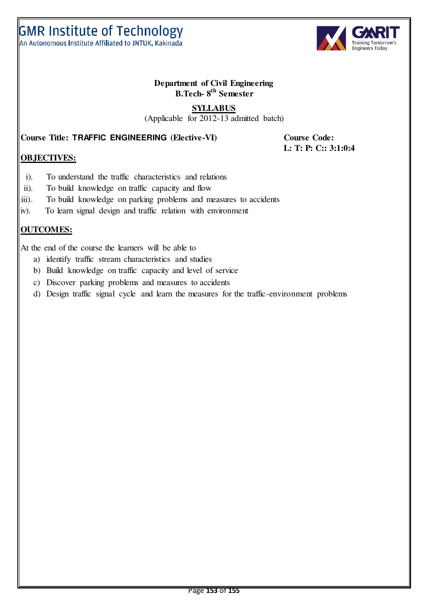

#### **Department of Civil Engineering B.Tech- 8th Semester**

#### **SYLLABUS**

(Applicable for 2012-13 admitted batch)

#### **Course Title: TRAFFIC ENGINEERING (Elective-VI) Course Code:**

# **L: T: P: C:: 3:1:0:4**

### **OBJECTIVES:**

- i). To understand the traffic characteristics and relations
- ii). To build knowledge on traffic capacity and flow
- iii). To build knowledge on parking problems and measures to accidents
- iv). To learn signal design and traffic relation with environment

### **OUTCOMES:**

At the end of the course the learners will be able to

- a) identify traffic stream characteristics and studies
- b) Build knowledge on traffic capacity and level of service
- c) Discover parking problems and measures to accidents
- d) Design traffic signal cycle and learn the measures for the traffic-environment problems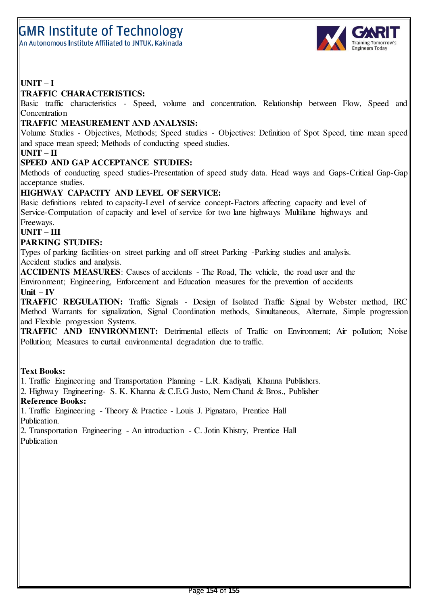

#### **UNIT – I**

#### **TRAFFIC CHARACTERISTICS:**

Basic traffic characteristics - Speed, volume and concentration. Relationship between Flow, Speed and Concentration

#### **TRAFFIC MEASUREMENT AND ANALYSIS:**

Volume Studies - Objectives, Methods; Speed studies - Objectives: Definition of Spot Speed, time mean speed and space mean speed; Methods of conducting speed studies.

#### **UNIT – II**

#### **SPEED AND GAP ACCEPTANCE STUDIES:**

Methods of conducting speed studies-Presentation of speed study data. Head ways and Gaps-Critical Gap-Gap acceptance studies.

#### **HIGHWAY CAPACITY AND LEVEL OF SERVICE:**

Basic definitions related to capacity-Level of service concept-Factors affecting capacity and level of Service-Computation of capacity and level of service for two lane highways Multilane highways and Freeways.

#### **UNIT – III**

#### **PARKING STUDIES:**

Types of parking facilities-on street parking and off street Parking -Parking studies and analysis. Accident studies and analysis.

**ACCIDENTS MEASURES**: Causes of accidents - The Road, The vehicle, the road user and the Environment; Engineering, Enforcement and Education measures for the prevention of accidents **Unit – IV**

**TRAFFIC REGULATION:** Traffic Signals - Design of Isolated Traffic Signal by Webster method, IRC Method Warrants for signalization, Signal Coordination methods, Simultaneous, Alternate, Simple progression and Flexible progression Systems.

**TRAFFIC AND ENVIRONMENT:** Detrimental effects of Traffic on Environment; Air pollution; Noise Pollution; Measures to curtail environmental degradation due to traffic.

#### **Text Books:**

1. Traffic Engineering and Transportation Planning - L.R. Kadiyali, Khanna Publishers.

2. Highway Engineering- S. K. Khanna & C.E.G Justo, Nem Chand & Bros., Publisher **Reference Books:** 

1. Traffic Engineering - Theory & Practice - Louis J. Pignataro, Prentice Hall Publication.

2. Transportation Engineering - An introduction - C. Jotin Khistry, Prentice Hall **Publication**